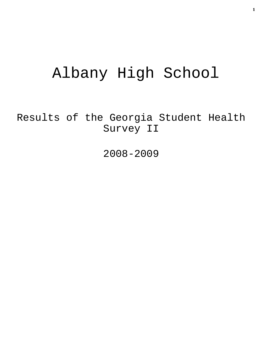# Albany High School

Results of the Georgia Student Health Survey II

2008-2009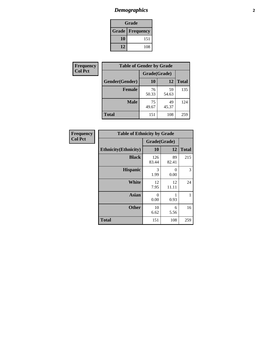### *Demographics* **2**

| Grade                    |     |  |  |  |
|--------------------------|-----|--|--|--|
| <b>Grade   Frequency</b> |     |  |  |  |
| 10                       | 151 |  |  |  |
| 12                       | 108 |  |  |  |

| Frequency      | <b>Table of Gender by Grade</b> |              |             |              |  |  |
|----------------|---------------------------------|--------------|-------------|--------------|--|--|
| <b>Col Pct</b> |                                 | Grade(Grade) |             |              |  |  |
|                | Gender(Gender)                  | 10           | 12          | <b>Total</b> |  |  |
|                | <b>Female</b>                   | 76<br>50.33  | 59<br>54.63 | 135          |  |  |
|                | <b>Male</b>                     | 75<br>49.67  | 49<br>45.37 | 124          |  |  |
|                | <b>Total</b>                    | 151          | 108         | 259          |  |  |

| Frequency<br>Col Pct |
|----------------------|

| <b>Table of Ethnicity by Grade</b> |              |             |              |  |  |  |
|------------------------------------|--------------|-------------|--------------|--|--|--|
|                                    | Grade(Grade) |             |              |  |  |  |
| <b>Ethnicity</b> (Ethnicity)       | 10           | 12          | <b>Total</b> |  |  |  |
| <b>Black</b>                       | 126<br>83.44 | 89<br>82.41 | 215          |  |  |  |
| <b>Hispanic</b>                    | 3<br>1.99    | 0<br>0.00   | 3            |  |  |  |
| White                              | 12<br>7.95   | 12<br>11.11 | 24           |  |  |  |
| <b>Asian</b>                       | 0<br>0.00    | 1<br>0.93   | 1            |  |  |  |
| <b>Other</b>                       | 10<br>6.62   | 6<br>5.56   | 16           |  |  |  |
| <b>Total</b>                       | 151          | 108         | 259          |  |  |  |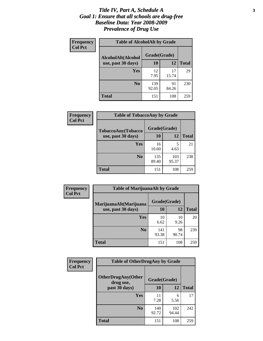#### *Title IV, Part A, Schedule A* **3** *Goal 1: Ensure that all schools are drug-free Baseline Data: Year 2008-2009 Prevalence of Drug Use*

| Frequency<br><b>Col Pct</b> | <b>Table of AlcoholAlt by Grade</b> |              |             |              |  |
|-----------------------------|-------------------------------------|--------------|-------------|--------------|--|
|                             | AlcoholAlt(Alcohol                  | Grade(Grade) |             |              |  |
|                             | use, past 30 days)                  | <b>10</b>    | 12          | <b>Total</b> |  |
|                             | Yes                                 | 12<br>7.95   | 17<br>15.74 | 29           |  |
|                             | N <sub>0</sub>                      | 139<br>92.05 | 91<br>84.26 | 230          |  |
|                             | Total                               | 151          | 108         | 259          |  |

| Frequency      | <b>Table of TobaccoAny by Grade</b> |              |              |              |  |
|----------------|-------------------------------------|--------------|--------------|--------------|--|
| <b>Col Pct</b> | <b>TobaccoAny(Tobacco</b>           | Grade(Grade) |              |              |  |
|                | use, past 30 days)                  | 10           | 12           | <b>Total</b> |  |
|                | Yes                                 | 16<br>10.60  | 5<br>4.63    | 21           |  |
|                | N <sub>0</sub>                      | 135<br>89.40 | 103<br>95.37 | 238          |  |
|                | <b>Total</b>                        | 151          | 108          | 259          |  |

| Frequency<br><b>Col Pct</b> | <b>Table of MarijuanaAlt by Grade</b> |              |             |              |  |
|-----------------------------|---------------------------------------|--------------|-------------|--------------|--|
|                             | MarijuanaAlt(Marijuana                | Grade(Grade) |             |              |  |
|                             | use, past 30 days)                    | 10           | 12          | <b>Total</b> |  |
|                             | <b>Yes</b>                            | 10<br>6.62   | 10<br>9.26  | 20           |  |
|                             | N <sub>0</sub>                        | 141<br>93.38 | 98<br>90.74 | 239          |  |
|                             | <b>Total</b>                          | 151          | 108         | 259          |  |

| Frequency<br><b>Col Pct</b> | <b>Table of OtherDrugAny by Grade</b>  |              |              |              |  |
|-----------------------------|----------------------------------------|--------------|--------------|--------------|--|
|                             | <b>OtherDrugAny(Other</b><br>drug use, | Grade(Grade) |              |              |  |
|                             | past 30 days)                          | 10           | 12           | <b>Total</b> |  |
|                             | Yes                                    | 11<br>7.28   | 6<br>5.56    | 17           |  |
|                             | N <sub>0</sub>                         | 140<br>92.72 | 102<br>94.44 | 242          |  |
|                             | <b>Total</b>                           | 151          | 108          | 259          |  |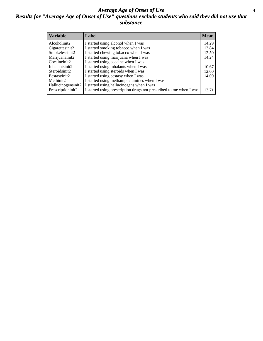#### *Average Age of Onset of Use* **4** *Results for "Average Age of Onset of Use" questions exclude students who said they did not use that substance*

| <b>Variable</b>    | Label                                                              | <b>Mean</b> |
|--------------------|--------------------------------------------------------------------|-------------|
| Alcoholinit2       | I started using alcohol when I was                                 | 14.29       |
| Cigarettesinit2    | I started smoking tobacco when I was                               | 13.84       |
| Smokelessinit2     | I started chewing tobacco when I was                               | 12.50       |
| Marijuanainit2     | I started using marijuana when I was                               | 14.24       |
| Cocaineinit2       | I started using cocaine when I was                                 |             |
| Inhalantsinit2     | I started using inhalants when I was                               | 10.67       |
| Steroidsinit2      | I started using steroids when I was                                | 12.00       |
| Ecstasyinit2       | I started using ecstasy when I was                                 | 14.00       |
| Methinit2          | I started using methamphetamines when I was                        |             |
| Hallucinogensinit2 | I started using hallucinogens when I was                           |             |
| Prescriptioninit2  | I started using prescription drugs not prescribed to me when I was | 13.71       |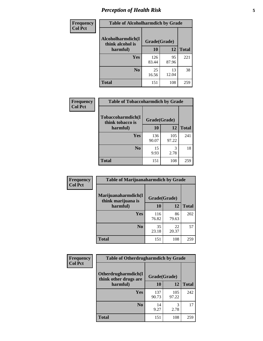### *Perception of Health Risk* **5**

| Frequency      | <b>Table of Alcoholharmdich by Grade</b> |              |             |              |  |
|----------------|------------------------------------------|--------------|-------------|--------------|--|
| <b>Col Pct</b> | Alcoholharmdich(I<br>think alcohol is    | Grade(Grade) |             |              |  |
|                | harmful)                                 | 10           | 12          | <b>Total</b> |  |
|                | <b>Yes</b>                               | 126<br>83.44 | 95<br>87.96 | 221          |  |
|                | N <sub>0</sub>                           | 25<br>16.56  | 13<br>12.04 | 38           |  |
|                | <b>Total</b>                             | 151          | 108         | 259          |  |

| Frequency      | <b>Table of Tobaccoharmdich by Grade</b>          |              |              |              |  |
|----------------|---------------------------------------------------|--------------|--------------|--------------|--|
| <b>Col Pct</b> | Tobaccoharmdich(I<br>think tobacco is<br>harmful) | Grade(Grade) |              |              |  |
|                |                                                   | 10           | 12           | <b>Total</b> |  |
|                | <b>Yes</b>                                        | 136<br>90.07 | 105<br>97.22 | 241          |  |
|                | N <sub>0</sub>                                    | 15<br>9.93   | 3<br>2.78    | 18           |  |
|                | Total                                             | 151          | 108          | 259          |  |

| Frequency      | <b>Table of Marijuanaharmdich by Grade</b> |              |             |              |  |  |
|----------------|--------------------------------------------|--------------|-------------|--------------|--|--|
| <b>Col Pct</b> | Marijuanaharmdich(I<br>think marijuana is  | Grade(Grade) |             |              |  |  |
|                | harmful)                                   | 10           | 12          | <b>Total</b> |  |  |
|                | Yes                                        | 116<br>76.82 | 86<br>79.63 | 202          |  |  |
|                | N <sub>0</sub>                             | 35<br>23.18  | 22<br>20.37 | 57           |  |  |
|                | <b>Total</b>                               | 151          | 108         | 259          |  |  |

| Frequency      | <b>Table of Otherdrugharmdich by Grade</b>   |              |              |              |  |  |  |  |
|----------------|----------------------------------------------|--------------|--------------|--------------|--|--|--|--|
| <b>Col Pct</b> | Otherdrugharmdich(I<br>think other drugs are | Grade(Grade) |              |              |  |  |  |  |
|                | harmful)                                     | 10           | 12           | <b>Total</b> |  |  |  |  |
|                | Yes                                          | 137<br>90.73 | 105<br>97.22 | 242          |  |  |  |  |
|                | N <sub>0</sub>                               | 14<br>9.27   | 3<br>2.78    | 17           |  |  |  |  |
|                | <b>Total</b>                                 | 151          | 108          | 259          |  |  |  |  |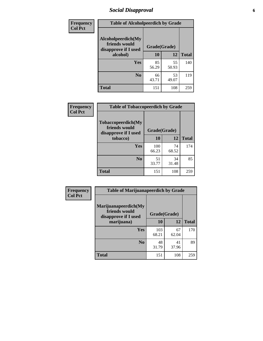### *Social Disapproval* **6**

| <b>Frequency</b> | <b>Table of Alcoholpeerdich by Grade</b>                    |              |             |              |
|------------------|-------------------------------------------------------------|--------------|-------------|--------------|
| <b>Col Pct</b>   | Alcoholpeerdich(My<br>friends would<br>disapprove if I used | Grade(Grade) |             |              |
|                  | alcohol)                                                    | 10           | 12          | <b>Total</b> |
|                  | <b>Yes</b>                                                  | 85<br>56.29  | 55<br>50.93 | 140          |
|                  | N <sub>0</sub>                                              | 66<br>43.71  | 53<br>49.07 | 119          |
|                  | <b>Total</b>                                                | 151          | 108         | 259          |

| <b>Frequency</b> |
|------------------|
| <b>Col Pct</b>   |

| <b>Table of Tobaccopeerdich by Grade</b>                    |              |              |              |  |  |  |
|-------------------------------------------------------------|--------------|--------------|--------------|--|--|--|
| Tobaccopeerdich(My<br>friends would<br>disapprove if I used |              | Grade(Grade) |              |  |  |  |
| tobacco)                                                    | 10           | 12           | <b>Total</b> |  |  |  |
| Yes                                                         | 100<br>66.23 | 74<br>68.52  | 174          |  |  |  |
| N <sub>0</sub>                                              | 51<br>33.77  | 34<br>31.48  | 85           |  |  |  |
| <b>Total</b>                                                | 151          | 108          | 259          |  |  |  |

| Frequency      | <b>Table of Marijuanapeerdich by Grade</b>                    |              |             |              |  |  |  |
|----------------|---------------------------------------------------------------|--------------|-------------|--------------|--|--|--|
| <b>Col Pct</b> | Marijuanapeerdich(My<br>friends would<br>disapprove if I used | Grade(Grade) |             |              |  |  |  |
|                | marijuana)                                                    | 10           | 12          | <b>Total</b> |  |  |  |
|                | <b>Yes</b>                                                    | 103<br>68.21 | 67<br>62.04 | 170          |  |  |  |
|                | N <sub>0</sub>                                                | 48<br>31.79  | 41<br>37.96 | 89           |  |  |  |
|                | <b>Total</b>                                                  | 151          | 108         | 259          |  |  |  |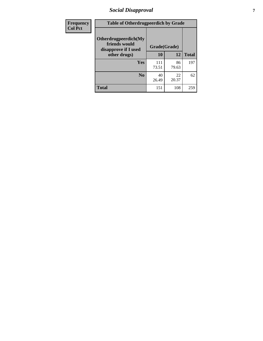### *Social Disapproval* **7**

| Frequency      | <b>Table of Otherdrugpeerdich by Grade</b>                    |              |             |              |  |  |  |
|----------------|---------------------------------------------------------------|--------------|-------------|--------------|--|--|--|
| <b>Col Pct</b> | Otherdrugpeerdich(My<br>friends would<br>disapprove if I used | Grade(Grade) |             |              |  |  |  |
|                | other drugs)                                                  | 10           | 12          | <b>Total</b> |  |  |  |
|                | Yes                                                           | 111<br>73.51 | 86<br>79.63 | 197          |  |  |  |
|                | N <sub>0</sub>                                                | 40<br>26.49  | 22<br>20.37 | 62           |  |  |  |
|                | <b>Total</b>                                                  | 151          | 108         | 259          |  |  |  |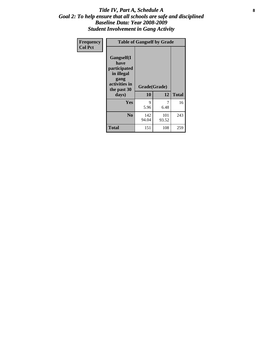#### Title IV, Part A, Schedule A **8** *Goal 2: To help ensure that all schools are safe and disciplined Baseline Data: Year 2008-2009 Student Involvement in Gang Activity*

| Frequency      | <b>Table of Gangself by Grade</b>                                                                 |                    |              |              |
|----------------|---------------------------------------------------------------------------------------------------|--------------------|--------------|--------------|
| <b>Col Pct</b> | Gangself(I<br>have<br>participated<br>in illegal<br>gang<br>activities in<br>the past 30<br>days) | Grade(Grade)<br>10 | 12           | <b>Total</b> |
|                | Yes                                                                                               | 9<br>5.96          | 7<br>6.48    | 16           |
|                | N <sub>0</sub>                                                                                    | 142<br>94.04       | 101<br>93.52 | 243          |
|                | <b>Total</b>                                                                                      | 151                | 108          | 259          |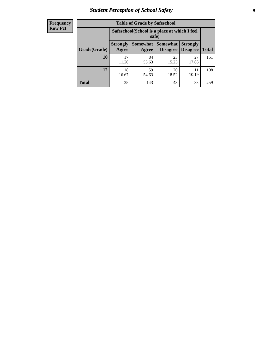### *Student Perception of School Safety* **9**

| <b>Frequency</b><br>Row Pct |
|-----------------------------|
|                             |

| <b>Table of Grade by Safeschool</b> |                                                                                                          |             |             |             |     |  |  |
|-------------------------------------|----------------------------------------------------------------------------------------------------------|-------------|-------------|-------------|-----|--|--|
|                                     | Safeschool (School is a place at which I feel<br>safe)                                                   |             |             |             |     |  |  |
| Grade(Grade)                        | Somewhat Somewhat<br><b>Strongly</b><br><b>Strongly</b><br><b>Disagree</b><br>Agree<br>Disagree<br>Agree |             |             |             |     |  |  |
| 10                                  | 17<br>11.26                                                                                              | 84<br>55.63 | 23<br>15.23 | 27<br>17.88 | 151 |  |  |
| 12                                  | 18<br>16.67                                                                                              | 59<br>54.63 | 20<br>18.52 | 11<br>10.19 | 108 |  |  |
| <b>Total</b>                        | 35                                                                                                       | 143         | 43          | 38          | 259 |  |  |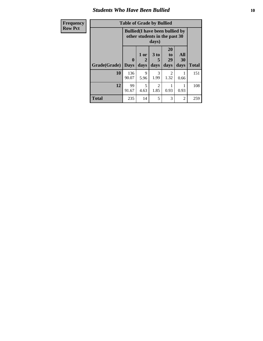#### *Students Who Have Been Bullied* **10**

| Frequency      |  |
|----------------|--|
| <b>Row Pct</b> |  |

## **Table of Grade by Bullied**

| Ψy | Table of Graue by Dunieu |                                                                                  |                   |                              |                        |                   |              |
|----|--------------------------|----------------------------------------------------------------------------------|-------------------|------------------------------|------------------------|-------------------|--------------|
|    |                          | <b>Bullied</b> (I have been bullied by<br>other students in the past 30<br>days) |                   |                              |                        |                   |              |
|    | Grade(Grade)             | $\bf{0}$<br><b>Days</b>                                                          | 1 or<br>2<br>days | 3 <sub>to</sub><br>5<br>days | 20<br>to<br>29<br>days | All<br>30<br>days | <b>Total</b> |
|    | 10                       | 136<br>90.07                                                                     | 9<br>5.96         | 3<br>1.99                    | 2<br>1.32              | 0.66              | 151          |
|    | 12                       | 99<br>91.67                                                                      | 5<br>4.63         | 2<br>1.85                    | 0.93                   | 0.93              | 108          |
|    | <b>Total</b>             | 235                                                                              | 14                | 5                            | 3                      | 2                 | 259          |

٦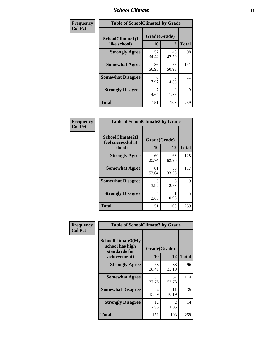#### *School Climate* **11**

| Frequency      | <b>Table of SchoolClimate1 by Grade</b> |                    |                        |              |  |  |
|----------------|-----------------------------------------|--------------------|------------------------|--------------|--|--|
| <b>Col Pct</b> | SchoolClimate1(I<br>like school)        | Grade(Grade)<br>10 | 12                     | <b>Total</b> |  |  |
|                | <b>Strongly Agree</b>                   | 52<br>34.44        | 46<br>42.59            | 98           |  |  |
|                | <b>Somewhat Agree</b>                   | 86<br>56.95        | 55<br>50.93            | 141          |  |  |
|                | <b>Somewhat Disagree</b>                | 6<br>3.97          | 5<br>4.63              | 11           |  |  |
|                | <b>Strongly Disagree</b>                | 7<br>4.64          | $\mathfrak{D}$<br>1.85 | 9            |  |  |
|                | <b>Total</b>                            | 151                | 108                    | 259          |  |  |

| Frequency      | <b>Table of SchoolClimate2 by Grade</b>           |                    |             |              |
|----------------|---------------------------------------------------|--------------------|-------------|--------------|
| <b>Col Pct</b> | SchoolClimate2(I<br>feel successful at<br>school) | Grade(Grade)<br>10 | 12          | <b>Total</b> |
|                | <b>Strongly Agree</b>                             | 60<br>39.74        | 68<br>62.96 | 128          |
|                | <b>Somewhat Agree</b>                             | 81<br>53.64        | 36<br>33.33 | 117          |
|                | <b>Somewhat Disagree</b>                          | 6<br>3.97          | 3<br>2.78   | 9            |
|                | <b>Strongly Disagree</b>                          | 4<br>2.65          | 0.93        | 5            |
|                | <b>Total</b>                                      | 151                | 108         | 259          |

| Frequency | <b>Table of SchoolClimate3 by Grade</b>               |              |             |              |
|-----------|-------------------------------------------------------|--------------|-------------|--------------|
| Col Pct   | SchoolClimate3(My<br>school has high<br>standards for | Grade(Grade) |             |              |
|           | achievement)                                          | <b>10</b>    | 12          | <b>Total</b> |
|           | <b>Strongly Agree</b>                                 | 58<br>38.41  | 38<br>35.19 | 96           |
|           | <b>Somewhat Agree</b>                                 | 57<br>37.75  | 57<br>52.78 | 114          |
|           | <b>Somewhat Disagree</b>                              | 24<br>15.89  | 11<br>10.19 | 35           |
|           | <b>Strongly Disagree</b>                              | 12<br>7.95   | 2<br>1.85   | 14           |
|           | Total                                                 | 151          | 108         | 259          |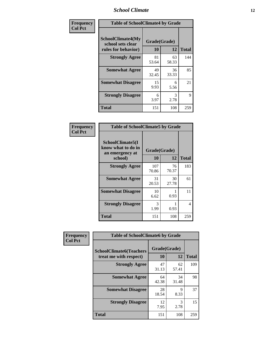#### *School Climate* **12**

| Frequency      |                                                                      | <b>Table of SchoolClimate4 by Grade</b> |             |              |  |
|----------------|----------------------------------------------------------------------|-----------------------------------------|-------------|--------------|--|
| <b>Col Pct</b> | <b>SchoolClimate4(My</b><br>school sets clear<br>rules for behavior) | Grade(Grade)<br>10                      | 12          | <b>Total</b> |  |
|                | <b>Strongly Agree</b>                                                | 81<br>53.64                             | 63<br>58.33 | 144          |  |
|                | <b>Somewhat Agree</b>                                                | 49<br>32.45                             | 36<br>33.33 | 85           |  |
|                | <b>Somewhat Disagree</b>                                             | 15<br>9.93                              | 6<br>5.56   | 21           |  |
|                | <b>Strongly Disagree</b>                                             | 6<br>3.97                               | 3<br>2.78   | 9            |  |
|                | <b>Total</b>                                                         | 151                                     | 108         | 259          |  |

| <b>Table of SchoolClimate5 by Grade</b>                   |              |             |              |  |  |
|-----------------------------------------------------------|--------------|-------------|--------------|--|--|
| SchoolClimate5(I<br>know what to do in<br>an emergency at | Grade(Grade) |             |              |  |  |
| school)                                                   | 10           | 12          | <b>Total</b> |  |  |
| <b>Strongly Agree</b>                                     | 107<br>70.86 | 76<br>70.37 | 183          |  |  |
| <b>Somewhat Agree</b>                                     | 31<br>20.53  | 30<br>27.78 | 61           |  |  |
| <b>Somewhat Disagree</b>                                  | 10<br>6.62   | 0.93        | 11           |  |  |
| <b>Strongly Disagree</b>                                  | 3<br>1.99    | 0.93        | 4            |  |  |
| Total                                                     | 151          | 108         | 259          |  |  |

| Frequency      | <b>Table of SchoolClimate6 by Grade</b>                  |                    |             |              |
|----------------|----------------------------------------------------------|--------------------|-------------|--------------|
| <b>Col Pct</b> | <b>SchoolClimate6(Teachers</b><br>treat me with respect) | Grade(Grade)<br>10 | 12          | <b>Total</b> |
|                | <b>Strongly Agree</b>                                    | 47<br>31.13        | 62<br>57.41 | 109          |
|                | <b>Somewhat Agree</b>                                    | 64<br>42.38        | 34<br>31.48 | 98           |
|                | <b>Somewhat Disagree</b>                                 | 28<br>18.54        | 9<br>8.33   | 37           |
|                | <b>Strongly Disagree</b>                                 | 12<br>7.95         | 3<br>2.78   | 15           |
|                | <b>Total</b>                                             | 151                | 108         | 259          |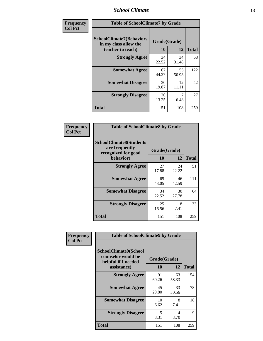#### *School Climate* **13**

| Frequency      | <b>Table of SchoolClimate7 by Grade</b>                                       |                           |             |              |
|----------------|-------------------------------------------------------------------------------|---------------------------|-------------|--------------|
| <b>Col Pct</b> | <b>SchoolClimate7(Behaviors</b><br>in my class allow the<br>teacher to teach) | Grade(Grade)<br><b>10</b> | 12          | <b>Total</b> |
|                | <b>Strongly Agree</b>                                                         | 34<br>22.52               | 34<br>31.48 | 68           |
|                | <b>Somewhat Agree</b>                                                         | 67<br>44.37               | 55<br>50.93 | 122          |
|                | <b>Somewhat Disagree</b>                                                      | 30<br>19.87               | 12<br>11.11 | 42           |
|                | <b>Strongly Disagree</b>                                                      | 20<br>13.25               | 7<br>6.48   | 27           |
|                | <b>Total</b>                                                                  | 151                       | 108         | 259          |

| Frequency      | <b>Table of SchoolClimate8 by Grade</b>                                              |                    |             |              |
|----------------|--------------------------------------------------------------------------------------|--------------------|-------------|--------------|
| <b>Col Pct</b> | <b>SchoolClimate8(Students</b><br>are frequently<br>recognized for good<br>behavior) | Grade(Grade)<br>10 | 12          | <b>Total</b> |
|                | <b>Strongly Agree</b>                                                                | 27<br>17.88        | 24<br>22.22 | 51           |
|                | <b>Somewhat Agree</b>                                                                | 65<br>43.05        | 46<br>42.59 | 111          |
|                | <b>Somewhat Disagree</b>                                                             | 34<br>22.52        | 30<br>27.78 | 64           |
|                | <b>Strongly Disagree</b>                                                             | 25<br>16.56        | 8<br>7.41   | 33           |
|                | <b>Total</b>                                                                         | 151                | 108         | 259          |

| Frequency      | <b>Table of SchoolClimate9 by Grade</b>                                           |                    |             |              |
|----------------|-----------------------------------------------------------------------------------|--------------------|-------------|--------------|
| <b>Col Pct</b> | SchoolClimate9(School<br>counselor would be<br>helpful if I needed<br>assistance) | Grade(Grade)<br>10 | 12          | <b>Total</b> |
|                | <b>Strongly Agree</b>                                                             | 91<br>60.26        | 63<br>58.33 | 154          |
|                | <b>Somewhat Agree</b>                                                             | 45<br>29.80        | 33<br>30.56 | 78           |
|                | <b>Somewhat Disagree</b>                                                          | 10<br>6.62         | 8<br>7.41   | 18           |
|                | <b>Strongly Disagree</b>                                                          | 5<br>3.31          | 4<br>3.70   | 9            |
|                | <b>Total</b>                                                                      | 151                | 108         | 259          |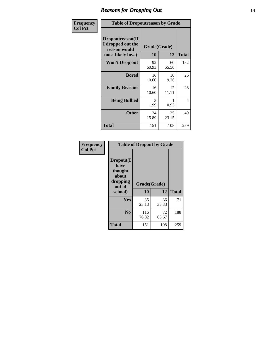### *Reasons for Dropping Out* **14**

| Frequency      | <b>Table of Dropoutreason by Grade</b>                                   |             |                    |              |
|----------------|--------------------------------------------------------------------------|-------------|--------------------|--------------|
| <b>Col Pct</b> | Dropoutreason(If<br>I dropped out the<br>reason would<br>most likely be) | 10          | Grade(Grade)<br>12 | <b>Total</b> |
|                | Won't Drop out                                                           | 92<br>60.93 | 60<br>55.56        | 152          |
|                | <b>Bored</b>                                                             | 16<br>10.60 | 10<br>9.26         | 26           |
|                | <b>Family Reasons</b>                                                    | 16<br>10.60 | 12<br>11.11        | 28           |
|                | <b>Being Bullied</b>                                                     | 3<br>1.99   | 0.93               | 4            |
|                | <b>Other</b>                                                             | 24<br>15.89 | 25<br>23.15        | 49           |
|                | <b>Total</b>                                                             | 151         | 108                | 259          |

| Frequency<br><b>Col Pct</b> |                                                             | <b>Table of Dropout by Grade</b> |             |              |
|-----------------------------|-------------------------------------------------------------|----------------------------------|-------------|--------------|
|                             | Dropout(I<br>have<br>thought<br>about<br>dropping<br>out of | Grade(Grade)                     |             |              |
|                             | school)                                                     | 10                               | 12          | <b>Total</b> |
|                             | Yes                                                         | 35<br>23.18                      | 36<br>33.33 | 71           |
|                             | N <sub>0</sub>                                              | 116<br>76.82                     | 72<br>66.67 | 188          |
|                             | <b>Total</b>                                                | 151                              | 108         | 259          |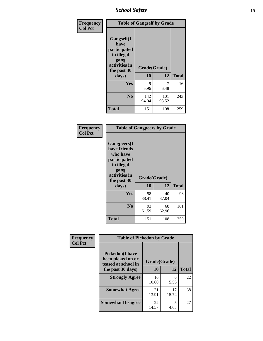*School Safety* **15**

| Frequency      | <b>Table of Gangself by Grade</b>                                                        |                    |              |              |
|----------------|------------------------------------------------------------------------------------------|--------------------|--------------|--------------|
| <b>Col Pct</b> | Gangself(I<br>have<br>participated<br>in illegal<br>gang<br>activities in<br>the past 30 | Grade(Grade)<br>10 | 12           | <b>Total</b> |
|                | days)                                                                                    |                    |              |              |
|                | Yes                                                                                      | 9                  | 7            | 16           |
|                |                                                                                          | 5.96               | 6.48         |              |
|                | N <sub>0</sub>                                                                           | 142<br>94.04       | 101<br>93.52 | 243          |
|                | <b>Total</b>                                                                             | 151                | 108          | 259          |

| Frequency<br><b>Col Pct</b> | <b>Table of Gangpeers by Grade</b>                                                                                             |                    |             |              |
|-----------------------------|--------------------------------------------------------------------------------------------------------------------------------|--------------------|-------------|--------------|
|                             | <b>Gangpeers</b> (I<br>have friends<br>who have<br>participated<br>in illegal<br>gang<br>activities in<br>the past 30<br>days) | Grade(Grade)<br>10 | 12          | <b>Total</b> |
|                             | Yes                                                                                                                            | 58<br>38.41        | 40<br>37.04 | 98           |
|                             | N <sub>0</sub>                                                                                                                 | 93<br>61.59        | 68<br>62.96 | 161          |
|                             | <b>Total</b>                                                                                                                   | 151                | 108         | 259          |

| Frequency      | <b>Table of Pickedon by Grade</b>                                   |              |             |              |  |  |  |  |  |
|----------------|---------------------------------------------------------------------|--------------|-------------|--------------|--|--|--|--|--|
| <b>Col Pct</b> | <b>Pickedon</b> (I have<br>been picked on or<br>teased at school in | Grade(Grade) |             |              |  |  |  |  |  |
|                | the past 30 days)                                                   | 10           | 12          | <b>Total</b> |  |  |  |  |  |
|                | <b>Strongly Agree</b>                                               | 16<br>10.60  | 6<br>5.56   | 22           |  |  |  |  |  |
|                | <b>Somewhat Agree</b>                                               | 21<br>13.91  | 17<br>15.74 | 38           |  |  |  |  |  |
|                | <b>Somewhat Disagree</b>                                            | 22<br>14.57  | 5<br>4.63   | 27           |  |  |  |  |  |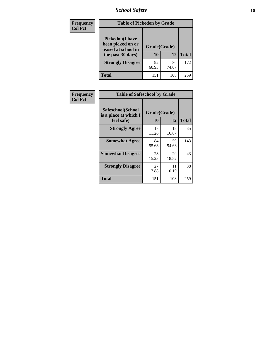### *School Safety* **16**

| <b>Frequency</b> | <b>Table of Pickedon by Grade</b>                                                        |                    |             |              |
|------------------|------------------------------------------------------------------------------------------|--------------------|-------------|--------------|
| <b>Col Pct</b>   | <b>Pickedon</b> (I have<br>been picked on or<br>teased at school in<br>the past 30 days) | Grade(Grade)<br>10 | 12          | <b>Total</b> |
|                  | <b>Strongly Disagree</b>                                                                 | 92<br>60.93        | 80<br>74.07 | 172          |
|                  | Total                                                                                    | 151                | 108         | 259          |

| Frequency      | <b>Table of Safeschool by Grade</b>                      |                    |             |              |  |  |  |  |  |
|----------------|----------------------------------------------------------|--------------------|-------------|--------------|--|--|--|--|--|
| <b>Col Pct</b> | Safeschool(School<br>is a place at which I<br>feel safe) | Grade(Grade)<br>10 | 12          | <b>Total</b> |  |  |  |  |  |
|                | <b>Strongly Agree</b>                                    | 17<br>11.26        | 18<br>16.67 | 35           |  |  |  |  |  |
|                | <b>Somewhat Agree</b>                                    | 84<br>55.63        | 59<br>54.63 | 143          |  |  |  |  |  |
|                | <b>Somewhat Disagree</b>                                 | 23<br>15.23        | 20<br>18.52 | 43           |  |  |  |  |  |
|                | <b>Strongly Disagree</b>                                 | 27<br>17.88        | 11<br>10.19 | 38           |  |  |  |  |  |
|                | Total                                                    | 151                | 108         | 259          |  |  |  |  |  |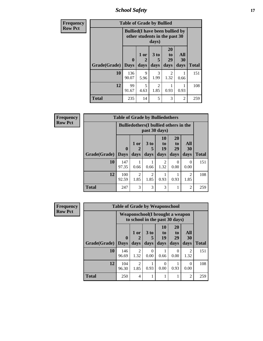*School Safety* **17**

| <b>Frequency</b> | <b>Table of Grade by Bullied</b> |                         |                                                                         |                              |                        |                   |              |  |  |  |
|------------------|----------------------------------|-------------------------|-------------------------------------------------------------------------|------------------------------|------------------------|-------------------|--------------|--|--|--|
| <b>Row Pct</b>   |                                  |                         | <b>Bullied</b> (I have been bullied by<br>other students in the past 30 | days)                        |                        |                   |              |  |  |  |
|                  | Grade(Grade)                     | $\bf{0}$<br><b>Days</b> | 1 or<br>2<br>days                                                       | 3 <sub>to</sub><br>5<br>days | 20<br>to<br>29<br>days | All<br>30<br>days | <b>Total</b> |  |  |  |
|                  | 10                               | 136<br>90.07            | 9<br>5.96                                                               | 3<br>1.99                    | 2<br>1.32              | 0.66              | 151          |  |  |  |
|                  | 12                               | 99<br>91.67             | 5<br>4.63                                                               | 2<br>1.85                    | 0.93                   | 0.93              | 108          |  |  |  |
|                  | <b>Total</b>                     | 235                     | 14                                                                      | 5                            | 3                      | $\mathfrak{D}$    | 259          |  |  |  |

| <b>Frequency</b> |                     | <b>Table of Grade by Bulliedothers</b>        |                        |                                     |                        |                               |                        |              |
|------------------|---------------------|-----------------------------------------------|------------------------|-------------------------------------|------------------------|-------------------------------|------------------------|--------------|
| <b>Row Pct</b>   |                     | <b>Bulliedothers</b> (I bullied others in the |                        |                                     |                        |                               |                        |              |
|                  | Grade(Grade)   Days | $\bf{0}$                                      | 1 or<br>days           | 3 to<br>days                        | 10<br>to<br>19<br>days | <b>20</b><br>to<br>29<br>days | All<br>30<br>days      | <b>Total</b> |
|                  | 10                  | 147<br>97.35                                  | 0.66                   | 0.66                                | $\mathfrak{D}$<br>1.32 | 0<br>0.00                     | $\Omega$<br>0.00       | 151          |
|                  | 12                  | 100<br>92.59                                  | $\mathfrak{D}$<br>1.85 | $\mathcal{D}_{\mathcal{A}}$<br>1.85 | 0.93                   | 0.93                          | $\mathfrak{D}$<br>1.85 | 108          |
|                  | <b>Total</b>        | 247                                           | 3                      | 3                                   | 3                      |                               | $\overline{2}$         | 259          |

| <b>Frequency</b> |              | <b>Table of Grade by Weaponschool</b> |                                                                    |             |                       |                            |                        |              |
|------------------|--------------|---------------------------------------|--------------------------------------------------------------------|-------------|-----------------------|----------------------------|------------------------|--------------|
| <b>Row Pct</b>   |              |                                       | Weaponschool (I brought a weapon<br>to school in the past 30 days) |             |                       |                            |                        |              |
|                  |              | $\bf{0}$                              | 1 or                                                               | $3$ to<br>5 | <b>10</b><br>to<br>19 | 20<br>t <sub>0</sub><br>29 | All<br>30              |              |
|                  | Grade(Grade) | <b>Days</b>                           | days                                                               | days        | days                  | days                       | days                   | <b>Total</b> |
|                  | 10           | 146<br>96.69                          | $\mathfrak{D}$<br>1.32                                             | 0<br>0.00   | 0.66                  | 0<br>0.00                  | $\overline{2}$<br>1.32 | 151          |
|                  | 12           | 104<br>96.30                          | $\mathfrak{D}$<br>1.85                                             | 0.93        | $\Omega$<br>0.00      | 0.93                       | 0<br>0.00              | 108          |
|                  | <b>Total</b> | 250                                   | 4                                                                  |             |                       | 1                          | $\overline{c}$         | 259          |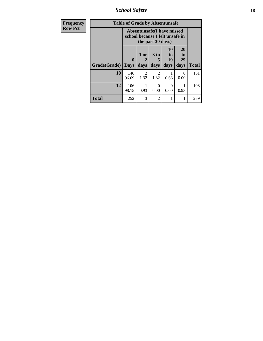*School Safety* **18**

| Frequency      | <b>Table of Grade by Absentunsafe</b> |                                                                      |                   |                        |                        |                        |              |  |  |
|----------------|---------------------------------------|----------------------------------------------------------------------|-------------------|------------------------|------------------------|------------------------|--------------|--|--|
| <b>Row Pct</b> |                                       | <b>Absentunsafe(I have missed</b><br>school because I felt unsafe in |                   |                        |                        |                        |              |  |  |
|                | Grade(Grade)                          | $\mathbf{0}$<br><b>Days</b>                                          | 1 or<br>2<br>days | 3 to<br>days           | 10<br>to<br>19<br>days | 20<br>to<br>29<br>days | <b>Total</b> |  |  |
|                | 10                                    | 146<br>96.69                                                         | 2<br>1.32         | $\mathfrak{D}$<br>1.32 | 0.66                   | $\Omega$<br>0.00       | 151          |  |  |
|                | 12                                    | 106<br>98.15                                                         | 0.93              | 0<br>0.00              | 0.00                   | 0.93                   | 108          |  |  |
|                | <b>Total</b>                          | 252                                                                  | 3                 | $\mathfrak{D}$         | 1                      |                        | 259          |  |  |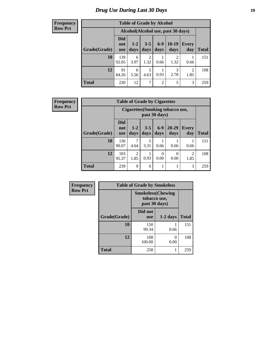### *Drug Use During Last 30 Days* **19**

#### **Frequency Row Pct**

| <b>Table of Grade by Alcohol</b> |                          |                                    |                        |                 |                 |                        |              |  |  |  |
|----------------------------------|--------------------------|------------------------------------|------------------------|-----------------|-----------------|------------------------|--------------|--|--|--|
|                                  |                          | Alcohol(Alcohol use, past 30 days) |                        |                 |                 |                        |              |  |  |  |
| Grade(Grade)                     | Did<br>not<br><b>use</b> | $1-2$<br>days                      | $3 - 5$<br>days        | $6 - 9$<br>days | $10-19$<br>days | <b>Every</b><br>day    | <b>Total</b> |  |  |  |
| 10                               | 139<br>92.05             | 6<br>3.97                          | $\overline{2}$<br>1.32 | 0.66            | 2<br>1.32       | 0.66                   | 151          |  |  |  |
| 12                               | 91<br>84.26              | 6<br>5.56                          | 5<br>4.63              | 0.93            | 3<br>2.78       | $\overline{2}$<br>1.85 | 108          |  |  |  |
| <b>Total</b>                     | 230                      | 12                                 | 7                      | $\overline{2}$  | 5               | 3                      | 259          |  |  |  |

| <b>Frequency</b> |              |                                 | <b>Table of Grade by Cigarettes</b> |                 |               |                                  |                        |              |
|------------------|--------------|---------------------------------|-------------------------------------|-----------------|---------------|----------------------------------|------------------------|--------------|
| <b>Row Pct</b>   |              |                                 |                                     |                 | past 30 days) | Cigarettes (Smoking tobacco use, |                        |              |
|                  | Grade(Grade) | <b>Did</b><br>not<br><b>use</b> | $1 - 2$<br>days                     | $3 - 5$<br>days | $6-9$<br>days | $20 - 29$<br>days                | <b>Every</b><br>day    | <b>Total</b> |
|                  | 10           | 136<br>90.07                    | 4.64                                | 5<br>3.31       | 0.66          | 0.66                             | 0.66                   | 151          |
|                  | 12           | 103<br>95.37                    | $\overline{2}$<br>1.85              | 0.93            | 0<br>0.00     | 0<br>0.00                        | $\overline{c}$<br>1.85 | 108          |
|                  | <b>Total</b> | 239                             | 9                                   | 6               | 1             |                                  | 3                      | 259          |

| Frequency      | <b>Table of Grade by Smokeless</b> |                       |                                                            |              |  |  |  |
|----------------|------------------------------------|-----------------------|------------------------------------------------------------|--------------|--|--|--|
| <b>Row Pct</b> |                                    |                       | <b>Smokeless</b> (Chewing<br>tobacco use,<br>past 30 days) |              |  |  |  |
|                | Grade(Grade)                       | Did not<br><b>use</b> | $1-2$ days                                                 | <b>Total</b> |  |  |  |
|                | 10                                 | 150<br>99.34          | 0.66                                                       | 151          |  |  |  |
|                | 12                                 | 108<br>100.00         | ∩<br>0.00                                                  | 108          |  |  |  |
|                | <b>Total</b>                       | 258                   |                                                            | 259          |  |  |  |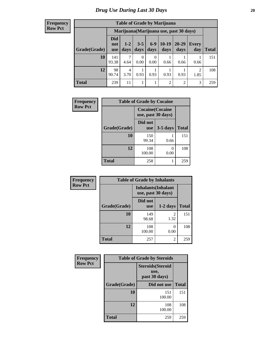#### **Frequency Row Pct**

| <b>Table of Grade by Marijuana</b> |                                 |                                         |                 |               |                 |                |              |       |  |  |
|------------------------------------|---------------------------------|-----------------------------------------|-----------------|---------------|-----------------|----------------|--------------|-------|--|--|
|                                    |                                 | Marijuana (Marijuana use, past 30 days) |                 |               |                 |                |              |       |  |  |
| Grade(Grade)                       | <b>Did</b><br>not<br><b>use</b> | $1 - 2$<br>days                         | $3 - 5$<br>days | $6-9$<br>days | $10-19$<br>days | 20-29<br>days  | Every<br>day | Total |  |  |
| 10                                 | 141<br>93.38                    | 7<br>4.64                               | 0<br>0.00       | 0<br>0.00     | 0.66            | 0.66           | 0.66         | 151   |  |  |
| 12                                 | 98<br>90.74                     | 4<br>3.70                               | 0.93            | 0.93          | 0.93            | 0.93           | 2<br>1.85    | 108   |  |  |
| <b>Total</b>                       | 239                             | 11                                      |                 | 1             | 2               | $\overline{2}$ | 3            | 259   |  |  |

| Frequency      | <b>Table of Grade by Cocaine</b> |                                               |                      |              |  |  |  |  |  |
|----------------|----------------------------------|-----------------------------------------------|----------------------|--------------|--|--|--|--|--|
| <b>Row Pct</b> |                                  | <b>Cocaine</b> (Cocaine<br>use, past 30 days) |                      |              |  |  |  |  |  |
|                | Grade(Grade)                     | Did not<br><b>use</b>                         | $3-5$ days           | <b>Total</b> |  |  |  |  |  |
|                | 10                               | 150<br>99.34                                  | 0.66                 | 151          |  |  |  |  |  |
|                | 12                               | 108<br>100.00                                 | $\mathbf{0}$<br>0.00 | 108          |  |  |  |  |  |
|                | <b>Total</b>                     | 258                                           | 1                    | 259          |  |  |  |  |  |

| Frequency      | <b>Table of Grade by Inhalants</b> |                                                  |                           |              |
|----------------|------------------------------------|--------------------------------------------------|---------------------------|--------------|
| <b>Row Pct</b> |                                    | <b>Inhalants</b> (Inhalant<br>use, past 30 days) |                           |              |
|                | Grade(Grade)                       | Did not<br><b>use</b>                            | $1-2$ days                | <b>Total</b> |
|                | 10                                 | 149<br>98.68                                     | 2<br>1.32                 | 151          |
|                | 12                                 | 108<br>100.00                                    | $\mathbf{\Omega}$<br>0.00 | 108          |
|                | <b>Total</b>                       | 257                                              | 2                         | 259          |

| Frequency      | <b>Table of Grade by Steroids</b> |                                                   |              |  |
|----------------|-----------------------------------|---------------------------------------------------|--------------|--|
| <b>Row Pct</b> |                                   | <b>Steroids</b> (Steroid<br>use,<br>past 30 days) |              |  |
|                | Grade(Grade)                      | Did not use                                       | <b>Total</b> |  |
|                | 10                                | 151<br>100.00                                     | 151          |  |
|                | 12                                | 108<br>100.00                                     | 108          |  |
|                | <b>Total</b>                      | 259                                               | 259          |  |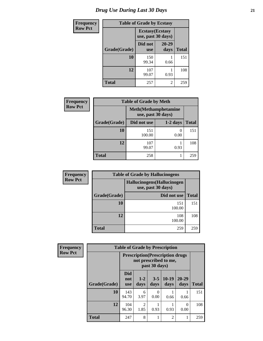### *Drug Use During Last 30 Days* **21**

| <b>Frequency</b> | <b>Table of Grade by Ecstasy</b> |                                               |               |              |
|------------------|----------------------------------|-----------------------------------------------|---------------|--------------|
| <b>Row Pct</b>   |                                  | <b>Ecstasy</b> (Ecstasy<br>use, past 30 days) |               |              |
|                  | Grade(Grade)                     | Did not<br><b>use</b>                         | 20-29<br>days | <b>Total</b> |
|                  | 10                               | 150<br>99.34                                  | 0.66          | 151          |
|                  | 12                               | 107<br>99.07                                  | 0.93          | 108          |
|                  | <b>Total</b>                     | 257                                           | 2             | 259          |

| <b>Frequency</b> | <b>Table of Grade by Meth</b> |               |                                                    |              |
|------------------|-------------------------------|---------------|----------------------------------------------------|--------------|
| <b>Row Pct</b>   |                               |               | <b>Meth</b> (Methamphetamine<br>use, past 30 days) |              |
|                  | Grade(Grade)                  | Did not use   | $1-2$ days                                         | <b>Total</b> |
|                  | 10                            | 151<br>100.00 | $\theta$<br>0.00                                   | 151          |
|                  | 12                            | 107<br>99.07  | 0.93                                               | 108          |
|                  | <b>Total</b>                  | 258           |                                                    | 259          |

| <b>Frequency</b> |              | <b>Table of Grade by Hallucinogens</b>            |              |
|------------------|--------------|---------------------------------------------------|--------------|
| <b>Row Pct</b>   |              | Hallucinogens (Hallucinogen<br>use, past 30 days) |              |
|                  | Grade(Grade) | Did not use                                       | <b>Total</b> |
|                  | <b>10</b>    | 151<br>100.00                                     | 151          |
|                  | 12           | 108<br>100.00                                     | 108          |
|                  | <b>Total</b> | 259                                               | 259          |

| Frequency      | <b>Table of Grade by Prescription</b> |                                                                                    |                        |                 |                 |                   |       |
|----------------|---------------------------------------|------------------------------------------------------------------------------------|------------------------|-----------------|-----------------|-------------------|-------|
| <b>Row Pct</b> |                                       | <b>Prescription</b> (Prescription drugs)<br>not prescribed to me,<br>past 30 days) |                        |                 |                 |                   |       |
|                | Grade(Grade)                          | <b>Did</b><br>not<br><b>use</b>                                                    | $1 - 2$<br>days        | $3 - 5$<br>days | $10-19$<br>days | $20 - 29$<br>days | Total |
|                | 10                                    | 143<br>94.70                                                                       | 6<br>3.97              | 0<br>0.00       | 0.66            | 0.66              | 151   |
|                | 12                                    | 104<br>96.30                                                                       | $\mathfrak{D}$<br>1.85 | 0.93            | 0.93            | 0<br>0.00         | 108   |
|                | <b>Total</b>                          | 247                                                                                | 8                      | 1               | 2               |                   | 259   |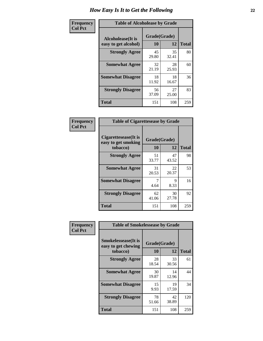| Frequency      | <b>Table of Alcoholease by Grade</b>              |                    |             |              |
|----------------|---------------------------------------------------|--------------------|-------------|--------------|
| <b>Col Pct</b> | <b>Alcoholease</b> (It is<br>easy to get alcohol) | Grade(Grade)<br>10 | 12          | <b>Total</b> |
|                | <b>Strongly Agree</b>                             | 45<br>29.80        | 35<br>32.41 | 80           |
|                | <b>Somewhat Agree</b>                             | 32<br>21.19        | 28<br>25.93 | 60           |
|                | <b>Somewhat Disagree</b>                          | 18<br>11.92        | 18<br>16.67 | 36           |
|                | <b>Strongly Disagree</b>                          | 56<br>37.09        | 27<br>25.00 | 83           |
|                | <b>Total</b>                                      | 151                | 108         | 259          |

| Frequency      | <b>Table of Cigarettesease by Grade</b>                 |                           |             |              |
|----------------|---------------------------------------------------------|---------------------------|-------------|--------------|
| <b>Col Pct</b> | Cigarettesease(It is<br>easy to get smoking<br>tobacco) | Grade(Grade)<br><b>10</b> | 12          | <b>Total</b> |
|                | <b>Strongly Agree</b>                                   | 51<br>33.77               | 47<br>43.52 | 98           |
|                | <b>Somewhat Agree</b>                                   | 31<br>20.53               | 22<br>20.37 | 53           |
|                | <b>Somewhat Disagree</b>                                | 7<br>4.64                 | 9<br>8.33   | 16           |
|                | <b>Strongly Disagree</b>                                | 62<br>41.06               | 30<br>27.78 | 92           |
|                | Total                                                   | 151                       | 108         | 259          |

| Frequency      | <b>Table of Smokelessease by Grade</b>                         |                    |             |              |
|----------------|----------------------------------------------------------------|--------------------|-------------|--------------|
| <b>Col Pct</b> | <b>Smokelessease</b> (It is<br>easy to get chewing<br>tobacco) | Grade(Grade)<br>10 | 12          | <b>Total</b> |
|                | <b>Strongly Agree</b>                                          | 28<br>18.54        | 33<br>30.56 | 61           |
|                | <b>Somewhat Agree</b>                                          | 30<br>19.87        | 14<br>12.96 | 44           |
|                | <b>Somewhat Disagree</b>                                       | 15<br>9.93         | 19<br>17.59 | 34           |
|                | <b>Strongly Disagree</b>                                       | 78<br>51.66        | 42<br>38.89 | 120          |
|                | <b>Total</b>                                                   | 151                | 108         | 259          |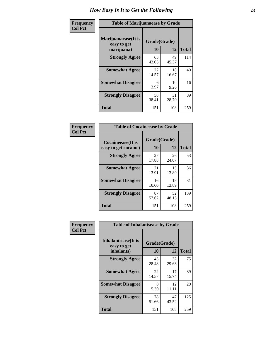| Frequency      | <b>Table of Marijuanaease by Grade</b>            |                           |             |              |
|----------------|---------------------------------------------------|---------------------------|-------------|--------------|
| <b>Col Pct</b> | Marijuanaease (It is<br>easy to get<br>marijuana) | Grade(Grade)<br><b>10</b> | 12          | <b>Total</b> |
|                | <b>Strongly Agree</b>                             | 65<br>43.05               | 49<br>45.37 | 114          |
|                | <b>Somewhat Agree</b>                             | 22<br>14.57               | 18<br>16.67 | 40           |
|                | <b>Somewhat Disagree</b>                          | 6<br>3.97                 | 10<br>9.26  | 16           |
|                | <b>Strongly Disagree</b>                          | 58<br>38.41               | 31<br>28.70 | 89           |
|                | <b>Total</b>                                      | 151                       | 108         | 259          |

| <b>Table of Cocaineease by Grade</b> |              |             |              |  |  |
|--------------------------------------|--------------|-------------|--------------|--|--|
| <b>Cocaineease</b> (It is            | Grade(Grade) |             |              |  |  |
| easy to get cocaine)                 | 10           | 12          | <b>Total</b> |  |  |
| <b>Strongly Agree</b>                | 27<br>17.88  | 26<br>24.07 | 53           |  |  |
| <b>Somewhat Agree</b>                | 21<br>13.91  | 15<br>13.89 | 36           |  |  |
| <b>Somewhat Disagree</b>             | 16<br>10.60  | 15<br>13.89 | 31           |  |  |
| <b>Strongly Disagree</b>             | 87<br>57.62  | 52<br>48.15 | 139          |  |  |
| <b>Total</b>                         | 151          | 108         | 259          |  |  |

| Frequency      | <b>Table of Inhalantsease by Grade</b>                   |                    |             |              |
|----------------|----------------------------------------------------------|--------------------|-------------|--------------|
| <b>Col Pct</b> | <b>Inhalantsease</b> (It is<br>easy to get<br>inhalants) | Grade(Grade)<br>10 | 12          | <b>Total</b> |
|                | <b>Strongly Agree</b>                                    | 43<br>28.48        | 32<br>29.63 | 75           |
|                | <b>Somewhat Agree</b>                                    | 22<br>14.57        | 17<br>15.74 | 39           |
|                | <b>Somewhat Disagree</b>                                 | 8<br>5.30          | 12<br>11.11 | 20           |
|                | <b>Strongly Disagree</b>                                 | 78<br>51.66        | 47<br>43.52 | 125          |
|                | <b>Total</b>                                             | 151                | 108         | 259          |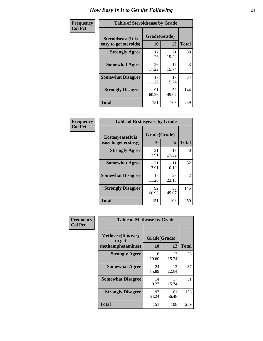| Frequency      | <b>Table of Steroidsease by Grade</b>               |                    |              |     |  |  |  |  |  |  |  |
|----------------|-----------------------------------------------------|--------------------|--------------|-----|--|--|--|--|--|--|--|
| <b>Col Pct</b> | <b>Steroidsease</b> (It is<br>easy to get steroids) | Grade(Grade)<br>10 | <b>Total</b> |     |  |  |  |  |  |  |  |
|                | <b>Strongly Agree</b>                               | 17<br>11.26        | 21<br>19.44  | 38  |  |  |  |  |  |  |  |
|                | <b>Somewhat Agree</b>                               | 26<br>17.22        | 17<br>15.74  | 43  |  |  |  |  |  |  |  |
|                | <b>Somewhat Disagree</b>                            | 17<br>11.26        | 17<br>15.74  | 34  |  |  |  |  |  |  |  |
|                | <b>Strongly Disagree</b>                            | 91<br>60.26        | 53<br>49.07  | 144 |  |  |  |  |  |  |  |
|                | <b>Total</b>                                        | 151                | 108          | 259 |  |  |  |  |  |  |  |

| Frequency      | <b>Table of Ecstasyease by Grade</b>              |                    |             |              |
|----------------|---------------------------------------------------|--------------------|-------------|--------------|
| <b>Col Pct</b> | <b>Ecstasyease</b> (It is<br>easy to get ecstasy) | Grade(Grade)<br>10 | 12          | <b>Total</b> |
|                | <b>Strongly Agree</b>                             | 21<br>13.91        | 19<br>17.59 | 40           |
|                | <b>Somewhat Agree</b>                             | 21<br>13.91        | 11<br>10.19 | 32           |
|                | <b>Somewhat Disagree</b>                          | 17<br>11.26        | 25<br>23.15 | 42           |
|                | <b>Strongly Disagree</b>                          | 92<br>60.93        | 53<br>49.07 | 145          |
|                | <b>Total</b>                                      | 151                | 108         | 259          |

| <b>Frequency</b> | <b>Table of Methease by Grade</b>                          |                    |             |              |  |  |  |  |  |  |
|------------------|------------------------------------------------------------|--------------------|-------------|--------------|--|--|--|--|--|--|
| <b>Col Pct</b>   | <b>Methease</b> (It is easy<br>to get<br>methamphetamines) | Grade(Grade)<br>10 | 12          | <b>Total</b> |  |  |  |  |  |  |
|                  | <b>Strongly Agree</b>                                      | 16<br>10.60        | 17<br>15.74 | 33           |  |  |  |  |  |  |
|                  | <b>Somewhat Agree</b>                                      | 24<br>15.89        | 13<br>12.04 | 37           |  |  |  |  |  |  |
|                  | <b>Somewhat Disagree</b>                                   | 14<br>9.27         | 17<br>15.74 | 31           |  |  |  |  |  |  |
|                  | <b>Strongly Disagree</b>                                   | 97<br>64.24        | 61<br>56.48 | 158          |  |  |  |  |  |  |
|                  | <b>Total</b>                                               | 151                | 108         | 259          |  |  |  |  |  |  |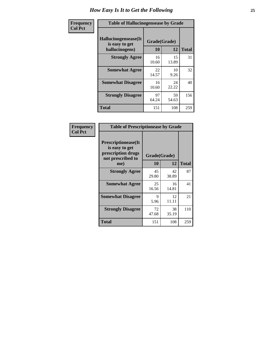| <b>Frequency</b> | <b>Table of Hallucinogensease by Grade</b>               |                    |             |              |  |  |  |  |  |  |
|------------------|----------------------------------------------------------|--------------------|-------------|--------------|--|--|--|--|--|--|
| <b>Col Pct</b>   | Hallucinogensease(It<br>is easy to get<br>hallucinogens) | Grade(Grade)<br>10 | 12          | <b>Total</b> |  |  |  |  |  |  |
|                  | <b>Strongly Agree</b>                                    | 16<br>10.60        | 15<br>13.89 | 31           |  |  |  |  |  |  |
|                  | <b>Somewhat Agree</b>                                    | 22<br>14.57        | 10<br>9.26  | 32           |  |  |  |  |  |  |
|                  | <b>Somewhat Disagree</b>                                 | 16<br>10.60        | 24<br>22.22 | 40           |  |  |  |  |  |  |
|                  | <b>Strongly Disagree</b>                                 | 97<br>64.24        | 59<br>54.63 | 156          |  |  |  |  |  |  |
|                  | <b>Total</b>                                             | 151                | 108         | 259          |  |  |  |  |  |  |

| Frequency<br>Col Pct |
|----------------------|
|                      |

| <b>Table of Prescriptionease by Grade</b>                                                |             |              |              |  |  |  |  |  |
|------------------------------------------------------------------------------------------|-------------|--------------|--------------|--|--|--|--|--|
| <b>Prescriptionease</b> (It<br>is easy to get<br>prescription drugs<br>not prescribed to |             | Grade(Grade) |              |  |  |  |  |  |
| me)                                                                                      | 10          | 12           | <b>Total</b> |  |  |  |  |  |
| <b>Strongly Agree</b>                                                                    | 45<br>29.80 | 42<br>38.89  | 87           |  |  |  |  |  |
| <b>Somewhat Agree</b>                                                                    | 25<br>16.56 | 16<br>14.81  | 41           |  |  |  |  |  |
| <b>Somewhat Disagree</b>                                                                 | Q<br>5.96   | 12<br>11.11  | 21           |  |  |  |  |  |
| <b>Strongly Disagree</b>                                                                 | 72<br>47.68 | 38<br>35.19  | 110          |  |  |  |  |  |
| <b>Total</b>                                                                             | 151         | 108          | 259          |  |  |  |  |  |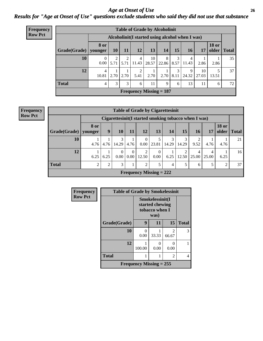#### *Age at Onset of Use* **26** *Results for "Age at Onset of Use" questions exclude students who said they did not use that substance*

| <b>Frequency</b> | <b>Table of Grade by Alcoholinit</b>             |               |                 |           |                         |                           |            |           |            |             |                       |              |  |
|------------------|--------------------------------------------------|---------------|-----------------|-----------|-------------------------|---------------------------|------------|-----------|------------|-------------|-----------------------|--------------|--|
| <b>Row Pct</b>   | Alcoholinit (I started using alcohol when I was) |               |                 |           |                         |                           |            |           |            |             |                       |              |  |
|                  | Grade(Grade)   younger                           | 8 or          | 10 <sup>1</sup> | <b>11</b> | 12                      | 13                        | 14         | 15        | <b>16</b>  | 17          | <b>18 or</b><br>older | <b>Total</b> |  |
|                  | 10                                               | $0.00\degree$ | 5.71            | ↑<br>5.71 | $\overline{4}$<br>11.43 | 10<br>28.57               | 8<br>22.86 | 3<br>8.57 | 4<br>11.43 | 2.86        | 2.86                  | 35           |  |
|                  | 12                                               | 4<br>10.81    | 2.70            | 2.70      | 2<br>5.41               | 2.70                      | 2.70       | 3<br>8.11 | 9<br>24.32 | 10<br>27.03 | 5<br>13.51            | 37           |  |
|                  | <b>Total</b>                                     | 4             | 3               | 3         | 6                       | 11                        | 9          | 6         | 13         | 11          | 6                     | 72           |  |
|                  |                                                  |               |                 |           |                         | Frequency Missing $= 187$ |            |           |            |             |                       |              |  |

| <b>Frequency</b> |
|------------------|
| <b>Row Pct</b>   |

| <b>Table of Grade by Cigarettesinit</b>                                                               |                                                                                                      |                                                       |                  |           |                           |                  |            |            |            |            |      |              |
|-------------------------------------------------------------------------------------------------------|------------------------------------------------------------------------------------------------------|-------------------------------------------------------|------------------|-----------|---------------------------|------------------|------------|------------|------------|------------|------|--------------|
|                                                                                                       |                                                                                                      | Cigarettesinit (I started smoking tobacco when I was) |                  |           |                           |                  |            |            |            |            |      |              |
| Grade(Grade)                                                                                          | <b>18 or</b><br>8 or<br>13<br>15<br>older<br>9<br>10<br>12<br>14<br><b>16</b><br>17<br>11<br>younger |                                                       |                  |           |                           |                  |            |            |            |            |      | <b>Total</b> |
| 10                                                                                                    | 4.76                                                                                                 | 4.76                                                  | 3<br>14.29       | 4.76      | 0<br>0.00                 | 23.81            | 3<br>14.29 | 3<br>14.29 | 9.52       | 4.76       | 4.76 | 21           |
| 12                                                                                                    | 6.25                                                                                                 | 6.25                                                  | $\theta$<br>0.00 | 0<br>0.00 | ∍<br>12.50                | $\theta$<br>0.00 | 6.25       | 2<br>12.50 | 4<br>25.00 | 4<br>25.00 | 6.25 | 16           |
| <b>Total</b><br>3<br>$\mathfrak{D}$<br>5<br>5<br>$\overline{2}$<br>2<br>$\overline{2}$<br>5<br>4<br>6 |                                                                                                      |                                                       |                  |           |                           |                  |            |            |            |            | 37   |              |
|                                                                                                       |                                                                                                      |                                                       |                  |           | Frequency Missing $= 222$ |                  |            |            |            |            |      |              |

| <b>Frequency</b> | <b>Table of Grade by Smokelessinit</b> |                                |                                                              |                                      |              |  |  |  |  |
|------------------|----------------------------------------|--------------------------------|--------------------------------------------------------------|--------------------------------------|--------------|--|--|--|--|
| <b>Row Pct</b>   |                                        |                                | Smokelessinit(I<br>started chewing<br>tobacco when I<br>was) |                                      |              |  |  |  |  |
|                  | Grade(Grade)                           | 9                              | 11                                                           | 15                                   | <b>Total</b> |  |  |  |  |
|                  | 10                                     | 0<br>0.00                      | 33.33                                                        | $\mathcal{D}_{\mathcal{L}}$<br>66.67 | 3            |  |  |  |  |
|                  | 12                                     | 100.00                         | $\Omega$<br>0.00                                             | $\mathbf{\Omega}$<br>0.00            |              |  |  |  |  |
|                  | <b>Total</b>                           |                                |                                                              | 2                                    | 4            |  |  |  |  |
|                  |                                        | <b>Frequency Missing = 255</b> |                                                              |                                      |              |  |  |  |  |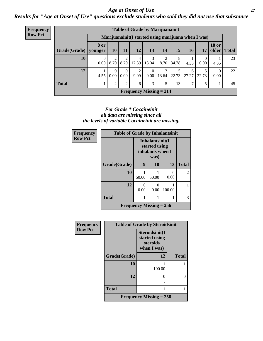#### *Age at Onset of Use* **27**

*Results for "Age at Onset of Use" questions exclude students who said they did not use that substance*

| <b>Frequency</b> | <b>Table of Grade by Marijuanainit</b> |                  |                                                     |                  |            |                  |                           |            |            |       |                  |               |  |
|------------------|----------------------------------------|------------------|-----------------------------------------------------|------------------|------------|------------------|---------------------------|------------|------------|-------|------------------|---------------|--|
| <b>Row Pct</b>   |                                        |                  | Marijuanainit(I started using marijuana when I was) |                  |            |                  |                           |            |            |       |                  |               |  |
|                  | Grade(Grade)   younger                 | <b>8 or</b>      | <b>10</b>                                           | 11               | 12         | 13               | 14                        | 15         | 16         | 17    | <b>18 or</b>     | older   Total |  |
|                  | 10                                     | $\theta$<br>0.00 | 8.70                                                | 8.70             | 4<br>17.39 | 3<br>13.04       | 8.70                      | 8<br>34.78 | 4.35       | 0.00  | 4.35             | 23            |  |
|                  | 12                                     | 4.55             | $\Omega$<br>0.00                                    | $\Omega$<br>0.00 | 2<br>9.09  | $\Omega$<br>0.00 | 3<br>13.64                | 5<br>22.73 | 6<br>27.27 | 22.73 | $\Omega$<br>0.00 | 22            |  |
|                  | <b>Total</b>                           |                  | $\overline{2}$                                      | 2                | 6          | 3                | 5                         | 13         | ⇁          |       |                  | 45            |  |
|                  |                                        |                  |                                                     |                  |            |                  | Frequency Missing $= 214$ |            |            |       |                  |               |  |

#### *For Grade \* Cocaineinit all data are missing since all the levels of variable Cocaineinit are missing.*

| <b>Frequency</b> | <b>Table of Grade by Inhalantsinit</b> |                                                      |                           |                       |             |  |  |  |
|------------------|----------------------------------------|------------------------------------------------------|---------------------------|-----------------------|-------------|--|--|--|
| <b>Row Pct</b>   |                                        | Inhalantsinit(I<br>started using<br>inhalants when I |                           |                       |             |  |  |  |
|                  | Grade(Grade)                           | 9                                                    | 13                        | <b>Total</b>          |             |  |  |  |
|                  | 10                                     | 50.00                                                | 50.00                     | $\mathcal{O}$<br>0.00 | $2^{\circ}$ |  |  |  |
|                  | 12                                     | 0<br>0.00                                            | 0<br>0.00                 | 100.00                |             |  |  |  |
|                  | <b>Total</b>                           |                                                      | 3                         |                       |             |  |  |  |
|                  |                                        |                                                      | Frequency Missing $= 256$ |                       |             |  |  |  |

| Frequency      | <b>Table of Grade by Steroidsinit</b> |                                                            |                   |  |  |
|----------------|---------------------------------------|------------------------------------------------------------|-------------------|--|--|
| <b>Row Pct</b> |                                       | Steroidsinit(I<br>started using<br>steroids<br>when I was) |                   |  |  |
|                | Grade(Grade)                          | 12                                                         | <b>Total</b>      |  |  |
|                | 10                                    | 100.00                                                     |                   |  |  |
|                | 12                                    | 0                                                          | $\mathbf{\Omega}$ |  |  |
|                | <b>Total</b>                          |                                                            |                   |  |  |
|                |                                       | Frequency Missing $= 258$                                  |                   |  |  |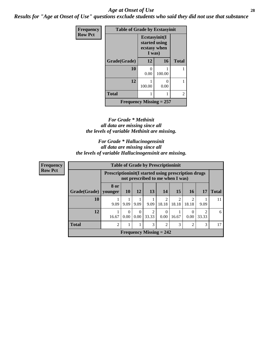#### *Age at Onset of Use* **28**

*Results for "Age at Onset of Use" questions exclude students who said they did not use that substance*

| Frequency      | <b>Table of Grade by Ecstasyinit</b> |                                                          |        |              |  |
|----------------|--------------------------------------|----------------------------------------------------------|--------|--------------|--|
| <b>Row Pct</b> |                                      | Ecstasyinit(I<br>started using<br>ecstasy when<br>I was) |        |              |  |
|                | Grade(Grade)                         | 12                                                       | 16     | <b>Total</b> |  |
|                | 10                                   | 0<br>0.00                                                | 100.00 |              |  |
|                | 12                                   | 100.00                                                   | 0.00   |              |  |
|                | <b>Total</b>                         |                                                          |        | 2            |  |
|                | <b>Frequency Missing = 257</b>       |                                                          |        |              |  |

#### *For Grade \* Methinit all data are missing since all the levels of variable Methinit are missing.*

*For Grade \* Hallucinogensinit all data are missing since all the levels of variable Hallucinogensinit are missing.*

| <b>Frequency</b> |              | <b>Table of Grade by Prescriptioninit</b>                                                        |           |           |           |                                |                        |                         |       |              |
|------------------|--------------|--------------------------------------------------------------------------------------------------|-----------|-----------|-----------|--------------------------------|------------------------|-------------------------|-------|--------------|
| <b>Row Pct</b>   |              | <b>Prescriptioninit (I started using prescription drugs)</b><br>not prescribed to me when I was) |           |           |           |                                |                        |                         |       |              |
|                  | Grade(Grade) | 8 or<br>  younger                                                                                | <b>10</b> | 12        | <b>13</b> | 14                             | 15                     | <b>16</b>               | 17    | <b>Total</b> |
|                  | 10           | 9.09                                                                                             | 9.09      | 9.09      | 9.09      | 18.18                          | $\mathcal{D}$<br>18.18 | $\mathfrak{D}$<br>18.18 | 9.09  | 11           |
|                  | 12           | 16.67                                                                                            | 0<br>0.00 | 0<br>0.00 | 33.33     | 0.00                           | 16.67                  | 0<br>0.00               | 33.33 | 6            |
|                  | <b>Total</b> | $\overline{2}$                                                                                   |           |           | 3         | $\overline{2}$                 | 3                      | 2                       | 3     | 17           |
|                  |              |                                                                                                  |           |           |           | <b>Frequency Missing = 242</b> |                        |                         |       |              |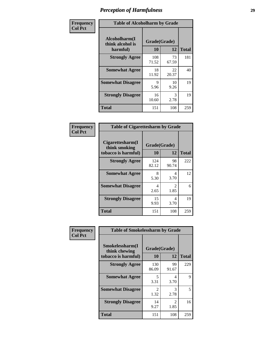| Frequency      | <b>Table of Alcoholharm by Grade</b>          |                    |             |              |  |
|----------------|-----------------------------------------------|--------------------|-------------|--------------|--|
| <b>Col Pct</b> | Alcoholharm(I<br>think alcohol is<br>harmful) | Grade(Grade)<br>10 | 12          | <b>Total</b> |  |
|                | <b>Strongly Agree</b>                         | 108<br>71.52       | 73<br>67.59 | 181          |  |
|                | <b>Somewhat Agree</b>                         | 18<br>11.92        | 22<br>20.37 | 40           |  |
|                | <b>Somewhat Disagree</b>                      | 9<br>5.96          | 10<br>9.26  | 19           |  |
|                | <b>Strongly Disagree</b>                      | 16<br>10.60        | 3<br>2.78   | 19           |  |
|                | <b>Total</b>                                  | 151                | 108         | 259          |  |

| <b>Table of Cigarettesharm by Grade</b>                  |                    |                        |              |  |  |
|----------------------------------------------------------|--------------------|------------------------|--------------|--|--|
| Cigarettesharm(I<br>think smoking<br>tobacco is harmful) | Grade(Grade)<br>10 | 12                     | <b>Total</b> |  |  |
| <b>Strongly Agree</b>                                    | 124<br>82.12       | 98<br>90.74            | 222          |  |  |
| <b>Somewhat Agree</b>                                    | 8<br>5.30          | 4<br>3.70              | 12           |  |  |
| <b>Somewhat Disagree</b>                                 | 4<br>2.65          | $\mathfrak{D}$<br>1.85 | 6            |  |  |
| <b>Strongly Disagree</b>                                 | 15<br>9.93         | 4<br>3.70              | 19           |  |  |
| <b>Total</b>                                             | 151                | 108                    | 259          |  |  |

| Frequency      | <b>Table of Smokelessharm by Grade</b>                  |                           |             |              |
|----------------|---------------------------------------------------------|---------------------------|-------------|--------------|
| <b>Col Pct</b> | Smokelessharm(I<br>think chewing<br>tobacco is harmful) | Grade(Grade)<br><b>10</b> | 12          | <b>Total</b> |
|                | <b>Strongly Agree</b>                                   | 130<br>86.09              | 99<br>91.67 | 229          |
|                | <b>Somewhat Agree</b>                                   | 5<br>3.31                 | 4<br>3.70   | 9            |
|                | <b>Somewhat Disagree</b>                                | $\mathfrak{D}$<br>1.32    | 3<br>2.78   | 5            |
|                | <b>Strongly Disagree</b>                                | 14<br>9.27                | 2<br>1.85   | 16           |
|                | <b>Total</b>                                            | 151                       | 108         | 259          |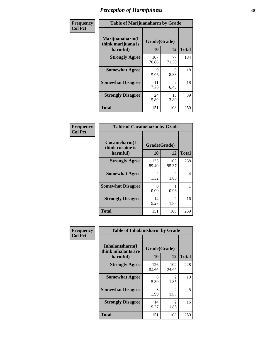| Frequency      | <b>Table of Marijuanaharm by Grade</b>            |                    |             |              |  |
|----------------|---------------------------------------------------|--------------------|-------------|--------------|--|
| <b>Col Pct</b> | Marijuanaharm(I<br>think marijuana is<br>harmful) | Grade(Grade)<br>10 | 12          | <b>Total</b> |  |
|                | <b>Strongly Agree</b>                             | 107<br>70.86       | 77<br>71.30 | 184          |  |
|                | <b>Somewhat Agree</b>                             | 9<br>5.96          | 9<br>8.33   | 18           |  |
|                | <b>Somewhat Disagree</b>                          | 11<br>7.28         | 6.48        | 18           |  |
|                | <b>Strongly Disagree</b>                          | 24<br>15.89        | 15<br>13.89 | 39           |  |
|                | <b>Total</b>                                      | 151                | 108         | 259          |  |

| <b>Table of Cocaineharm by Grade</b>          |                    |                        |              |  |  |
|-----------------------------------------------|--------------------|------------------------|--------------|--|--|
| Cocaineharm(I<br>think cocaine is<br>harmful) | Grade(Grade)<br>10 | 12                     | <b>Total</b> |  |  |
| <b>Strongly Agree</b>                         | 135<br>89.40       | 103<br>95.37           | 238          |  |  |
| <b>Somewhat Agree</b>                         | 2<br>1.32          | 2<br>1.85              | 4            |  |  |
| <b>Somewhat Disagree</b>                      | 0<br>0.00          | 0.93                   | 1            |  |  |
| <b>Strongly Disagree</b>                      | 14<br>9.27         | $\mathfrak{D}$<br>1.85 | 16           |  |  |
| <b>Total</b>                                  | 151                | 108                    | 259          |  |  |

| Frequency      | <b>Table of Inhalantsharm by Grade</b>             |                    |                       |              |  |
|----------------|----------------------------------------------------|--------------------|-----------------------|--------------|--|
| <b>Col Pct</b> | Inhalantsharm(I<br>think inhalants are<br>harmful) | Grade(Grade)<br>10 | 12                    | <b>Total</b> |  |
|                | <b>Strongly Agree</b>                              | 126<br>83.44       | 102<br>94.44          | 228          |  |
|                | <b>Somewhat Agree</b>                              | 8<br>5.30          | 2<br>1.85             | 10           |  |
|                | <b>Somewhat Disagree</b>                           | 3<br>1.99          | 2<br>1.85             | 5            |  |
|                | <b>Strongly Disagree</b>                           | 14<br>9.27         | $\mathcal{L}$<br>1.85 | 16           |  |
|                | <b>Total</b>                                       | 151                | 108                   | 259          |  |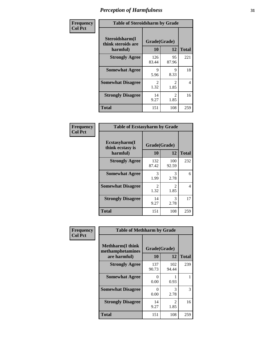| Frequency      | <b>Table of Steroidsharm by Grade</b>            |                        |                        |              |  |
|----------------|--------------------------------------------------|------------------------|------------------------|--------------|--|
| <b>Col Pct</b> | Steroidsharm(I<br>think steroids are<br>harmful) | Grade(Grade)<br>10     | 12                     | <b>Total</b> |  |
|                | <b>Strongly Agree</b>                            | 126<br>83.44           | 95<br>87.96            | 221          |  |
|                | <b>Somewhat Agree</b>                            | 9<br>5.96              | 9<br>8.33              | 18           |  |
|                | <b>Somewhat Disagree</b>                         | $\mathfrak{D}$<br>1.32 | $\mathfrak{D}$<br>1.85 | 4            |  |
|                | <b>Strongly Disagree</b>                         | 14<br>9.27             | $\mathcal{L}$<br>1.85  | 16           |  |
|                | <b>Total</b>                                     | 151                    | 108                    | 259          |  |

| <b>Table of Ecstasyharm by Grade</b>          |                    |                        |              |  |  |
|-----------------------------------------------|--------------------|------------------------|--------------|--|--|
| Ecstasyharm(I<br>think ecstasy is<br>harmful) | Grade(Grade)<br>10 | 12                     | <b>Total</b> |  |  |
| <b>Strongly Agree</b>                         | 132<br>87.42       | 100<br>92.59           | 232          |  |  |
| <b>Somewhat Agree</b>                         | 3<br>1.99          | 3<br>2.78              | 6            |  |  |
| <b>Somewhat Disagree</b>                      | 2<br>1.32          | $\mathfrak{D}$<br>1.85 | 4            |  |  |
| <b>Strongly Disagree</b>                      | 14<br>9.27         | 3<br>2.78              | 17           |  |  |
| <b>Total</b>                                  | 151                | 108                    | 259          |  |  |

| Frequency      | <b>Table of Methharm by Grade</b>                            |                           |              |              |  |
|----------------|--------------------------------------------------------------|---------------------------|--------------|--------------|--|
| <b>Col Pct</b> | <b>Methharm</b> (I think<br>methamphetamines<br>are harmful) | Grade(Grade)<br><b>10</b> | 12           | <b>Total</b> |  |
|                | <b>Strongly Agree</b>                                        | 137<br>90.73              | 102<br>94.44 | 239          |  |
|                | <b>Somewhat Agree</b>                                        | 0<br>0.00                 | 0.93         |              |  |
|                | <b>Somewhat Disagree</b>                                     | 0<br>0.00                 | 3<br>2.78    | 3            |  |
|                | <b>Strongly Disagree</b>                                     | 14<br>9.27                | 2<br>1.85    | 16           |  |
|                | <b>Total</b>                                                 | 151                       | 108          | 259          |  |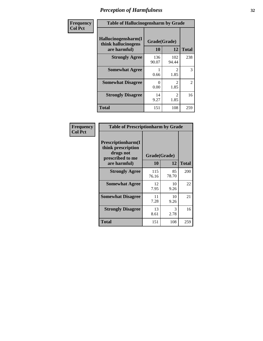| Frequency      | <b>Table of Hallucinogensharm by Grade</b>                 |                    |                        |                |
|----------------|------------------------------------------------------------|--------------------|------------------------|----------------|
| <b>Col Pct</b> | Hallucinogensharm(I<br>think hallucinogens<br>are harmful) | Grade(Grade)<br>10 | 12                     | <b>Total</b>   |
|                | <b>Strongly Agree</b>                                      | 136<br>90.07       | 102<br>94.44           | 238            |
|                | <b>Somewhat Agree</b>                                      | 0.66               | 2<br>1.85              | 3              |
|                | <b>Somewhat Disagree</b>                                   | 0<br>0.00          | $\mathfrak{D}$<br>1.85 | $\overline{2}$ |
|                | <b>Strongly Disagree</b>                                   | 14<br>9.27         | $\mathcal{L}$<br>1.85  | 16             |
|                | <b>Total</b>                                               | 151                | 108                    | 259            |

| <b>Table of Prescriptionharm by Grade</b>                                         |              |             |              |  |
|-----------------------------------------------------------------------------------|--------------|-------------|--------------|--|
| <b>Prescriptionharm</b> (I<br>think prescription<br>drugs not<br>prescribed to me | Grade(Grade) |             |              |  |
| are harmful)                                                                      | 10           | 12          | <b>Total</b> |  |
| <b>Strongly Agree</b>                                                             | 115<br>76.16 | 85<br>78.70 | 200          |  |
| <b>Somewhat Agree</b>                                                             | 12<br>7.95   | 10<br>9.26  | 22           |  |
| <b>Somewhat Disagree</b>                                                          | 11<br>7.28   | 10<br>9.26  | 21           |  |
| <b>Strongly Disagree</b>                                                          | 13<br>8.61   | 3<br>2.78   | 16           |  |
| <b>Total</b>                                                                      | 151          | 108         | 259          |  |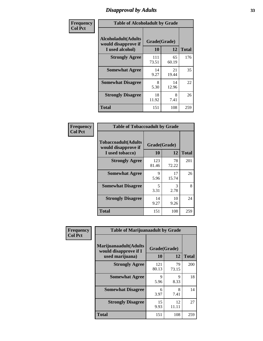### *Disapproval by Adults* **33**

| Frequency      | <b>Table of Alcoholadult by Grade</b>                                 |                    |             |              |  |
|----------------|-----------------------------------------------------------------------|--------------------|-------------|--------------|--|
| <b>Col Pct</b> | <b>Alcoholadult</b> (Adults<br>would disapprove if<br>I used alcohol) | Grade(Grade)<br>10 | 12          | <b>Total</b> |  |
|                | <b>Strongly Agree</b>                                                 | 111<br>73.51       | 65<br>60.19 | 176          |  |
|                | <b>Somewhat Agree</b>                                                 | 14<br>9.27         | 21<br>19.44 | 35           |  |
|                | <b>Somewhat Disagree</b>                                              | 8<br>5.30          | 14<br>12.96 | 22           |  |
|                | <b>Strongly Disagree</b>                                              | 18<br>11.92        | 8<br>7.41   | 26           |  |
|                | <b>Total</b>                                                          | 151                | 108         | 259          |  |

| <b>Table of Tobaccoadult by Grade</b>                                 |                    |             |              |  |  |
|-----------------------------------------------------------------------|--------------------|-------------|--------------|--|--|
| <b>Tobaccoadult</b> (Adults<br>would disapprove if<br>I used tobacco) | Grade(Grade)<br>10 | 12          | <b>Total</b> |  |  |
| <b>Strongly Agree</b>                                                 | 123<br>81.46       | 78<br>72.22 | 201          |  |  |
| <b>Somewhat Agree</b>                                                 | 9<br>5.96          | 17<br>15.74 | 26           |  |  |
| <b>Somewhat Disagree</b>                                              | 5<br>3.31          | 3<br>2.78   | 8            |  |  |
| <b>Strongly Disagree</b>                                              | 14<br>9.27         | 10<br>9.26  | 24           |  |  |
| <b>Total</b>                                                          | 151                | 108         | 259          |  |  |

| Frequency      | <b>Table of Marijuanaadult by Grade</b>                           |                    |             |              |
|----------------|-------------------------------------------------------------------|--------------------|-------------|--------------|
| <b>Col Pct</b> | Marijuanaadult(Adults<br>would disapprove if I<br>used marijuana) | Grade(Grade)<br>10 | 12          | <b>Total</b> |
|                | <b>Strongly Agree</b>                                             | 121<br>80.13       | 79<br>73.15 | 200          |
|                | <b>Somewhat Agree</b>                                             | 9<br>5.96          | 9<br>8.33   | 18           |
|                | <b>Somewhat Disagree</b>                                          | 6<br>3.97          | 8<br>7.41   | 14           |
|                | <b>Strongly Disagree</b>                                          | 15<br>9.93         | 12<br>11.11 | 27           |
|                | <b>Total</b>                                                      | 151                | 108         | 259          |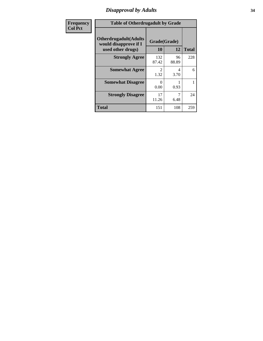### *Disapproval by Adults* **34**

| <b>Frequency</b> | <b>Table of Otherdrugadult by Grade</b>                                     |                           |             |              |
|------------------|-----------------------------------------------------------------------------|---------------------------|-------------|--------------|
| <b>Col Pct</b>   | <b>Otherdrugadult</b> (Adults<br>would disapprove if I<br>used other drugs) | Grade(Grade)<br><b>10</b> | 12          | <b>Total</b> |
|                  | <b>Strongly Agree</b>                                                       | 132<br>87.42              | 96<br>88.89 | 228          |
|                  | <b>Somewhat Agree</b>                                                       | $\mathfrak{D}$<br>1.32    | 4<br>3.70   | 6            |
|                  | <b>Somewhat Disagree</b>                                                    | $\mathbf{0}$<br>0.00      | 0.93        |              |
|                  | <b>Strongly Disagree</b>                                                    | 17<br>11.26               | 7<br>6.48   | 24           |
|                  | <b>Total</b>                                                                | 151                       | 108         | 259          |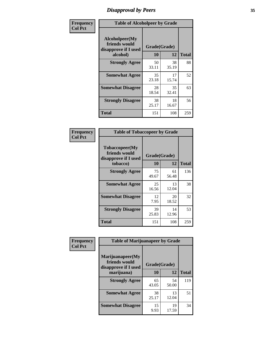### *Disapproval by Peers* **35**

| Frequency      | <b>Table of Alcoholpeer by Grade</b>                    |              |             |              |
|----------------|---------------------------------------------------------|--------------|-------------|--------------|
| <b>Col Pct</b> | Alcoholpeer(My<br>friends would<br>disapprove if I used | Grade(Grade) |             |              |
|                | alcohol)                                                | 10           | 12          | <b>Total</b> |
|                | <b>Strongly Agree</b>                                   | 50<br>33.11  | 38<br>35.19 | 88           |
|                | <b>Somewhat Agree</b>                                   | 35<br>23.18  | 17<br>15.74 | 52           |
|                | <b>Somewhat Disagree</b>                                | 28<br>18.54  | 35<br>32.41 | 63           |
|                | <b>Strongly Disagree</b>                                | 38<br>25.17  | 18<br>16.67 | 56           |
|                | Total                                                   | 151          | 108         | 259          |

| Frequency      | <b>Table of Tobaccopeer by Grade</b>                    |              |             |              |  |
|----------------|---------------------------------------------------------|--------------|-------------|--------------|--|
| <b>Col Pct</b> | Tobaccopeer(My<br>friends would<br>disapprove if I used | Grade(Grade) |             |              |  |
|                | tobacco)                                                | 10           | 12          | <b>Total</b> |  |
|                | <b>Strongly Agree</b>                                   | 75<br>49.67  | 61<br>56.48 | 136          |  |
|                | <b>Somewhat Agree</b>                                   | 25<br>16.56  | 13<br>12.04 | 38           |  |
|                | <b>Somewhat Disagree</b>                                | 12<br>7.95   | 20<br>18.52 | 32           |  |
|                | <b>Strongly Disagree</b>                                | 39<br>25.83  | 14<br>12.96 | 53           |  |
|                | <b>Total</b>                                            | 151          | 108         | 259          |  |

| Frequency      | <b>Table of Marijuanapeer by Grade</b>                    |              |             |              |
|----------------|-----------------------------------------------------------|--------------|-------------|--------------|
| <b>Col Pct</b> | Marijuanapeer(My<br>friends would<br>disapprove if I used | Grade(Grade) |             |              |
|                | marijuana)                                                | <b>10</b>    | 12          | <b>Total</b> |
|                | <b>Strongly Agree</b>                                     | 65<br>43.05  | 54<br>50.00 | 119          |
|                | <b>Somewhat Agree</b>                                     | 38<br>25.17  | 13<br>12.04 | 51           |
|                | <b>Somewhat Disagree</b>                                  | 15<br>9.93   | 19<br>17.59 | 34           |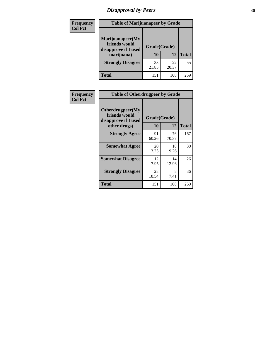### *Disapproval by Peers* **36**

| <b>Frequency</b> | <b>Table of Marijuanapeer by Grade</b>                                  |                           |             |              |  |
|------------------|-------------------------------------------------------------------------|---------------------------|-------------|--------------|--|
| <b>Col Pct</b>   | Marijuanapeer(My<br>friends would<br>disapprove if I used<br>marijuana) | Grade(Grade)<br><b>10</b> | 12          | <b>Total</b> |  |
|                  | <b>Strongly Disagree</b>                                                | 33<br>21.85               | 22<br>20.37 | 55           |  |
|                  | <b>Total</b>                                                            | 151                       | 108         | 259          |  |

| <b>Frequency</b> | <b>Table of Otherdrugpeer by Grade</b>                                    |                           |             |              |
|------------------|---------------------------------------------------------------------------|---------------------------|-------------|--------------|
| <b>Col Pct</b>   | Otherdrugpeer(My<br>friends would<br>disapprove if I used<br>other drugs) | Grade(Grade)<br><b>10</b> | 12          | <b>Total</b> |
|                  | <b>Strongly Agree</b>                                                     | 91<br>60.26               | 76<br>70.37 | 167          |
|                  | <b>Somewhat Agree</b>                                                     | 20<br>13.25               | 10<br>9.26  | 30           |
|                  | <b>Somewhat Disagree</b>                                                  | 12<br>7.95                | 14<br>12.96 | 26           |
|                  | <b>Strongly Disagree</b>                                                  | 28<br>18.54               | 8<br>7.41   | 36           |
|                  | <b>Total</b>                                                              | 151                       | 108         | 259          |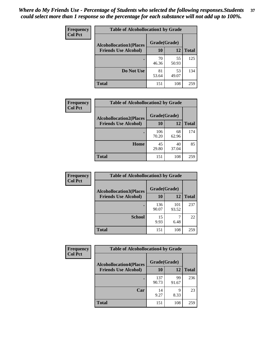| Frequency      | <b>Table of Alcohollocation1 by Grade</b> |              |             |              |  |
|----------------|-------------------------------------------|--------------|-------------|--------------|--|
| <b>Col Pct</b> | <b>Alcohollocation1(Places</b>            | Grade(Grade) |             |              |  |
|                | <b>Friends Use Alcohol)</b>               | 10           | 12          | <b>Total</b> |  |
|                |                                           | 70<br>46.36  | 55<br>50.93 | 125          |  |
|                | Do Not Use                                | 81<br>53.64  | 53<br>49.07 | 134          |  |
|                | <b>Total</b>                              | 151          | 108         | 259          |  |

| Frequency      | <b>Table of Alcohollocation2 by Grade</b>                     |                    |             |              |
|----------------|---------------------------------------------------------------|--------------------|-------------|--------------|
| <b>Col Pct</b> | <b>Alcohollocation2(Places</b><br><b>Friends Use Alcohol)</b> | Grade(Grade)<br>10 | <b>12</b>   | <b>Total</b> |
|                |                                                               | 106<br>70.20       | 68<br>62.96 | 174          |
|                | Home                                                          | 45<br>29.80        | 40<br>37.04 | 85           |
|                | <b>Total</b>                                                  | 151                | 108         | 259          |

| Frequency<br><b>Col Pct</b> | <b>Table of Alcohollocation 3 by Grade</b>                    |                    |              |              |
|-----------------------------|---------------------------------------------------------------|--------------------|--------------|--------------|
|                             | <b>Alcohollocation3(Places</b><br><b>Friends Use Alcohol)</b> | Grade(Grade)<br>10 | 12           | <b>Total</b> |
|                             |                                                               | 136<br>90.07       | 101<br>93.52 | 237          |
|                             | <b>School</b>                                                 | 15<br>9.93         | 6.48         | 22           |
|                             | <b>Total</b>                                                  | 151                | 108          | 259          |

| Frequency      | <b>Table of Alcohollocation4 by Grade</b>      |              |             |              |  |
|----------------|------------------------------------------------|--------------|-------------|--------------|--|
| <b>Col Pct</b> | Grade(Grade)<br><b>Alcohollocation4(Places</b> |              |             |              |  |
|                | <b>Friends Use Alcohol)</b>                    | 10           | 12          | <b>Total</b> |  |
|                |                                                | 137<br>90.73 | 99<br>91.67 | 236          |  |
|                | Car                                            | 14<br>9.27   | 9<br>8.33   | 23           |  |
|                | <b>Total</b>                                   | 151          | 108         | 259          |  |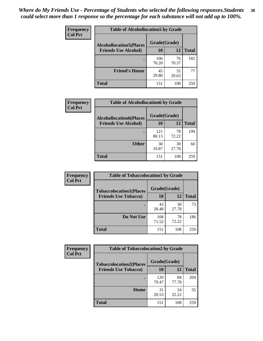| Frequency<br><b>Col Pct</b> | <b>Table of Alcohollocation5 by Grade</b>      |              |             |              |  |
|-----------------------------|------------------------------------------------|--------------|-------------|--------------|--|
|                             | Grade(Grade)<br><b>Alcohollocation5(Places</b> |              |             |              |  |
|                             | <b>Friends Use Alcohol)</b>                    | 10           | 12          | <b>Total</b> |  |
|                             |                                                | 106<br>70.20 | 76<br>70.37 | 182          |  |
|                             | <b>Friend's House</b>                          | 45<br>29.80  | 32<br>29.63 | 77           |  |
|                             | <b>Total</b>                                   | 151          | 108         | 259          |  |

| Frequency      | <b>Table of Alcohollocation6 by Grade</b>                     |                    |             |              |
|----------------|---------------------------------------------------------------|--------------------|-------------|--------------|
| <b>Col Pct</b> | <b>Alcohollocation6(Places</b><br><b>Friends Use Alcohol)</b> | Grade(Grade)<br>10 | <b>12</b>   | <b>Total</b> |
|                |                                                               | 121                | 78          | 199          |
|                | <b>Other</b>                                                  | 80.13<br>30        | 72.22<br>30 | 60           |
|                |                                                               | 19.87              | 27.78       |              |
|                | <b>Total</b>                                                  | 151                | 108         | 259          |

| Frequency      | <b>Table of Tobaccolocation1 by Grade</b> |              |             |              |
|----------------|-------------------------------------------|--------------|-------------|--------------|
| <b>Col Pct</b> | <b>Tobaccolocation1(Places</b>            | Grade(Grade) |             |              |
|                | <b>Friends Use Tobacco)</b>               | 10           | 12          | <b>Total</b> |
|                |                                           | 43<br>28.48  | 30<br>27.78 | 73           |
|                | Do Not Use                                | 108<br>71.52 | 78<br>72.22 | 186          |
|                | <b>Total</b>                              | 151          | 108         | 259          |

| Frequency      | <b>Table of Tobaccolocation2 by Grade</b> |              |             |              |
|----------------|-------------------------------------------|--------------|-------------|--------------|
| <b>Col Pct</b> | <b>Tobaccolocation2(Places</b>            | Grade(Grade) |             |              |
|                | <b>Friends Use Tobacco)</b>               | 10           | 12          | <b>Total</b> |
|                |                                           | 120<br>79.47 | 84<br>77.78 | 204          |
|                | Home                                      | 31<br>20.53  | 24<br>22.22 | 55           |
|                | <b>Total</b>                              | 151          | 108         | 259          |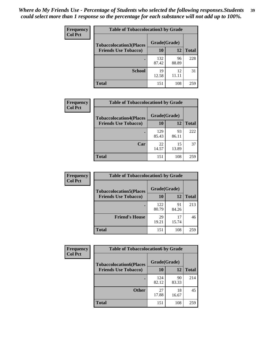| Frequency      | <b>Table of Tobaccolocation 3 by Grade</b> |              |             |              |
|----------------|--------------------------------------------|--------------|-------------|--------------|
| <b>Col Pct</b> | <b>Tobaccolocation3(Places</b>             | Grade(Grade) |             |              |
|                | <b>Friends Use Tobacco)</b>                | 10           | <b>12</b>   | <b>Total</b> |
|                |                                            | 132<br>87.42 | 96<br>88.89 | 228          |
|                | <b>School</b>                              | 19<br>12.58  | 12<br>11.11 | 31           |
|                | <b>Total</b>                               | 151          | 108         | 259          |

| <b>Frequency</b> | <b>Table of Tobaccolocation4 by Grade</b> |              |             |              |
|------------------|-------------------------------------------|--------------|-------------|--------------|
| <b>Col Pct</b>   | <b>Tobaccolocation4(Places</b>            | Grade(Grade) |             |              |
|                  | <b>Friends Use Tobacco)</b>               | 10           | 12          | <b>Total</b> |
|                  |                                           | 129<br>85.43 | 93<br>86.11 | 222          |
|                  | Car                                       | 22<br>14.57  | 15<br>13.89 | 37           |
|                  | <b>Total</b>                              | 151          | 108         | 259          |

| Frequency      | <b>Table of Tobaccolocation5 by Grade</b> |              |             |              |
|----------------|-------------------------------------------|--------------|-------------|--------------|
| <b>Col Pct</b> | <b>Tobaccolocation5(Places</b>            | Grade(Grade) |             |              |
|                | <b>Friends Use Tobacco)</b>               | 10           | <b>12</b>   | <b>Total</b> |
|                |                                           | 122<br>80.79 | 91<br>84.26 | 213          |
|                | <b>Friend's House</b>                     | 29<br>19.21  | 17<br>15.74 | 46           |
|                | <b>Total</b>                              | 151          | 108         | 259          |

| <b>Frequency</b> | <b>Table of Tobaccolocation6 by Grade</b> |              |             |              |
|------------------|-------------------------------------------|--------------|-------------|--------------|
| <b>Col Pct</b>   | <b>Tobaccolocation6(Places</b>            | Grade(Grade) |             |              |
|                  | <b>Friends Use Tobacco)</b>               | 10           | 12          | <b>Total</b> |
|                  |                                           | 124<br>82.12 | 90<br>83.33 | 214          |
|                  | <b>Other</b>                              | 27<br>17.88  | 18<br>16.67 | 45           |
|                  | <b>Total</b>                              | 151          | 108         | 259          |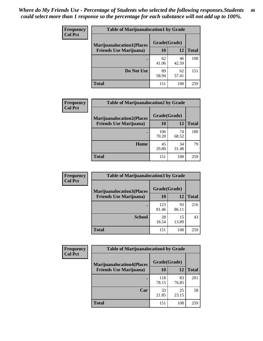| <b>Frequency</b> | <b>Table of Marijuanalocation1 by Grade</b> |              |             |              |
|------------------|---------------------------------------------|--------------|-------------|--------------|
| <b>Col Pct</b>   | <b>Marijuanalocation1(Places</b>            | Grade(Grade) |             |              |
|                  | <b>Friends Use Marijuana</b> )              | 10           | 12          | <b>Total</b> |
|                  |                                             | 62<br>41.06  | 46<br>42.59 | 108          |
|                  | Do Not Use                                  | 89<br>58.94  | 62<br>57.41 | 151          |
|                  | <b>Total</b>                                | 151          | 108         | 259          |

| <b>Frequency</b> | <b>Table of Marijuanalocation2 by Grade</b>                        |                    |             |              |
|------------------|--------------------------------------------------------------------|--------------------|-------------|--------------|
| <b>Col Pct</b>   | <b>Marijuanalocation2(Places</b><br><b>Friends Use Marijuana</b> ) | Grade(Grade)<br>10 | 12          | <b>Total</b> |
|                  |                                                                    | 106<br>70.20       | 74<br>68.52 | 180          |
|                  | Home                                                               | 45<br>29.80        | 34<br>31.48 | 79           |
|                  | <b>Total</b>                                                       | 151                | 108         | 259          |

| Frequency<br><b>Col Pct</b> | <b>Table of Marijuanalocation3 by Grade</b> |              |       |       |
|-----------------------------|---------------------------------------------|--------------|-------|-------|
|                             | <b>Marijuanalocation3</b> (Places           | Grade(Grade) |       |       |
|                             | <b>Friends Use Marijuana</b> )              | 10           | 12    | Total |
|                             |                                             | 123          | 93    | 216   |
|                             |                                             | 81.46        | 86.11 |       |
|                             | <b>School</b>                               | 28           | 15    | 43    |
|                             |                                             | 18.54        | 13.89 |       |
|                             | <b>Total</b>                                | 151          | 108   | 259   |

| <b>Frequency</b> | <b>Table of Marijuanalocation4 by Grade</b> |              |             |              |  |
|------------------|---------------------------------------------|--------------|-------------|--------------|--|
| <b>Col Pct</b>   | <b>Marijuanalocation4(Places</b>            | Grade(Grade) |             |              |  |
|                  | <b>Friends Use Marijuana</b> )              | <b>10</b>    | 12          | <b>Total</b> |  |
|                  |                                             | 118<br>78.15 | 83<br>76.85 | 201          |  |
|                  | Car                                         | 33<br>21.85  | 25<br>23.15 | 58           |  |
|                  | <b>Total</b>                                | 151          | 108         | 259          |  |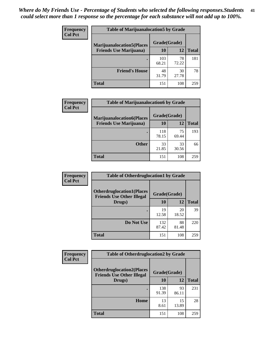| <b>Frequency</b>               | <b>Table of Marijuanalocation5 by Grade</b> |              |              |     |
|--------------------------------|---------------------------------------------|--------------|--------------|-----|
| <b>Col Pct</b>                 | <b>Marijuanalocation5</b> (Places           | Grade(Grade) |              |     |
| <b>Friends Use Marijuana</b> ) | 10                                          | 12           | <b>Total</b> |     |
|                                |                                             | 103<br>68.21 | 78<br>72.22  | 181 |
|                                | <b>Friend's House</b>                       | 48<br>31.79  | 30<br>27.78  | 78  |
|                                | <b>Total</b>                                | 151          | 108          | 259 |

| <b>Frequency</b> | <b>Table of Marijuanalocation6 by Grade</b>                        |                    |             |              |
|------------------|--------------------------------------------------------------------|--------------------|-------------|--------------|
| <b>Col Pct</b>   | <b>Marijuanalocation6(Places</b><br><b>Friends Use Marijuana</b> ) | Grade(Grade)<br>10 | 12          | <b>Total</b> |
|                  |                                                                    | 118<br>78.15       | 75<br>69.44 | 193          |
|                  | <b>Other</b>                                                       | 33<br>21.85        | 33<br>30.56 | 66           |
|                  | <b>Total</b>                                                       | 151                | 108         | 259          |

| Frequency      | <b>Table of Otherdruglocation1 by Grade</b>                          |              |             |              |
|----------------|----------------------------------------------------------------------|--------------|-------------|--------------|
| <b>Col Pct</b> | <b>Otherdruglocation1(Places</b><br><b>Friends Use Other Illegal</b> | Grade(Grade) |             |              |
|                | Drugs)                                                               | 10           | 12          | <b>Total</b> |
|                |                                                                      | 19<br>12.58  | 20<br>18.52 | 39           |
|                | Do Not Use                                                           | 132<br>87.42 | 88<br>81.48 | 220          |
|                | <b>Total</b>                                                         | 151          | 108         | 259          |

| Frequency      | <b>Table of Otherdruglocation2 by Grade</b>                          |              |             |              |
|----------------|----------------------------------------------------------------------|--------------|-------------|--------------|
| <b>Col Pct</b> | <b>Otherdruglocation2(Places</b><br><b>Friends Use Other Illegal</b> | Grade(Grade) |             |              |
|                | Drugs)                                                               | 10           | 12          | <b>Total</b> |
|                |                                                                      | 138<br>91.39 | 93<br>86.11 | 231          |
|                | Home                                                                 | 13<br>8.61   | 15<br>13.89 | 28           |
|                | <b>Total</b>                                                         | 151          | 108         | 259          |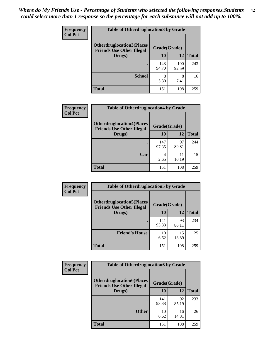| <b>Frequency</b> | <b>Table of Otherdruglocation 3 by Grade</b>                          |              |              |              |
|------------------|-----------------------------------------------------------------------|--------------|--------------|--------------|
| <b>Col Pct</b>   | <b>Otherdruglocation3(Places)</b><br><b>Friends Use Other Illegal</b> | Grade(Grade) |              |              |
|                  | Drugs)                                                                | 10           | 12           | <b>Total</b> |
|                  |                                                                       | 143<br>94.70 | 100<br>92.59 | 243          |
|                  | <b>School</b>                                                         | 8<br>5.30    | 8<br>7.41    | 16           |
|                  | <b>Total</b>                                                          | 151          | 108          | 259          |

| <b>Frequency</b> | <b>Table of Otherdruglocation4 by Grade</b>                          |              |             |              |
|------------------|----------------------------------------------------------------------|--------------|-------------|--------------|
| <b>Col Pct</b>   | <b>Otherdruglocation4(Places</b><br><b>Friends Use Other Illegal</b> | Grade(Grade) |             |              |
|                  | Drugs)                                                               | 10           | 12          | <b>Total</b> |
|                  |                                                                      | 147<br>97.35 | 97<br>89.81 | 244          |
|                  | Car                                                                  | 4<br>2.65    | 11<br>10.19 | 15           |
|                  | <b>Total</b>                                                         | 151          | 108         | 259          |

| <b>Frequency</b> | <b>Table of Otherdruglocation5 by Grade</b>                          |              |             |              |
|------------------|----------------------------------------------------------------------|--------------|-------------|--------------|
| <b>Col Pct</b>   | <b>Otherdruglocation5(Places</b><br><b>Friends Use Other Illegal</b> | Grade(Grade) |             |              |
|                  | Drugs)                                                               | <b>10</b>    | 12          | <b>Total</b> |
|                  |                                                                      | 141<br>93.38 | 93<br>86.11 | 234          |
|                  | <b>Friend's House</b>                                                | 10<br>6.62   | 15<br>13.89 | 25           |
|                  | <b>Total</b>                                                         | 151          | 108         | 259          |

| <b>Frequency</b> | <b>Table of Otherdruglocation6 by Grade</b>                           |              |             |              |
|------------------|-----------------------------------------------------------------------|--------------|-------------|--------------|
| <b>Col Pct</b>   | <b>Otherdruglocation6(Places)</b><br><b>Friends Use Other Illegal</b> | Grade(Grade) |             |              |
|                  | Drugs)                                                                | 10           | 12          | <b>Total</b> |
|                  |                                                                       | 141<br>93.38 | 92<br>85.19 | 233          |
|                  | <b>Other</b>                                                          | 10<br>6.62   | 16<br>14.81 | 26           |
|                  | <b>Total</b>                                                          | 151          | 108         | 259          |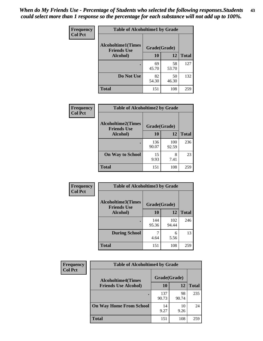| Frequency      | <b>Table of Alcoholtime1 by Grade</b>           |              |             |              |
|----------------|-------------------------------------------------|--------------|-------------|--------------|
| <b>Col Pct</b> | <b>Alcoholtime1(Times</b><br><b>Friends Use</b> | Grade(Grade) |             |              |
|                | Alcohol)                                        | 10           | 12          | <b>Total</b> |
|                |                                                 | 69<br>45.70  | 58<br>53.70 | 127          |
|                | Do Not Use                                      | 82<br>54.30  | 50<br>46.30 | 132          |
|                | <b>Total</b>                                    | 151          | 108         | 259          |

| Frequency      | <b>Table of Alcoholtime2 by Grade</b>           |              |              |              |
|----------------|-------------------------------------------------|--------------|--------------|--------------|
| <b>Col Pct</b> | <b>Alcoholtime2(Times</b><br><b>Friends Use</b> | Grade(Grade) |              |              |
|                | Alcohol)                                        | 10           | 12           | <b>Total</b> |
|                |                                                 | 136<br>90.07 | 100<br>92.59 | 236          |
|                | <b>On Way to School</b>                         | 15<br>9.93   | 8<br>7.41    | 23           |
|                | <b>Total</b>                                    | 151          | 108          | 259          |

| Frequency<br><b>Col Pct</b> | <b>Table of Alcoholtime3 by Grade</b>                           |              |              |              |
|-----------------------------|-----------------------------------------------------------------|--------------|--------------|--------------|
|                             | <b>Alcoholtime3(Times</b><br>Grade(Grade)<br><b>Friends Use</b> |              |              |              |
|                             | Alcohol)                                                        | 10           | 12           | <b>Total</b> |
|                             |                                                                 | 144<br>95.36 | 102<br>94.44 | 246          |
|                             | <b>During School</b>                                            | 4.64         | 6<br>5.56    | 13           |
|                             | <b>Total</b>                                                    | 151          | 108          | 259          |

| <b>Frequency</b> | <b>Table of Alcoholtime4 by Grade</b> |              |             |              |
|------------------|---------------------------------------|--------------|-------------|--------------|
| <b>Col Pct</b>   | <b>Alcoholtime4(Times</b>             | Grade(Grade) |             |              |
|                  | <b>Friends Use Alcohol)</b>           | 10           | 12          | <b>Total</b> |
|                  | ٠                                     | 137<br>90.73 | 98<br>90.74 | 235          |
|                  | <b>On Way Home From School</b>        | 14<br>9.27   | 10<br>9.26  | 24           |
|                  | <b>Total</b>                          | 151          | 108         | 259          |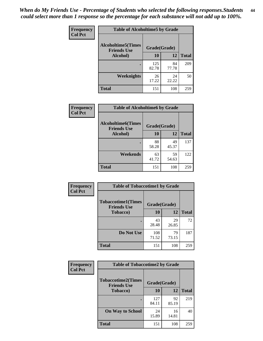*When do My Friends Use - Percentage of Students who selected the following responses.Students could select more than 1 response so the percentage for each substance will not add up to 100%.* **44**

| Frequency      | <b>Table of Alcoholtime5 by Grade</b>           |              |             |              |
|----------------|-------------------------------------------------|--------------|-------------|--------------|
| <b>Col Pct</b> | <b>Alcoholtime5(Times</b><br><b>Friends Use</b> | Grade(Grade) |             |              |
|                | Alcohol)                                        | 10           | 12          | <b>Total</b> |
|                |                                                 | 125<br>82.78 | 84<br>77.78 | 209          |
|                | Weeknights                                      | 26<br>17.22  | 24<br>22.22 | 50           |
|                | <b>Total</b>                                    | 151          | 108         | 259          |

| Frequency      | <b>Table of Alcoholtime6 by Grade</b>           |              |             |              |
|----------------|-------------------------------------------------|--------------|-------------|--------------|
| <b>Col Pct</b> | <b>Alcoholtime6(Times</b><br><b>Friends Use</b> | Grade(Grade) |             |              |
|                | Alcohol)                                        | 10           | 12          | <b>Total</b> |
|                |                                                 | 88<br>58.28  | 49<br>45.37 | 137          |
|                | Weekends                                        | 63<br>41.72  | 59<br>54.63 | 122          |
|                | <b>Total</b>                                    | 151          | 108         | 259          |

| <b>Frequency</b> | <b>Table of Tobaccotime1 by Grade</b>           |              |             |              |
|------------------|-------------------------------------------------|--------------|-------------|--------------|
| <b>Col Pct</b>   | <b>Tobaccotime1(Times</b><br><b>Friends Use</b> | Grade(Grade) |             |              |
|                  | <b>Tobacco</b> )                                | 10           | 12          | <b>Total</b> |
|                  |                                                 | 43<br>28.48  | 29<br>26.85 | 72           |
|                  | Do Not Use                                      | 108<br>71.52 | 79<br>73.15 | 187          |
|                  | <b>Total</b>                                    | 151          | 108         | 259          |

| <b>Frequency</b> | <b>Table of Tobaccotime2 by Grade</b>           |              |             |              |
|------------------|-------------------------------------------------|--------------|-------------|--------------|
| <b>Col Pct</b>   | <b>Tobaccotime2(Times</b><br><b>Friends Use</b> | Grade(Grade) |             |              |
|                  | <b>Tobacco</b> )                                | 10           | 12          | <b>Total</b> |
|                  |                                                 | 127<br>84.11 | 92<br>85.19 | 219          |
|                  | <b>On Way to School</b>                         | 24<br>15.89  | 16<br>14.81 | 40           |
|                  | <b>Total</b>                                    | 151          | 108         | 259          |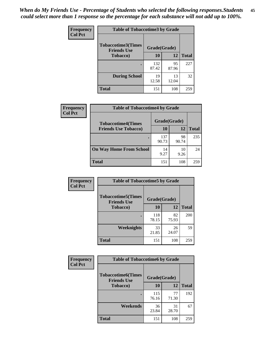*When do My Friends Use - Percentage of Students who selected the following responses.Students could select more than 1 response so the percentage for each substance will not add up to 100%.* **45**

| <b>Frequency</b> | <b>Table of Tobaccotime3 by Grade</b>           |              |             |              |
|------------------|-------------------------------------------------|--------------|-------------|--------------|
| <b>Col Pct</b>   | <b>Tobaccotime3(Times</b><br><b>Friends Use</b> | Grade(Grade) |             |              |
|                  | <b>Tobacco</b> )                                | 10           | 12          | <b>Total</b> |
|                  |                                                 | 132<br>87.42 | 95<br>87.96 | 227          |
|                  | <b>During School</b>                            | 19<br>12.58  | 13<br>12.04 | 32           |
|                  | <b>Total</b>                                    | 151          | 108         | 259          |

| Frequency<br><b>Col Pct</b> | <b>Table of Tobaccotime4 by Grade</b> |              |             |              |
|-----------------------------|---------------------------------------|--------------|-------------|--------------|
|                             | <b>Tobaccotime4(Times</b>             | Grade(Grade) |             |              |
|                             | <b>Friends Use Tobacco)</b>           | 10           | 12          | <b>Total</b> |
|                             |                                       | 137<br>90.73 | 98<br>90.74 | 235          |
|                             | <b>On Way Home From School</b>        | 14<br>9.27   | 10<br>9.26  | 24           |
|                             | Total                                 | 151          | 108         | 259          |

| <b>Frequency</b> | <b>Table of Tobaccotime5 by Grade</b>            |              |             |              |
|------------------|--------------------------------------------------|--------------|-------------|--------------|
| <b>Col Pct</b>   | <b>Tobaccotime5</b> (Times<br><b>Friends Use</b> | Grade(Grade) |             |              |
|                  | <b>Tobacco</b> )                                 | 10           | 12          | <b>Total</b> |
|                  |                                                  | 118<br>78.15 | 82<br>75.93 | 200          |
|                  | Weeknights                                       | 33<br>21.85  | 26<br>24.07 | 59           |
|                  | <b>Total</b>                                     | 151          | 108         | 259          |

| <b>Frequency</b> | <b>Table of Tobaccotime6 by Grade</b>           |              |             |              |
|------------------|-------------------------------------------------|--------------|-------------|--------------|
| <b>Col Pct</b>   | <b>Tobaccotime6(Times</b><br><b>Friends Use</b> | Grade(Grade) |             |              |
|                  | <b>Tobacco</b> )                                | 10           | 12          | <b>Total</b> |
|                  | ٠                                               | 115<br>76.16 | 77<br>71.30 | 192          |
|                  | Weekends                                        | 36<br>23.84  | 31<br>28.70 | 67           |
|                  | <b>Total</b>                                    | 151          | 108         | 259          |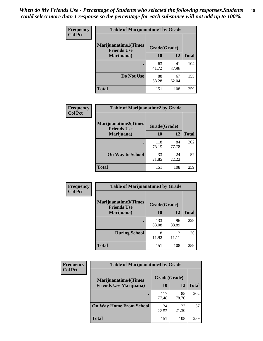| Frequency      | <b>Table of Marijuanatime1 by Grade</b>           |              |             |              |
|----------------|---------------------------------------------------|--------------|-------------|--------------|
| <b>Col Pct</b> | <b>Marijuanatime1(Times</b><br><b>Friends Use</b> | Grade(Grade) |             |              |
|                | Marijuana)                                        | 10           | 12          | <b>Total</b> |
|                |                                                   | 63<br>41.72  | 41<br>37.96 | 104          |
|                | Do Not Use                                        | 88<br>58.28  | 67<br>62.04 | 155          |
|                | <b>Total</b>                                      | 151          | 108         | 259          |

| <b>Frequency</b> | <b>Table of Marijuanatime2 by Grade</b>           |              |             |              |
|------------------|---------------------------------------------------|--------------|-------------|--------------|
| <b>Col Pct</b>   | <b>Marijuanatime2(Times</b><br><b>Friends Use</b> | Grade(Grade) |             |              |
|                  | Marijuana)                                        | 10           | 12          | <b>Total</b> |
|                  |                                                   | 118<br>78.15 | 84<br>77.78 | 202          |
|                  | <b>On Way to School</b>                           | 33<br>21.85  | 24<br>22.22 | 57           |
|                  | <b>Total</b>                                      | 151          | 108         | 259          |

| Frequency      | <b>Table of Marijuanatime3 by Grade</b>    |              |             |              |
|----------------|--------------------------------------------|--------------|-------------|--------------|
| <b>Col Pct</b> | Marijuanatime3(Times<br><b>Friends Use</b> | Grade(Grade) |             |              |
|                | Marijuana)                                 | 10           | 12          | <b>Total</b> |
|                |                                            | 133<br>88.08 | 96<br>88.89 | 229          |
|                | <b>During School</b>                       | 18<br>11.92  | 12<br>11.11 | 30           |
|                | <b>Total</b>                               | 151          | 108         | 259          |

| <b>Frequency</b> | <b>Table of Marijuanatime4 by Grade</b> |              |             |              |
|------------------|-----------------------------------------|--------------|-------------|--------------|
| <b>Col Pct</b>   | <b>Marijuanatime4(Times</b>             | Grade(Grade) |             |              |
|                  | <b>Friends Use Marijuana</b> )          | 10           | 12          | <b>Total</b> |
|                  |                                         | 117<br>77.48 | 85<br>78.70 | 202          |
|                  | <b>On Way Home From School</b>          | 34<br>22.52  | 23<br>21.30 | 57           |
|                  | <b>Total</b>                            | 151          | 108         | 259          |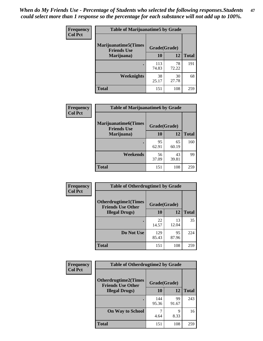| Frequency      | <b>Table of Marijuanatime5 by Grade</b>            |              |             |              |
|----------------|----------------------------------------------------|--------------|-------------|--------------|
| <b>Col Pct</b> | <b>Marijuanatime5</b> (Times<br><b>Friends Use</b> | Grade(Grade) |             |              |
|                | Marijuana)                                         | 10           | 12          | <b>Total</b> |
|                |                                                    | 113<br>74.83 | 78<br>72.22 | 191          |
|                | Weeknights                                         | 38<br>25.17  | 30<br>27.78 | 68           |
|                | <b>Total</b>                                       | 151          | 108         | 259          |

| Frequency      | <b>Table of Marijuanatime6 by Grade</b>            |              |             |              |
|----------------|----------------------------------------------------|--------------|-------------|--------------|
| <b>Col Pct</b> | <b>Marijuanatime6</b> (Times<br><b>Friends Use</b> | Grade(Grade) |             |              |
|                | Marijuana)                                         | 10           | 12          | <b>Total</b> |
|                |                                                    | 95<br>62.91  | 65<br>60.19 | 160          |
|                | Weekends                                           | 56<br>37.09  | 43<br>39.81 | 99           |
|                | <b>Total</b>                                       | 151          | 108         | 259          |

| Frequency      | <b>Table of Otherdrugtime1 by Grade</b>                 |              |             |              |
|----------------|---------------------------------------------------------|--------------|-------------|--------------|
| <b>Col Pct</b> | <b>Otherdrugtime1(Times</b><br><b>Friends Use Other</b> | Grade(Grade) |             |              |
|                | <b>Illegal Drugs</b> )                                  | 10           | 12          | <b>Total</b> |
|                |                                                         | 22<br>14.57  | 13<br>12.04 | 35           |
|                | Do Not Use                                              | 129<br>85.43 | 95<br>87.96 | 224          |
|                | Total                                                   | 151          | 108         | 259          |

| Frequency      | <b>Table of Otherdrugtime2 by Grade</b>                 |              |             |              |
|----------------|---------------------------------------------------------|--------------|-------------|--------------|
| <b>Col Pct</b> | <b>Otherdrugtime2(Times</b><br><b>Friends Use Other</b> | Grade(Grade) |             |              |
|                | <b>Illegal Drugs</b> )                                  | 10           | 12          | <b>Total</b> |
|                |                                                         | 144<br>95.36 | 99<br>91.67 | 243          |
|                | <b>On Way to School</b>                                 | 4.64         | 9<br>8.33   | 16           |
|                | <b>Total</b>                                            | 151          | 108         | 259          |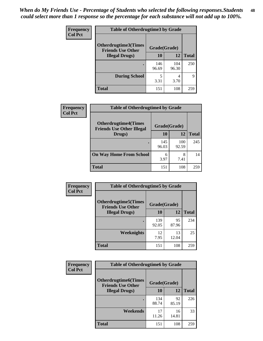| <b>Frequency</b> | <b>Table of Otherdrugtime3 by Grade</b>          |              |              |              |
|------------------|--------------------------------------------------|--------------|--------------|--------------|
| <b>Col Pct</b>   | Otherdrugtime3(Times<br><b>Friends Use Other</b> | Grade(Grade) |              |              |
|                  | <b>Illegal Drugs</b> )                           | 10           | 12           | <b>Total</b> |
|                  |                                                  | 146<br>96.69 | 104<br>96.30 | 250          |
|                  | <b>During School</b>                             | 5<br>3.31    | 4<br>3.70    | 9            |
|                  | Total                                            | 151          | 108          | 259          |

| Frequency      | <b>Table of Otherdrugtime4 by Grade</b>                         |              |              |              |
|----------------|-----------------------------------------------------------------|--------------|--------------|--------------|
| <b>Col Pct</b> | <b>Otherdrugtime4(Times</b><br><b>Friends Use Other Illegal</b> | Grade(Grade) |              |              |
|                | Drugs)                                                          | 10           | 12           | <b>Total</b> |
|                | $\bullet$                                                       | 145<br>96.03 | 100<br>92.59 | 245          |
|                | <b>On Way Home From School</b>                                  | 6<br>3.97    | 8<br>7.41    | 14           |
|                | <b>Total</b>                                                    | 151          | 108          | 259          |

| <b>Frequency</b> | <b>Table of Otherdrugtime5 by Grade</b>                  |              |             |              |
|------------------|----------------------------------------------------------|--------------|-------------|--------------|
| <b>Col Pct</b>   | <b>Otherdrugtime5</b> (Times<br><b>Friends Use Other</b> | Grade(Grade) |             |              |
|                  | <b>Illegal Drugs)</b>                                    | 10           | 12          | <b>Total</b> |
|                  |                                                          | 139<br>92.05 | 95<br>87.96 | 234          |
|                  | Weeknights                                               | 12<br>7.95   | 13<br>12.04 | 25           |
|                  | <b>Total</b>                                             | 151          | 108         | 259          |

| <b>Frequency</b> | <b>Table of Otherdrugtime6 by Grade</b>                 |              |             |              |
|------------------|---------------------------------------------------------|--------------|-------------|--------------|
| <b>Col Pct</b>   | <b>Otherdrugtime6(Times</b><br><b>Friends Use Other</b> | Grade(Grade) |             |              |
|                  | <b>Illegal Drugs</b> )                                  | 10           | 12          | <b>Total</b> |
|                  |                                                         | 134<br>88.74 | 92<br>85.19 | 226          |
|                  | Weekends                                                | 17<br>11.26  | 16<br>14.81 | 33           |
|                  | Total                                                   | 151          | 108         | 259          |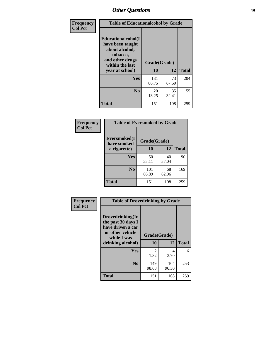| Frequency      | <b>Table of Educationalcohol by Grade</b>                                                                  |              |             |              |  |  |  |
|----------------|------------------------------------------------------------------------------------------------------------|--------------|-------------|--------------|--|--|--|
| <b>Col Pct</b> | Educationalcohol(I<br>have been taught<br>about alcohol,<br>tobacco,<br>and other drugs<br>within the last | Grade(Grade) |             |              |  |  |  |
|                | year at school)                                                                                            | 10           | 12          | <b>Total</b> |  |  |  |
|                | <b>Yes</b>                                                                                                 | 131<br>86.75 | 73<br>67.59 | 204          |  |  |  |
|                | N <sub>0</sub>                                                                                             | 20<br>13.25  | 35<br>32.41 | 55           |  |  |  |
|                | <b>Total</b>                                                                                               | 151          | 108         | 259          |  |  |  |

| Frequency      | <b>Table of Eversmoked by Grade</b> |              |             |              |  |  |  |  |
|----------------|-------------------------------------|--------------|-------------|--------------|--|--|--|--|
| <b>Col Pct</b> | Eversmoked(I<br>have smoked         | Grade(Grade) |             |              |  |  |  |  |
|                | a cigarette)                        | 10           | 12          | <b>Total</b> |  |  |  |  |
|                | Yes                                 | 50<br>33.11  | 40<br>37.04 | 90           |  |  |  |  |
|                | N <sub>0</sub>                      | 101<br>66.89 | 68<br>62.96 | 169          |  |  |  |  |
|                | <b>Total</b>                        | 151          | 108         | 259          |  |  |  |  |

| Frequency      | <b>Table of Drovedrinking by Grade</b>                                                                              |                    |              |              |  |  |  |  |
|----------------|---------------------------------------------------------------------------------------------------------------------|--------------------|--------------|--------------|--|--|--|--|
| <b>Col Pct</b> | Drovedrinking(In<br>the past 30 days I<br>have driven a car<br>or other vehicle<br>while I was<br>drinking alcohol) | Grade(Grade)<br>10 | 12           | <b>Total</b> |  |  |  |  |
|                | <b>Yes</b>                                                                                                          | 2<br>1.32          | 4<br>3.70    | 6            |  |  |  |  |
|                | N <sub>0</sub>                                                                                                      | 149<br>98.68       | 104<br>96.30 | 253          |  |  |  |  |
|                | <b>Total</b>                                                                                                        | 151                | 108          | 259          |  |  |  |  |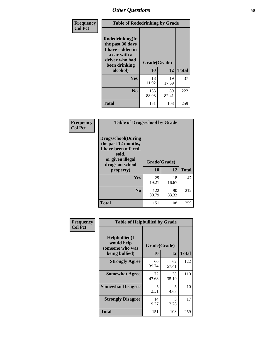| Frequency<br><b>Col Pct</b> | <b>Table of Rodedrinking by Grade</b>                                                                                         |                    |             |              |  |  |  |  |
|-----------------------------|-------------------------------------------------------------------------------------------------------------------------------|--------------------|-------------|--------------|--|--|--|--|
|                             | <b>Rodedrinking(In</b><br>the past 30 days<br>I have ridden in<br>a car with a<br>driver who had<br>been drinking<br>alcohol) | Grade(Grade)<br>10 | 12          | <b>Total</b> |  |  |  |  |
|                             | <b>Yes</b>                                                                                                                    | 18                 | 19          | 37           |  |  |  |  |
|                             |                                                                                                                               | 11.92              | 17.59       |              |  |  |  |  |
|                             | N <sub>0</sub>                                                                                                                | 133<br>88.08       | 89<br>82.41 | 222          |  |  |  |  |
|                             | <b>Total</b>                                                                                                                  | 151                | 108         | 259          |  |  |  |  |

#### **Frequency Col Pct**

| <b>Table of Drugsschool by Grade</b>                                                                                      |              |             |              |  |  |  |
|---------------------------------------------------------------------------------------------------------------------------|--------------|-------------|--------------|--|--|--|
| <b>Drugsschool</b> (During<br>the past 12 months,<br>I have been offered,<br>sold,<br>or given illegal<br>drugs on school | Grade(Grade) |             |              |  |  |  |
| property)                                                                                                                 | 10           | 12          | <b>Total</b> |  |  |  |
| Yes                                                                                                                       | 29<br>19.21  | 18<br>16.67 | 47           |  |  |  |
| N <sub>0</sub>                                                                                                            | 122<br>80.79 | 90<br>83.33 | 212          |  |  |  |
| <b>Total</b>                                                                                                              | 151          | 108         | 259          |  |  |  |

| Frequency      | <b>Table of Helpbullied by Grade</b>                                   |                    |             |              |  |  |  |  |
|----------------|------------------------------------------------------------------------|--------------------|-------------|--------------|--|--|--|--|
| <b>Col Pct</b> | $Helpb$ ullied $(I$<br>would help<br>someone who was<br>being bullied) | Grade(Grade)<br>10 | 12          | <b>Total</b> |  |  |  |  |
|                |                                                                        |                    |             |              |  |  |  |  |
|                | <b>Strongly Agree</b>                                                  | 60<br>39.74        | 62<br>57.41 | 122          |  |  |  |  |
|                | <b>Somewhat Agree</b>                                                  | 72<br>47.68        | 38<br>35.19 | 110          |  |  |  |  |
|                | <b>Somewhat Disagree</b>                                               | 5<br>3.31          | 5<br>4.63   | 10           |  |  |  |  |
|                | <b>Strongly Disagree</b>                                               | 14<br>9.27         | 3<br>2.78   | 17           |  |  |  |  |
|                | <b>Total</b>                                                           | 151                | 108         | 259          |  |  |  |  |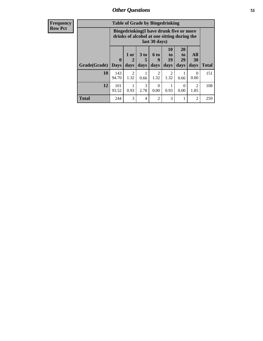| <b>Frequency</b> | <b>Table of Grade by Bingedrinking</b> |                                                                                                         |                        |                              |                          |                                                                     |                               |                        |              |
|------------------|----------------------------------------|---------------------------------------------------------------------------------------------------------|------------------------|------------------------------|--------------------------|---------------------------------------------------------------------|-------------------------------|------------------------|--------------|
| <b>Row Pct</b>   |                                        | Bingedrinking(I have drunk five or more<br>drinks of alcohol at one sitting during the<br>last 30 days) |                        |                              |                          |                                                                     |                               |                        |              |
|                  | Grade(Grade)                           | $\mathbf{0}$<br><b>Days</b>                                                                             | $1$ or<br>2<br>days    | 3 <sub>to</sub><br>5<br>days | <b>6 to</b><br>9<br>days | 10<br>$\mathbf{t}$ <sup><math>\mathbf{0}</math></sup><br>19<br>days | <b>20</b><br>to<br>29<br>days | All<br>30<br>days      | <b>Total</b> |
|                  | 10                                     | 143<br>94.70                                                                                            | $\mathfrak{D}$<br>1.32 | 0.66                         | $\mathfrak{D}$<br>1.32   | $\overline{2}$<br>1.32                                              | 0.66                          | $\theta$<br>0.00       | 151          |
|                  | 12                                     | 101<br>93.52                                                                                            | 0.93                   | 3<br>2.78                    | $\Omega$<br>0.00         | 0.93                                                                | $\Omega$<br>0.00              | $\mathfrak{D}$<br>1.85 | 108          |
|                  | <b>Total</b>                           | 244                                                                                                     | 3                      | 4                            | $\overline{2}$           | 3                                                                   |                               | $\overline{c}$         | 259          |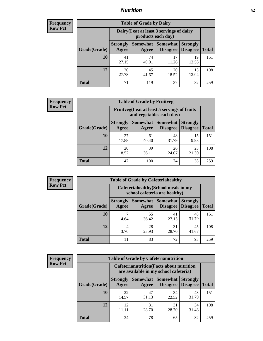## *Nutrition* **52**

| <b>Frequency</b><br>Row Pct |
|-----------------------------|
|                             |

| <b>Table of Grade by Dairy</b> |                                                                                                                           |                                                                 |             |             |     |  |  |  |
|--------------------------------|---------------------------------------------------------------------------------------------------------------------------|-----------------------------------------------------------------|-------------|-------------|-----|--|--|--|
|                                |                                                                                                                           | Dairy (I eat at least 3 servings of dairy<br>products each day) |             |             |     |  |  |  |
| Grade(Grade)                   | <b>Somewhat</b><br><b>Somewhat</b><br><b>Strongly</b><br><b>Strongly</b><br><b>Disagree</b><br>Disagree<br>Agree<br>Agree |                                                                 |             |             |     |  |  |  |
| 10                             | 41<br>27.15                                                                                                               | 74<br>49.01                                                     | 17<br>11.26 | 19<br>12.58 | 151 |  |  |  |
| 12                             | 30<br>27.78                                                                                                               | 45<br>41.67                                                     | 20<br>18.52 | 13<br>12.04 | 108 |  |  |  |
| <b>Total</b>                   | 71                                                                                                                        | 119                                                             | 37          | 32          | 259 |  |  |  |

| <b>Frequency</b> |  |
|------------------|--|
| <b>Row Pct</b>   |  |

| <b>Table of Grade by Fruitveg</b> |                          |                                                                          |                             |                                    |              |  |  |  |
|-----------------------------------|--------------------------|--------------------------------------------------------------------------|-----------------------------|------------------------------------|--------------|--|--|--|
|                                   |                          | Fruitveg(I eat at least 5 servings of fruits<br>and vegetables each day) |                             |                                    |              |  |  |  |
| Grade(Grade)                      | <b>Strongly</b><br>Agree | Somewhat  <br>Agree                                                      | <b>Somewhat</b><br>Disagree | <b>Strongly</b><br><b>Disagree</b> | <b>Total</b> |  |  |  |
| 10                                | 27<br>17.88              | 61<br>40.40                                                              | 48<br>31.79                 | 15<br>9.93                         | 151          |  |  |  |
| 12                                | 20<br>18.52              | 39<br>36.11                                                              | 26<br>24.07                 | 23<br>21.30                        | 108          |  |  |  |
| <b>Total</b>                      | 47                       | 100                                                                      | 74                          | 38                                 | 259          |  |  |  |

| Frequency      | <b>Table of Grade by Cafeteriahealthy</b> |                                                                       |             |                                          |                                    |              |  |  |  |
|----------------|-------------------------------------------|-----------------------------------------------------------------------|-------------|------------------------------------------|------------------------------------|--------------|--|--|--|
| <b>Row Pct</b> |                                           | Cafeteriahealthy (School meals in my<br>school cafeteria are healthy) |             |                                          |                                    |              |  |  |  |
|                | Grade(Grade)                              | <b>Strongly</b><br>Agree                                              | Agree       | Somewhat   Somewhat  <br><b>Disagree</b> | <b>Strongly</b><br><b>Disagree</b> | <b>Total</b> |  |  |  |
|                | <b>10</b>                                 | 4.64                                                                  | 55<br>36.42 | 41<br>27.15                              | 48<br>31.79                        | 151          |  |  |  |
|                | 12                                        | 3.70                                                                  | 28<br>25.93 | 31<br>28.70                              | 45<br>41.67                        | 108          |  |  |  |
|                | <b>Total</b>                              | 11                                                                    | 83          | 72                                       | 93                                 | 259          |  |  |  |

| <b>Frequency</b> |
|------------------|
| <b>Row Pct</b>   |

| <b>Table of Grade by Cafeterianutrition</b> |                                                                                                                                      |                                                                                           |             |             |     |  |  |
|---------------------------------------------|--------------------------------------------------------------------------------------------------------------------------------------|-------------------------------------------------------------------------------------------|-------------|-------------|-----|--|--|
|                                             |                                                                                                                                      | <b>Cafeterianutrition</b> (Facts about nutrition<br>are available in my school cafeteria) |             |             |     |  |  |
|                                             | <b>Somewhat</b><br><b>Strongly</b><br>Somewhat  <br><b>Strongly</b><br><b>Disagree</b><br>Grade(Grade)<br>Disagree<br>Agree<br>Agree |                                                                                           |             |             |     |  |  |
| 10                                          | 22<br>14.57                                                                                                                          | 47<br>31.13                                                                               | 34<br>22.52 | 48<br>31.79 | 151 |  |  |
| 12                                          | 12<br>11.11                                                                                                                          | 31<br>28.70                                                                               | 31<br>28.70 | 34<br>31.48 | 108 |  |  |
| <b>Total</b>                                | 34                                                                                                                                   | 78                                                                                        | 65          | 82          | 259 |  |  |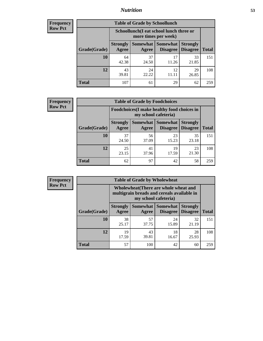## *Nutrition* **53**

| Frequency |
|-----------|
| Row Pct   |

| <b>Table of Grade by Schoollunch</b> |                          |                                                                 |                               |                                    |              |  |
|--------------------------------------|--------------------------|-----------------------------------------------------------------|-------------------------------|------------------------------------|--------------|--|
|                                      |                          | Schoollunch(I eat school lunch three or<br>more times per week) |                               |                                    |              |  |
| Grade(Grade)                         | <b>Strongly</b><br>Agree | Agree                                                           | Somewhat Somewhat<br>Disagree | <b>Strongly</b><br><b>Disagree</b> | <b>Total</b> |  |
| 10                                   | 64<br>42.38              | 37<br>24.50                                                     | 17<br>11.26                   | 33<br>21.85                        | 151          |  |
| 12                                   | 43<br>39.81              | 24<br>22.22                                                     | 12<br>11.11                   | 29<br>26.85                        | 108          |  |
| <b>Total</b>                         | 107                      | 61                                                              | 29                            | 62                                 | 259          |  |

| <b>Frequency</b> |  |
|------------------|--|
| <b>Row Pct</b>   |  |

| <b>Table of Grade by Foodchoices</b> |                                                                     |             |                                   |                                    |              |  |  |
|--------------------------------------|---------------------------------------------------------------------|-------------|-----------------------------------|------------------------------------|--------------|--|--|
|                                      | Foodchoices (I make healthy food choices in<br>my school cafeteria) |             |                                   |                                    |              |  |  |
| Grade(Grade)                         | <b>Strongly</b><br>Agree                                            | Agree       | Somewhat   Somewhat  <br>Disagree | <b>Strongly</b><br><b>Disagree</b> | <b>Total</b> |  |  |
| 10                                   | 37<br>24.50                                                         | 56<br>37.09 | 23<br>15.23                       | 35<br>23.18                        | 151          |  |  |
| 12                                   | 25<br>23.15                                                         | 41<br>37.96 | 19<br>17.59                       | 23<br>21.30                        | 108          |  |  |
| <b>Total</b>                         | 62                                                                  | 97          | 42                                | 58                                 | 259          |  |  |

| <b>Frequency</b><br>Row Pct |
|-----------------------------|
|                             |

| <b>Table of Grade by Wholewheat</b> |                                                                                                             |             |                     |                                        |              |  |  |
|-------------------------------------|-------------------------------------------------------------------------------------------------------------|-------------|---------------------|----------------------------------------|--------------|--|--|
|                                     | Wholewheat (There are whole wheat and<br>multigrain breads and cereals available in<br>my school cafeteria) |             |                     |                                        |              |  |  |
| Grade(Grade)                        | <b>Strongly</b><br>Agree                                                                                    | Agree       | Somewhat   Somewhat | <b>Strongly</b><br>Disagree   Disagree | <b>Total</b> |  |  |
| 10                                  | 38<br>25.17                                                                                                 | 57<br>37.75 | 24<br>15.89         | 32<br>21.19                            | 151          |  |  |
| 12                                  | 19<br>17.59                                                                                                 | 43<br>39.81 | 18<br>16.67         | 28<br>25.93                            | 108          |  |  |
| <b>Total</b>                        | 57                                                                                                          | 100         | 42                  | 60                                     | 259          |  |  |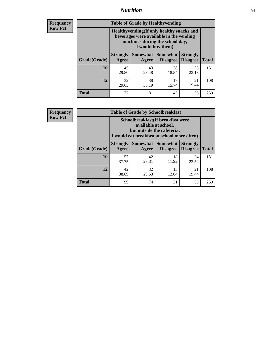## *Nutrition* **54**

**Frequency Row Pct**

| <b>Table of Grade by Healthyvending</b> |                                                                                                                                               |             |                                        |                                    |              |  |  |
|-----------------------------------------|-----------------------------------------------------------------------------------------------------------------------------------------------|-------------|----------------------------------------|------------------------------------|--------------|--|--|
|                                         | Healthyvending (If only healthy snacks and<br>beverages were available in the vending<br>machines during the school day,<br>I would buy them) |             |                                        |                                    |              |  |  |
| Grade(Grade)                            | <b>Strongly</b><br>Agree                                                                                                                      | Agree       | Somewhat   Somewhat<br><b>Disagree</b> | <b>Strongly</b><br><b>Disagree</b> | <b>Total</b> |  |  |
| 10                                      | 45<br>29.80                                                                                                                                   | 43<br>28.48 | 28<br>18.54                            | 35<br>23.18                        | 151          |  |  |
| 12                                      | 32<br>29.63                                                                                                                                   | 38<br>35.19 | 17<br>15.74                            | 21<br>19.44                        | 108          |  |  |
| <b>Total</b>                            | 77                                                                                                                                            | 81          | 45                                     | 56                                 | 259          |  |  |

**Frequency Row Pct**

| <b>Table of Grade by Schoolbreakfast</b> |                                                                                                                                         |             |                                        |                                    |              |  |  |
|------------------------------------------|-----------------------------------------------------------------------------------------------------------------------------------------|-------------|----------------------------------------|------------------------------------|--------------|--|--|
|                                          | Schoolbreakfast (If breakfast were<br>available at school,<br>but outside the cafeteria,<br>I would eat breakfast at school more often) |             |                                        |                                    |              |  |  |
| Grade(Grade)                             | <b>Strongly</b><br>Agree                                                                                                                | Agree       | Somewhat   Somewhat<br><b>Disagree</b> | <b>Strongly</b><br><b>Disagree</b> | <b>Total</b> |  |  |
| 10                                       | 57<br>37.75                                                                                                                             | 42<br>27.81 | 18<br>11.92                            | 34<br>22.52                        | 151          |  |  |
| 12                                       | 42<br>38.89                                                                                                                             | 32<br>29.63 | 13<br>12.04                            | 21<br>19.44                        | 108          |  |  |
| <b>Total</b>                             | 99                                                                                                                                      | 74          | 31                                     | 55                                 | 259          |  |  |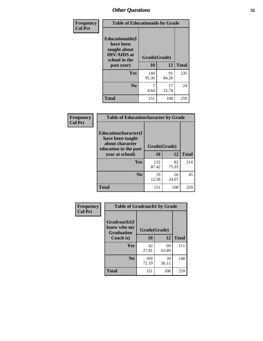| Frequency<br><b>Col Pct</b> | <b>Table of Educationaids by Grade</b>                                                                    |                    |             |              |  |  |  |
|-----------------------------|-----------------------------------------------------------------------------------------------------------|--------------------|-------------|--------------|--|--|--|
|                             | <b>Educationaids</b> (I<br>have been<br>taught about<br><b>HIV/AIDS</b> at<br>school in the<br>past year) | Grade(Grade)<br>10 | 12          | <b>Total</b> |  |  |  |
|                             | Yes                                                                                                       | 144<br>95.36       | 91<br>84.26 | 235          |  |  |  |
|                             | N <sub>0</sub>                                                                                            | 4.64               | 17<br>15.74 | 24           |  |  |  |
|                             | <b>Total</b>                                                                                              | 151                | 108         | 259          |  |  |  |

| Frequency      | <b>Table of Educationcharacter by Grade</b>                                          |              |             |              |  |  |
|----------------|--------------------------------------------------------------------------------------|--------------|-------------|--------------|--|--|
| <b>Col Pct</b> | Educationcharacter(I<br>have been taught<br>about character<br>education in the past | Grade(Grade) |             |              |  |  |
|                | year at school)                                                                      | 10           | 12          | <b>Total</b> |  |  |
|                | <b>Yes</b>                                                                           | 132<br>87.42 | 82<br>75.93 | 214          |  |  |
|                | N <sub>0</sub>                                                                       | 19<br>12.58  | 26<br>24.07 | 45           |  |  |
|                | <b>Total</b>                                                                         | 151          | 108         | 259          |  |  |

| Frequency      | <b>Table of Gradcoach1 by Grade</b> |              |             |              |
|----------------|-------------------------------------|--------------|-------------|--------------|
| <b>Col Pct</b> | Gradcoach1(I<br>know who my         | Grade(Grade) |             |              |
|                | <b>Graduation</b><br>Coach is)      | 10           | 12          | <b>Total</b> |
|                | Yes                                 | 42<br>27.81  | 69<br>63.89 | 111          |
|                | N <sub>0</sub>                      | 109<br>72.19 | 39<br>36.11 | 148          |
|                | <b>Total</b>                        | 151          | 108         | 259          |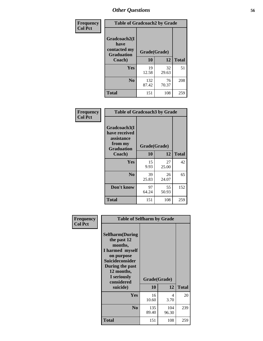| Frequency      | <b>Table of Gradcoach2 by Grade</b> |              |             |              |  |  |
|----------------|-------------------------------------|--------------|-------------|--------------|--|--|
| <b>Col Pct</b> | Gradcoach2(I<br>have                |              |             |              |  |  |
|                | contacted my<br><b>Graduation</b>   | Grade(Grade) |             |              |  |  |
|                | Coach)                              | 10           | 12          | <b>Total</b> |  |  |
|                | Yes                                 | 19<br>12.58  | 32<br>29.63 | 51           |  |  |
|                | N <sub>0</sub>                      | 132<br>87.42 | 76<br>70.37 | 208          |  |  |
|                | <b>Total</b>                        | 151          | 108         | 259          |  |  |

| <b>Frequency</b><br><b>Col Pct</b> | <b>Table of Gradcoach3 by Grade</b>                                         |              |             |              |
|------------------------------------|-----------------------------------------------------------------------------|--------------|-------------|--------------|
|                                    | Gradcoach3(I<br>have received<br>assistance<br>from my<br><b>Graduation</b> | Grade(Grade) |             |              |
|                                    | Coach)                                                                      | 10           | 12          | <b>Total</b> |
|                                    | Yes                                                                         | 15<br>9.93   | 27<br>25.00 | 42           |
|                                    | N <sub>0</sub>                                                              | 39<br>25.83  | 26<br>24.07 | 65           |
|                                    | Don't know                                                                  | 97<br>64.24  | 55<br>50.93 | 152          |
|                                    | <b>Total</b>                                                                | 151          | 108         | 259          |

| Frequency      | <b>Table of Selfharm by Grade</b>                                                                                                                                                      |                    |              |              |
|----------------|----------------------------------------------------------------------------------------------------------------------------------------------------------------------------------------|--------------------|--------------|--------------|
| <b>Col Pct</b> | <b>Selfharm</b> (During<br>the past 12<br>months,<br>I harmed myself<br>on purpose<br><b>Suicideconsider</b><br>During the past<br>12 months,<br>I seriously<br>considered<br>suicide) | Grade(Grade)<br>10 | 12           | <b>Total</b> |
|                | <b>Yes</b>                                                                                                                                                                             | 16<br>10.60        | 4<br>3.70    | 20           |
|                | N <sub>0</sub>                                                                                                                                                                         | 135<br>89.40       | 104<br>96.30 | 239          |
|                | <b>Total</b>                                                                                                                                                                           | 151                | 108          | 259          |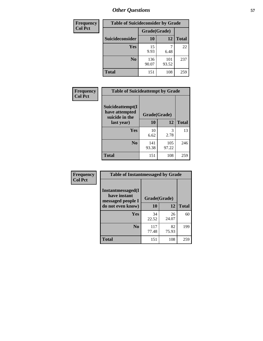| <b>Frequency</b> | <b>Table of Suicideconsider by Grade</b> |              |              |              |
|------------------|------------------------------------------|--------------|--------------|--------------|
| <b>Col Pct</b>   |                                          | Grade(Grade) |              |              |
|                  | Suicideconsider                          | <b>10</b>    | 12           | <b>Total</b> |
|                  | Yes                                      | 15<br>9.93   | 6.48         | 22           |
|                  | N <sub>0</sub>                           | 136<br>90.07 | 101<br>93.52 | 237          |
|                  | <b>Total</b>                             | 151          | 108          | 259          |

| Frequency      | <b>Table of Suicideattempt by Grade</b>              |              |              |              |
|----------------|------------------------------------------------------|--------------|--------------|--------------|
| <b>Col Pct</b> | Suicideattempt(I<br>have attempted<br>suicide in the | Grade(Grade) |              |              |
|                | last year)                                           | 10           | 12           | <b>Total</b> |
|                | Yes                                                  | 10<br>6.62   | 3<br>2.78    | 13           |
|                | N <sub>0</sub>                                       | 141<br>93.38 | 105<br>97.22 | 246          |
|                | <b>Total</b>                                         | 151          | 108          | 259          |

| Frequency      | <b>Table of Instantmessaged by Grade</b>                       |              |             |              |  |  |  |
|----------------|----------------------------------------------------------------|--------------|-------------|--------------|--|--|--|
| <b>Col Pct</b> | <b>Instantmessaged</b> (I<br>have instant<br>messaged people I | Grade(Grade) |             |              |  |  |  |
|                | do not even know)                                              | 10           | 12          | <b>Total</b> |  |  |  |
|                | Yes                                                            | 34<br>22.52  | 26<br>24.07 | 60           |  |  |  |
|                | N <sub>0</sub>                                                 | 117<br>77.48 | 82<br>75.93 | 199          |  |  |  |
|                | <b>Total</b>                                                   | 151          | 108         | 259          |  |  |  |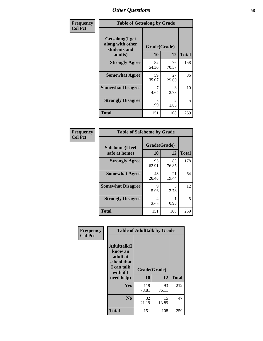| Frequency      | <b>Table of Getsalong by Grade</b>                  |              |                        |              |  |  |  |
|----------------|-----------------------------------------------------|--------------|------------------------|--------------|--|--|--|
| <b>Col Pct</b> | Getsalong(I get<br>along with other<br>students and | Grade(Grade) |                        |              |  |  |  |
|                | adults)                                             | 10           | 12                     | <b>Total</b> |  |  |  |
|                | <b>Strongly Agree</b>                               | 82<br>54.30  | 76<br>70.37            | 158          |  |  |  |
|                | <b>Somewhat Agree</b>                               | 59<br>39.07  | 27<br>25.00            | 86           |  |  |  |
|                | <b>Somewhat Disagree</b>                            | 4.64         | 3<br>2.78              | 10           |  |  |  |
|                | <b>Strongly Disagree</b>                            | 3<br>1.99    | $\mathfrak{D}$<br>1.85 | 5            |  |  |  |
|                | <b>Total</b>                                        | 151          | 108                    | 259          |  |  |  |

| Frequency      | <b>Table of Safehome by Grade</b> |                           |             |              |  |
|----------------|-----------------------------------|---------------------------|-------------|--------------|--|
| <b>Col Pct</b> | Safehome(I feel<br>safe at home)  | Grade(Grade)<br><b>10</b> | 12          | <b>Total</b> |  |
|                | <b>Strongly Agree</b>             | 95<br>62.91               | 83<br>76.85 | 178          |  |
|                | <b>Somewhat Agree</b>             | 43<br>28.48               | 21<br>19.44 | 64           |  |
|                | <b>Somewhat Disagree</b>          | 9<br>5.96                 | 3<br>2.78   | 12           |  |
|                | <b>Strongly Disagree</b>          | 4<br>2.65                 | 0.93        | 5            |  |
|                | <b>Total</b>                      | 151                       | 108         | 259          |  |

| Frequency      | <b>Table of Adulttalk by Grade</b>                                                  |              |             |              |  |  |
|----------------|-------------------------------------------------------------------------------------|--------------|-------------|--------------|--|--|
| <b>Col Pct</b> | <b>Adulttalk(I</b><br>know an<br>adult at<br>school that<br>I can talk<br>with if I | Grade(Grade) |             |              |  |  |
|                | need help)                                                                          | 10           | 12          | <b>Total</b> |  |  |
|                | <b>Yes</b>                                                                          | 119<br>78.81 | 93<br>86.11 | 212          |  |  |
|                | N <sub>0</sub>                                                                      | 32<br>21.19  | 15<br>13.89 | 47           |  |  |
|                | <b>Total</b>                                                                        | 151          | 108         | 259          |  |  |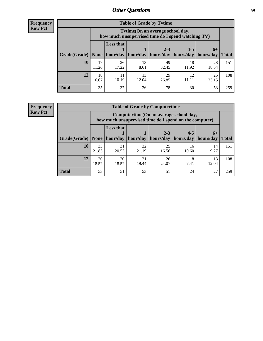**Frequency Row Pct**

| <b>Table of Grade by Tvtime</b> |             |                                                                                         |             |                                 |                       |             |              |  |
|---------------------------------|-------------|-----------------------------------------------------------------------------------------|-------------|---------------------------------|-----------------------|-------------|--------------|--|
|                                 |             | Tytime (On an average school day,<br>how much unsupervised time do I spend watching TV) |             |                                 |                       |             |              |  |
|                                 |             | <b>Less that</b>                                                                        |             | $2 - 3$                         | $4 - 5$               | $6+$        |              |  |
| Grade(Grade)   None             |             |                                                                                         |             | hour/day   hour/day   hours/day | hours/day   hours/day |             | <b>Total</b> |  |
| 10                              | 17<br>11.26 | 26<br>17.22                                                                             | 13<br>8.61  | 49<br>32.45                     | 18<br>11.92           | 28<br>18.54 | 151          |  |
| 12                              | 18<br>16.67 | 11<br>10.19                                                                             | 13<br>12.04 | 29<br>26.85                     | 12<br>11.11           | 25<br>23.15 | 108          |  |
| <b>Total</b>                    | 35          | 37                                                                                      | 26          | 78                              | 30                    | 53          | 259          |  |

**Frequency Row Pct**

| <b>Table of Grade by Computertime</b> |             |                                                                                                   |             |                      |                      |                   |              |  |
|---------------------------------------|-------------|---------------------------------------------------------------------------------------------------|-------------|----------------------|----------------------|-------------------|--------------|--|
|                                       |             | Computertime (On an average school day,<br>how much unsupervised time do I spend on the computer) |             |                      |                      |                   |              |  |
| Grade(Grade)                          | None        | <b>Less that</b><br>hour/day                                                                      | hour/day    | $2 - 3$<br>hours/day | $4 - 5$<br>hours/day | $6+$<br>hours/day | <b>Total</b> |  |
| 10                                    | 33<br>21.85 | 31<br>20.53                                                                                       | 32<br>21.19 | 25<br>16.56          | 16<br>10.60          | 14<br>9.27        | 151          |  |
| 12                                    | 20<br>18.52 | 20<br>18.52                                                                                       | 21<br>19.44 | 26<br>24.07          | 8<br>7.41            | 13<br>12.04       | 108          |  |
| <b>Total</b>                          | 53          | 51                                                                                                | 53          | 51                   | 24                   | 27                | 259          |  |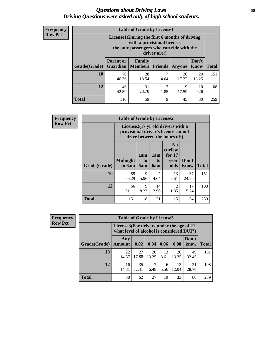### *Questions about Driving Laws* **60** *Driving Questions were asked only of high school students.*

| <b>Frequency</b> |
|------------------|
| <b>Row Pct</b>   |

| <b>Table of Grade by License1</b> |                                                                                                                                           |                          |                |             |                      |              |  |  |
|-----------------------------------|-------------------------------------------------------------------------------------------------------------------------------------------|--------------------------|----------------|-------------|----------------------|--------------|--|--|
|                                   | License1(During the first 6 months of driving<br>with a provisional license,<br>the only passengers who can ride with the<br>driver are:) |                          |                |             |                      |              |  |  |
| Grade(Grade)                      | <b>Parent or</b><br><b>Guardian</b>                                                                                                       | Family<br><b>Members</b> | <b>Friends</b> | Anyone      | Don't<br><b>Know</b> | <b>Total</b> |  |  |
| 10                                | 70<br>46.36                                                                                                                               | 28<br>18.54              | 7<br>4.64      | 26<br>17.22 | 20<br>13.25          | 151          |  |  |
| 12                                | 46<br>42.59                                                                                                                               | 31<br>28.70              | 2<br>1.85      | 19<br>17.59 | 10<br>9.26           | 108          |  |  |
| <b>Total</b>                      | 116                                                                                                                                       | 59                       | 9              | 45          | 30                   | 259          |  |  |

| Frequency      | <b>Table of Grade by License2</b>                                                                        |                           |                  |                         |                                                      |                      |              |  |  |
|----------------|----------------------------------------------------------------------------------------------------------|---------------------------|------------------|-------------------------|------------------------------------------------------|----------------------|--------------|--|--|
| <b>Row Pct</b> | License2(17 yr old drivers with a<br>provisional driver's license cannot<br>drive between the hours of:) |                           |                  |                         |                                                      |                      |              |  |  |
|                | Grade(Grade)                                                                                             | <b>Midnight</b><br>to 6am | 1am<br>to<br>5am | 1am<br>to<br><b>6am</b> | N <sub>0</sub><br>curfew<br>for $17$<br>year<br>olds | Don't<br><b>Know</b> | <b>Total</b> |  |  |
|                | 10                                                                                                       | 85<br>56.29               | 9<br>5.96        | 7<br>4.64               | 13<br>8.61                                           | 37<br>24.50          | 151          |  |  |
|                | 12                                                                                                       | 66<br>61.11               | 9<br>8.33        | 14<br>12.96             | $\overline{2}$<br>1.85                               | 17<br>15.74          | 108          |  |  |
|                | <b>Total</b>                                                                                             | 151                       | 18               | 21                      | 15                                                   | 54                   | 259          |  |  |

| <b>Frequency</b> | <b>Table of Grade by License3</b> |                                                                                        |             |             |            |             |               |              |
|------------------|-----------------------------------|----------------------------------------------------------------------------------------|-------------|-------------|------------|-------------|---------------|--------------|
| <b>Row Pct</b>   |                                   | License3(For drivers under the age of 21,<br>what level of alcohol is considered DUI?) |             |             |            |             |               |              |
|                  | Grade(Grade)                      | Any<br><b>Amount</b>                                                                   | 0.02        | 0.04        | 0.06       | 0.08        | Don't<br>know | <b>Total</b> |
|                  | 10                                | 22<br>14.57                                                                            | 27<br>17.88 | 20<br>13.25 | 13<br>8.61 | 20<br>13.25 | 49<br>32.45   | 151          |
|                  | 12                                | 16<br>14.81                                                                            | 35<br>32.41 | 7<br>6.48   | 6<br>5.56  | 13<br>12.04 | 31<br>28.70   | 108          |
|                  | <b>Total</b>                      | 38                                                                                     | 62          | 27          | 19         | 33          | 80            | 259          |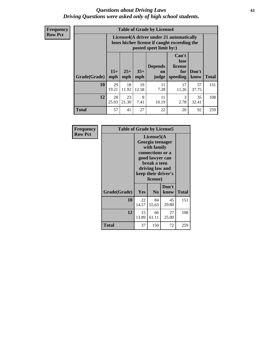### *Questions about Driving Laws* **61** *Driving Questions were asked only of high school students.*

| <b>Frequency</b> |
|------------------|
| <b>Row Pct</b>   |

| <b>Table of Grade by License4</b> |              |                                                                                                                      |              |                               |                                             |               |              |
|-----------------------------------|--------------|----------------------------------------------------------------------------------------------------------------------|--------------|-------------------------------|---------------------------------------------|---------------|--------------|
|                                   |              | License4(A driver under 21 automatically<br>loses his/her license if caught exceeding the<br>posted speet limit by:) |              |                               |                                             |               |              |
| Grade(Grade)                      | $15+$<br>mph | $25+$<br>mph                                                                                                         | $35+$<br>mph | <b>Depends</b><br>on<br>judge | Can't<br>lose<br>license<br>for<br>speeding | Don't<br>know | <b>Total</b> |
| 10                                | 29<br>19.21  | 18<br>11.92                                                                                                          | 19<br>12.58  | 11<br>7.28                    | 17<br>11.26                                 | 57<br>37.75   | 151          |
| 12                                | 28<br>25.93  | 23<br>21.30                                                                                                          | 8<br>7.41    | 11<br>10.19                   | 3<br>2.78                                   | 35<br>32.41   | 108          |
| <b>Total</b>                      | 57           | 41                                                                                                                   | 27           | 22                            | 20                                          | 92            | 259          |

| Frequency      | <b>Table of Grade by License5</b> |             |                                                                                                                                                             |               |              |  |  |
|----------------|-----------------------------------|-------------|-------------------------------------------------------------------------------------------------------------------------------------------------------------|---------------|--------------|--|--|
| <b>Row Pct</b> |                                   |             | License5(A)<br>Georgia teenager<br>with family<br>connections or a<br>good lawyer can<br>break a teen<br>driving law and<br>keep their driver's<br>license) |               |              |  |  |
|                | Grade(Grade)                      | <b>Yes</b>  | N <sub>0</sub>                                                                                                                                              | Don't<br>know | <b>Total</b> |  |  |
|                | 10                                | 22<br>14.57 | 84<br>55.63                                                                                                                                                 | 45<br>29.80   | 151          |  |  |
|                | 12                                | 15<br>13.89 | 66<br>61.11                                                                                                                                                 | 27<br>25.00   | 108          |  |  |
|                | <b>Total</b>                      | 37          | 150                                                                                                                                                         | 72            | 259          |  |  |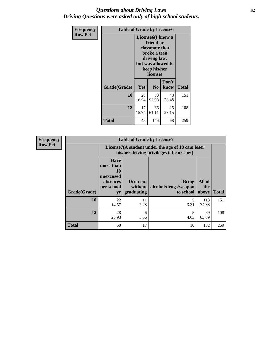### *Questions about Driving Laws* **62** *Driving Questions were asked only of high school students.*

| <b>Frequency</b> | <b>Table of Grade by License6</b> |                                                                                                                                                 |                |               |              |
|------------------|-----------------------------------|-------------------------------------------------------------------------------------------------------------------------------------------------|----------------|---------------|--------------|
| <b>Row Pct</b>   |                                   | License <sub>6</sub> (I know a<br>friend or<br>classmate that<br>broke a teen<br>driving law,<br>but was allowed to<br>keep his/her<br>license) |                |               |              |
|                  | Grade(Grade)                      | Yes                                                                                                                                             | N <sub>0</sub> | Don't<br>know | <b>Total</b> |
|                  | 10                                | 28<br>18.54                                                                                                                                     | 80<br>52.98    | 43<br>28.48   | 151          |
|                  | 12                                | 17<br>15.74                                                                                                                                     | 66<br>61.11    | 25<br>23.15   | 108          |
|                  | <b>Total</b>                      | 45                                                                                                                                              | 146            | 68            | 259          |

| <b>Frequency</b> | <b>Table of Grade by License7</b> |                                                                                               |                                     |                                                   |                        |              |  |  |  |
|------------------|-----------------------------------|-----------------------------------------------------------------------------------------------|-------------------------------------|---------------------------------------------------|------------------------|--------------|--|--|--|
| <b>Row Pct</b>   |                                   | License7(A student under the age of 18 cam loser<br>his/her driving privileges if he or she:) |                                     |                                                   |                        |              |  |  |  |
|                  | Grade(Grade)                      | <b>Have</b><br>more than<br>10<br>unexcused<br>absences<br>per school<br>yr                   | Drop out<br>without  <br>graduating | <b>Bring</b><br>alcohol/drugs/weapon<br>to school | All of<br>the<br>above | <b>Total</b> |  |  |  |
|                  | <b>10</b>                         | 22<br>14.57                                                                                   | 11<br>7.28                          | 3.31                                              | 113<br>74.83           | 151          |  |  |  |
|                  | 12                                | 28<br>25.93                                                                                   | 6<br>5.56                           | 4.63                                              | 69<br>63.89            | 108          |  |  |  |
|                  | <b>Total</b>                      | 50                                                                                            | 17                                  | 10                                                | 182                    | 259          |  |  |  |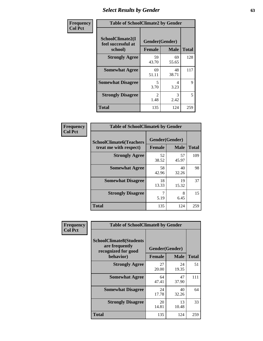# *Select Results by Gender* **63**

| Frequency      | <b>Table of SchoolClimate2 by Gender</b>          |                                 |             |              |  |  |
|----------------|---------------------------------------------------|---------------------------------|-------------|--------------|--|--|
| <b>Col Pct</b> | SchoolClimate2(I<br>feel successful at<br>school) | Gender(Gender)<br><b>Female</b> | <b>Male</b> | <b>Total</b> |  |  |
|                | <b>Strongly Agree</b>                             | 59<br>43.70                     | 69<br>55.65 | 128          |  |  |
|                | <b>Somewhat Agree</b>                             | 69<br>51.11                     | 48<br>38.71 | 117          |  |  |
|                | <b>Somewhat Disagree</b>                          | 5.<br>3.70                      | 4<br>3.23   | 9            |  |  |
|                | <b>Strongly Disagree</b>                          | $\mathcal{L}$<br>1.48           | 3<br>2.42   | 5            |  |  |
|                | <b>Total</b>                                      | 135                             | 124         | 259          |  |  |

| Frequency      | <b>Table of SchoolClimate6 by Gender</b>                 |                                 |             |              |  |  |  |  |
|----------------|----------------------------------------------------------|---------------------------------|-------------|--------------|--|--|--|--|
| <b>Col Pct</b> | <b>SchoolClimate6(Teachers</b><br>treat me with respect) | Gender(Gender)<br><b>Female</b> | <b>Male</b> | <b>Total</b> |  |  |  |  |
|                | <b>Strongly Agree</b>                                    | 52<br>38.52                     | 57<br>45.97 | 109          |  |  |  |  |
|                | <b>Somewhat Agree</b>                                    | 58<br>42.96                     | 40<br>32.26 | 98           |  |  |  |  |
|                | <b>Somewhat Disagree</b>                                 | 18<br>13.33                     | 19<br>15.32 | 37           |  |  |  |  |
|                | <b>Strongly Disagree</b>                                 | 7<br>5.19                       | 8<br>6.45   | 15           |  |  |  |  |
|                | <b>Total</b>                                             | 135                             | 124         | 259          |  |  |  |  |

| <b>Frequency</b> | <b>Table of SchoolClimate8 by Gender</b>                                             |                                 |                            |     |  |  |  |
|------------------|--------------------------------------------------------------------------------------|---------------------------------|----------------------------|-----|--|--|--|
| <b>Col Pct</b>   | <b>SchoolClimate8(Students</b><br>are frequently<br>recognized for good<br>behavior) | Gender(Gender)<br><b>Female</b> | <b>Total</b>               |     |  |  |  |
|                  | <b>Strongly Agree</b>                                                                | 27<br>20.00                     | <b>Male</b><br>24<br>19.35 | 51  |  |  |  |
|                  | <b>Somewhat Agree</b>                                                                | 64<br>47.41                     | 47<br>37.90                | 111 |  |  |  |
|                  | <b>Somewhat Disagree</b>                                                             | 24<br>17.78                     | 40<br>32.26                | 64  |  |  |  |
|                  | <b>Strongly Disagree</b>                                                             | 20<br>14.81                     | 13<br>10.48                | 33  |  |  |  |
|                  | Total                                                                                | 135                             | 124                        | 259 |  |  |  |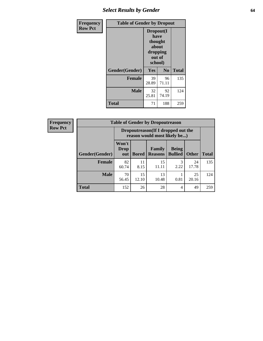# *Select Results by Gender* **64**

| <b>Frequency</b> | <b>Table of Gender by Dropout</b> |                                                                        |                |              |
|------------------|-----------------------------------|------------------------------------------------------------------------|----------------|--------------|
| <b>Row Pct</b>   |                                   | Dropout(I<br>have<br>thought<br>about<br>dropping<br>out of<br>school) |                |              |
|                  | Gender(Gender)                    | Yes                                                                    | N <sub>0</sub> | <b>Total</b> |
|                  | <b>Female</b>                     | 39<br>28.89                                                            | 96<br>71.11    | 135          |
|                  | <b>Male</b>                       | 32<br>25.81                                                            | 92<br>74.19    | 124          |
|                  | <b>Total</b>                      | 71                                                                     | 188            | 259          |

| <b>Frequency</b> |                       | <b>Table of Gender by Dropoutreason</b>                             |              |                                 |                                |              |              |
|------------------|-----------------------|---------------------------------------------------------------------|--------------|---------------------------------|--------------------------------|--------------|--------------|
| <b>Row Pct</b>   |                       | Dropoutreason (If I dropped out the<br>reason would most likely be) |              |                                 |                                |              |              |
|                  | <b>Gender(Gender)</b> | Won't<br><b>Drop</b><br>out                                         | <b>Bored</b> | <b>Family</b><br><b>Reasons</b> | <b>Being</b><br><b>Bullied</b> | <b>Other</b> | <b>Total</b> |
|                  | <b>Female</b>         | 82<br>60.74                                                         | 11<br>8.15   | 15<br>11.11                     | 2.22                           | 24<br>17.78  | 135          |
|                  | <b>Male</b>           | 70<br>56.45                                                         | 15<br>12.10  | 13<br>10.48                     | 0.81                           | 25<br>20.16  | 124          |
|                  | <b>Total</b>          | 152                                                                 | 26           | 28                              | 4                              | 49           | 259          |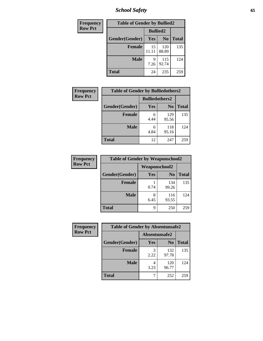*School Safety* **65**

| Frequency      | <b>Table of Gender by Bullied2</b> |                 |                |              |
|----------------|------------------------------------|-----------------|----------------|--------------|
| <b>Row Pct</b> |                                    | <b>Bullied2</b> |                |              |
|                | Gender(Gender)                     | Yes             | N <sub>0</sub> | <b>Total</b> |
|                | <b>Female</b>                      | 15<br>11.11     | 120<br>88.89   | 135          |
|                | <b>Male</b>                        | 9<br>7.26       | 115<br>92.74   | 124          |
|                | <b>Total</b>                       | 24              | 235            | 259          |

| Frequency      | <b>Table of Gender by Bulliedothers2</b> |                       |                |              |
|----------------|------------------------------------------|-----------------------|----------------|--------------|
| <b>Row Pct</b> |                                          | <b>Bulliedothers2</b> |                |              |
|                | Gender(Gender)                           | <b>Yes</b>            | N <sub>0</sub> | <b>Total</b> |
|                | <b>Female</b>                            | 6<br>4.44             | 129<br>95.56   | 135          |
|                | <b>Male</b>                              | 6<br>4.84             | 118<br>95.16   | 124          |
|                | <b>Total</b>                             | 12                    | 247            | 259          |

| Frequency      | <b>Table of Gender by Weaponschool2</b> |                      |                |              |
|----------------|-----------------------------------------|----------------------|----------------|--------------|
| <b>Row Pct</b> |                                         | <b>Weaponschool2</b> |                |              |
|                | Gender(Gender)                          | Yes                  | N <sub>0</sub> | <b>Total</b> |
|                | <b>Female</b>                           | 0.74                 | 134<br>99.26   | 135          |
|                | <b>Male</b>                             | 6.45                 | 116<br>93.55   | 124          |
|                | <b>Total</b>                            | q                    | 250            | 259          |

| Frequency      | <b>Table of Gender by Absentunsafe2</b> |               |                |              |
|----------------|-----------------------------------------|---------------|----------------|--------------|
| <b>Row Pct</b> |                                         | Absentunsafe2 |                |              |
|                | Gender(Gender)                          | Yes           | N <sub>0</sub> | <b>Total</b> |
|                | <b>Female</b>                           | 2.22          | 132<br>97.78   | 135          |
|                | <b>Male</b>                             | 4<br>3.23     | 120<br>96.77   | 124          |
|                | <b>Total</b>                            |               | 252            | 259          |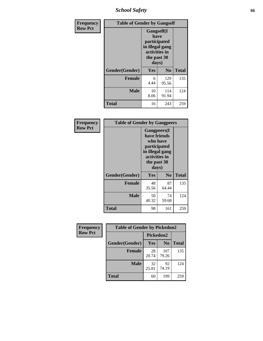*School Safety* **66**

| Frequency      | <b>Table of Gender by Gangself</b> |                                                                                                |              |              |
|----------------|------------------------------------|------------------------------------------------------------------------------------------------|--------------|--------------|
| <b>Row Pct</b> |                                    | Gangself(I<br>have<br>participated<br>in illegal gang<br>activities in<br>the past 30<br>days) |              |              |
|                | Gender(Gender)                     | Yes                                                                                            | $\bf No$     | <b>Total</b> |
|                | <b>Female</b>                      | 6<br>4.44                                                                                      | 129<br>95.56 | 135          |
|                | <b>Male</b>                        | 10<br>8.06                                                                                     | 114<br>91.94 | 124          |
|                | <b>Total</b>                       | 16                                                                                             | 243          | 259          |

| Frequency      |                | <b>Table of Gender by Gangpeers</b>                                                                                         |                |              |  |
|----------------|----------------|-----------------------------------------------------------------------------------------------------------------------------|----------------|--------------|--|
| <b>Row Pct</b> |                | <b>Gangpeers</b> (I<br>have friends<br>who have<br>participated<br>in illegal gang<br>activities in<br>the past 30<br>days) |                |              |  |
|                | Gender(Gender) | <b>Yes</b>                                                                                                                  | N <sub>0</sub> | <b>Total</b> |  |
|                | <b>Female</b>  | 48<br>35.56                                                                                                                 | 87<br>64.44    | 135          |  |
|                | <b>Male</b>    | 50<br>40.32                                                                                                                 | 74<br>59.68    | 124          |  |
|                | Total          | 98                                                                                                                          | 161            | 259          |  |

| Frequency      | <b>Table of Gender by Pickedon2</b> |             |                |              |
|----------------|-------------------------------------|-------------|----------------|--------------|
| <b>Row Pct</b> |                                     | Pickedon2   |                |              |
|                | Gender(Gender)                      | Yes         | N <sub>0</sub> | <b>Total</b> |
|                | <b>Female</b>                       | 28<br>20.74 | 107<br>79.26   | 135          |
|                | <b>Male</b>                         | 32<br>25.81 | 92<br>74.19    | 124          |
|                | <b>Total</b>                        | 60          | 199            | 259          |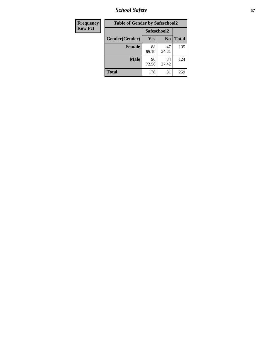*School Safety* **67**

| Frequency      | <b>Table of Gender by Safeschool2</b> |             |                |              |
|----------------|---------------------------------------|-------------|----------------|--------------|
| <b>Row Pct</b> |                                       | Safeschool2 |                |              |
|                | Gender(Gender)                        | Yes         | N <sub>0</sub> | <b>Total</b> |
|                | <b>Female</b>                         | 88<br>65.19 | 47<br>34.81    | 135          |
|                | <b>Male</b>                           | 90<br>72.58 | 34<br>27.42    | 124          |
|                | <b>Total</b>                          | 178         | 81             | 259          |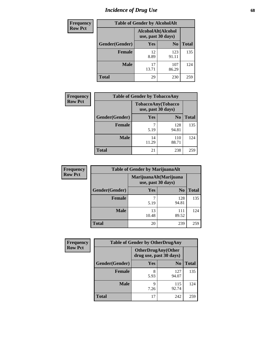# *Incidence of Drug Use* 68

| Frequency      | <b>Table of Gender by AlcoholAlt</b> |                                          |                |              |
|----------------|--------------------------------------|------------------------------------------|----------------|--------------|
| <b>Row Pct</b> |                                      | AlcoholAlt(Alcohol<br>use, past 30 days) |                |              |
|                | Gender(Gender)                       | Yes                                      | N <sub>0</sub> | <b>Total</b> |
|                | <b>Female</b>                        | 12<br>8.89                               | 123<br>91.11   | 135          |
|                | <b>Male</b>                          | 17<br>13.71                              | 107<br>86.29   | 124          |
|                | <b>Total</b>                         | 29                                       | 230            | 259          |

| <b>Frequency</b> | <b>Table of Gender by TobaccoAny</b> |                                          |                |              |  |
|------------------|--------------------------------------|------------------------------------------|----------------|--------------|--|
| <b>Row Pct</b>   |                                      | TobaccoAny(Tobacco<br>use, past 30 days) |                |              |  |
|                  | Gender(Gender)                       | Yes                                      | N <sub>0</sub> | <b>Total</b> |  |
|                  | <b>Female</b>                        | 5.19                                     | 128<br>94.81   | 135          |  |
|                  | <b>Male</b>                          | 14<br>11.29                              | 110<br>88.71   | 124          |  |
|                  | <b>Total</b>                         | 21                                       | 238            | 259          |  |

| <b>Frequency</b> | <b>Table of Gender by MarijuanaAlt</b> |             |                                              |              |
|------------------|----------------------------------------|-------------|----------------------------------------------|--------------|
| <b>Row Pct</b>   |                                        |             | MarijuanaAlt(Marijuana<br>use, past 30 days) |              |
|                  | Gender(Gender)                         | <b>Yes</b>  | N <sub>0</sub>                               | <b>Total</b> |
|                  | <b>Female</b>                          | 7<br>5.19   | 128<br>94.81                                 | 135          |
|                  | <b>Male</b>                            | 13<br>10.48 | 111<br>89.52                                 | 124          |
|                  | <b>Total</b>                           | 20          | 239                                          | 259          |

| <b>Frequency</b> | <b>Table of Gender by OtherDrugAny</b> |                         |                    |              |
|------------------|----------------------------------------|-------------------------|--------------------|--------------|
| <b>Row Pct</b>   |                                        | drug use, past 30 days) | OtherDrugAny(Other |              |
|                  | Gender(Gender)                         | <b>Yes</b>              | N <sub>0</sub>     | <b>Total</b> |
|                  | <b>Female</b>                          | 8<br>5.93               | 127<br>94.07       | 135          |
|                  | <b>Male</b>                            | Q<br>7.26               | 115<br>92.74       | 124          |
|                  | <b>Total</b>                           | 17                      | 242                | 259          |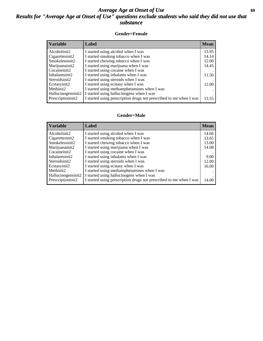## *Average Age at Onset of Use* **69** *Results for "Average Age at Onset of Use" questions exclude students who said they did not use that substance*

#### **Gender=Female**

| <b>Variable</b>    | Label                                                              | <b>Mean</b> |
|--------------------|--------------------------------------------------------------------|-------------|
| Alcoholinit2       | I started using alcohol when I was                                 | 13.95       |
| Cigarettesinit2    | I started smoking tobacco when I was                               | 14.14       |
| Smokelessinit2     | I started chewing tobacco when I was                               | 12.00       |
| Marijuanainit2     | I started using marijuana when I was                               | 14.45       |
| Cocaineinit2       | I started using cocaine when I was                                 |             |
| Inhalantsinit2     | I started using inhalants when I was                               | 11.50       |
| Steroidsinit2      | I started using steroids when I was                                |             |
| Ecstasyinit2       | I started using ecstasy when I was                                 | 12.00       |
| Methinit2          | I started using methamphetamines when I was                        |             |
| Hallucinogensinit2 | I started using hallucinogens when I was                           |             |
| Prescription in t2 | I started using prescription drugs not prescribed to me when I was | 13.55       |

#### **Gender=Male**

| <b>Variable</b>                 | Label                                                              | <b>Mean</b> |
|---------------------------------|--------------------------------------------------------------------|-------------|
| Alcoholinit2                    | I started using alcohol when I was                                 | 14.66       |
| Cigarettesinit2                 | I started smoking tobacco when I was                               | 13.65       |
| Smokelessinit2                  | I started chewing tobacco when I was                               | 13.00       |
| Marijuanainit2                  | I started using marijuana when I was                               | 14.08       |
| Cocaineinit2                    | I started using cocaine when I was                                 |             |
| Inhalantsinit2                  | I started using inhalants when I was                               | 9.00        |
| Steroidsinit2                   | I started using steroids when I was                                | 12.00       |
| Ecstasyinit2                    | I started using ecstasy when I was                                 | 16.00       |
| Methinit2                       | I started using methamphetamines when I was                        |             |
| Hallucinogensinit2              | I started using hallucinogens when I was                           |             |
| Prescription in it <sub>2</sub> | I started using prescription drugs not prescribed to me when I was | 14.00       |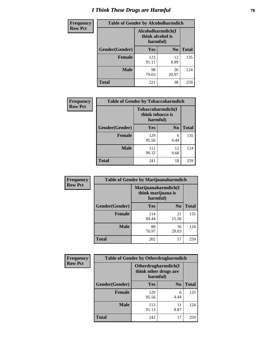# *I Think These Drugs are Harmful* **70**

| <b>Frequency</b> | <b>Table of Gender by Alcoholharmdich</b> |                                                   |                |              |
|------------------|-------------------------------------------|---------------------------------------------------|----------------|--------------|
| <b>Row Pct</b>   |                                           | Alcoholharmdich(I<br>think alcohol is<br>harmful) |                |              |
|                  | Gender(Gender)                            | Yes                                               | N <sub>0</sub> | <b>Total</b> |
|                  | <b>Female</b>                             | 123<br>91.11                                      | 12<br>8.89     | 135          |
|                  | <b>Male</b>                               | 98<br>79.03                                       | 26<br>20.97    | 124          |
|                  | <b>Total</b>                              | 221                                               | 38             | 259          |

| Frequency      | <b>Table of Gender by Tobaccoharmdich</b> |                  |                               |              |
|----------------|-------------------------------------------|------------------|-------------------------------|--------------|
| <b>Row Pct</b> |                                           | think tobacco is | Tobaccoharmdich(I<br>harmful) |              |
|                | Gender(Gender)                            | <b>Yes</b>       | N <sub>0</sub>                | <b>Total</b> |
|                | <b>Female</b>                             | 129<br>95.56     | 6<br>4.44                     | 135          |
|                | <b>Male</b>                               | 112<br>90.32     | 12<br>9.68                    | 124          |
|                | <b>Total</b>                              | 241              | 18                            | 259          |

| Frequency      | <b>Table of Gender by Marijuanaharmdich</b> |                                |                     |              |  |
|----------------|---------------------------------------------|--------------------------------|---------------------|--------------|--|
| <b>Row Pct</b> |                                             | think marijuana is<br>harmful) | Marijuanaharmdich(I |              |  |
|                | Gender(Gender)                              | <b>Yes</b>                     | N <sub>0</sub>      | <b>Total</b> |  |
|                | <b>Female</b>                               | 114<br>84.44                   | 21<br>15.56         | 135          |  |
|                | <b>Male</b>                                 | 88<br>70.97                    | 36<br>29.03         | 124          |  |
|                | <b>Total</b>                                | 202                            | 57                  | 259          |  |

| Frequency      | <b>Table of Gender by Otherdrugharmdich</b> |                                                          |                |              |
|----------------|---------------------------------------------|----------------------------------------------------------|----------------|--------------|
| <b>Row Pct</b> |                                             | Otherdrugharmdich(I<br>think other drugs are<br>harmful) |                |              |
|                | Gender(Gender)                              | <b>Yes</b>                                               | N <sub>0</sub> | <b>Total</b> |
|                | <b>Female</b>                               | 129<br>95.56                                             | 6<br>4.44      | 135          |
|                | <b>Male</b>                                 | 113<br>91.13                                             | 11<br>8.87     | 124          |
|                | <b>Total</b>                                | 242                                                      | 17             | 259          |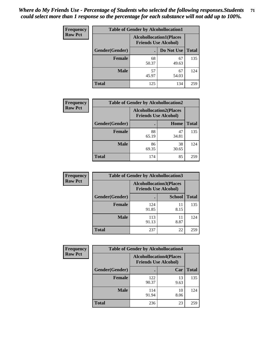| <b>Frequency</b> | <b>Table of Gender by Alcohollocation1</b> |                                                               |             |              |
|------------------|--------------------------------------------|---------------------------------------------------------------|-------------|--------------|
| <b>Row Pct</b>   |                                            | <b>Alcohollocation1(Places</b><br><b>Friends Use Alcohol)</b> |             |              |
|                  | Gender(Gender)                             |                                                               | Do Not Use  | <b>Total</b> |
|                  | <b>Female</b>                              | 68<br>50.37                                                   | 67<br>49.63 | 135          |
|                  | <b>Male</b>                                | 57<br>45.97                                                   | 67<br>54.03 | 124          |
|                  | <b>Total</b>                               | 125                                                           | 134         | 259          |

| <b>Frequency</b> | <b>Table of Gender by Alcohollocation2</b> |             |                                                               |              |
|------------------|--------------------------------------------|-------------|---------------------------------------------------------------|--------------|
| <b>Row Pct</b>   |                                            |             | <b>Alcohollocation2(Places</b><br><b>Friends Use Alcohol)</b> |              |
|                  | Gender(Gender)                             |             | Home                                                          | <b>Total</b> |
|                  | <b>Female</b>                              | 88<br>65.19 | 47<br>34.81                                                   | 135          |
|                  | <b>Male</b>                                | 86<br>69.35 | 38<br>30.65                                                   | 124          |
|                  | <b>Total</b>                               | 174         | 85                                                            | 259          |

| Frequency      | <b>Table of Gender by Alcohollocation3</b> |                                                               |               |              |
|----------------|--------------------------------------------|---------------------------------------------------------------|---------------|--------------|
| <b>Row Pct</b> |                                            | <b>Alcohollocation3(Places</b><br><b>Friends Use Alcohol)</b> |               |              |
|                | Gender(Gender)                             |                                                               | <b>School</b> | <b>Total</b> |
|                | <b>Female</b>                              | 124<br>91.85                                                  | 11<br>8.15    | 135          |
|                | <b>Male</b>                                | 113<br>91.13                                                  | 11<br>8.87    | 124          |
|                | <b>Total</b>                               | 237                                                           | 22            | 259          |

| <b>Frequency</b> | <b>Table of Gender by Alcohollocation4</b> |                                                               |            |              |  |
|------------------|--------------------------------------------|---------------------------------------------------------------|------------|--------------|--|
| <b>Row Pct</b>   |                                            | <b>Alcohollocation4(Places</b><br><b>Friends Use Alcohol)</b> |            |              |  |
|                  | Gender(Gender)                             |                                                               | Car        | <b>Total</b> |  |
|                  | <b>Female</b>                              | 122<br>90.37                                                  | 13<br>9.63 | 135          |  |
|                  | <b>Male</b>                                | 114<br>91.94                                                  | 10<br>8.06 | 124          |  |
|                  | <b>Total</b>                               | 236                                                           | 23         | 259          |  |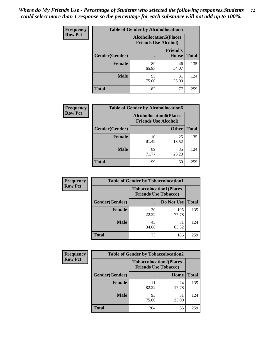| <b>Frequency</b> | <b>Table of Gender by Alcohollocation5</b> |                                                               |                                 |              |
|------------------|--------------------------------------------|---------------------------------------------------------------|---------------------------------|--------------|
| <b>Row Pct</b>   |                                            | <b>Alcohollocation5(Places</b><br><b>Friends Use Alcohol)</b> |                                 |              |
|                  | Gender(Gender)                             | $\bullet$                                                     | <b>Friend's</b><br><b>House</b> | <b>Total</b> |
|                  | <b>Female</b>                              | 89<br>65.93                                                   | 46<br>34.07                     | 135          |
|                  | <b>Male</b>                                | 93<br>75.00                                                   | 31<br>25.00                     | 124          |
|                  | <b>Total</b>                               | 182                                                           | 77                              | 259          |

| <b>Frequency</b> | <b>Table of Gender by Alcohollocation6</b> |                                                               |              |              |
|------------------|--------------------------------------------|---------------------------------------------------------------|--------------|--------------|
| <b>Row Pct</b>   |                                            | <b>Alcohollocation6(Places</b><br><b>Friends Use Alcohol)</b> |              |              |
|                  | <b>Gender</b> (Gender)                     |                                                               | <b>Other</b> | <b>Total</b> |
|                  | <b>Female</b>                              | 110<br>81.48                                                  | 25<br>18.52  | 135          |
|                  | <b>Male</b>                                | 89<br>71.77                                                   | 35<br>28.23  | 124          |
|                  | <b>Total</b>                               | 199                                                           | 60           | 259          |

| Frequency      | <b>Table of Gender by Tobaccolocation1</b> |                                                               |              |              |
|----------------|--------------------------------------------|---------------------------------------------------------------|--------------|--------------|
| <b>Row Pct</b> |                                            | <b>Tobaccolocation1(Places</b><br><b>Friends Use Tobacco)</b> |              |              |
|                | Gender(Gender)                             |                                                               | Do Not Use   | <b>Total</b> |
|                | Female                                     | 30<br>22.22                                                   | 105<br>77.78 | 135          |
|                | <b>Male</b>                                | 43<br>34.68                                                   | 81<br>65.32  | 124          |
|                | <b>Total</b>                               | 73                                                            | 186          | 259          |

| <b>Frequency</b> | <b>Table of Gender by Tobaccolocation2</b> |                                                               |             |              |
|------------------|--------------------------------------------|---------------------------------------------------------------|-------------|--------------|
| <b>Row Pct</b>   |                                            | <b>Tobaccolocation2(Places</b><br><b>Friends Use Tobacco)</b> |             |              |
|                  | Gender(Gender)                             |                                                               | Home        | <b>Total</b> |
|                  | Female                                     | 111<br>82.22                                                  | 24<br>17.78 | 135          |
|                  | <b>Male</b>                                | 93<br>75.00                                                   | 31<br>25.00 | 124          |
|                  | <b>Total</b>                               | 204                                                           | 55          | 259          |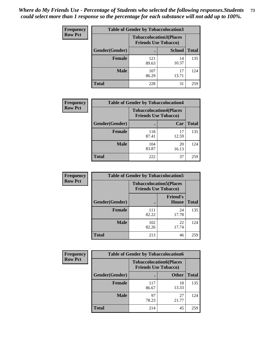| <b>Frequency</b> | <b>Table of Gender by Tobaccolocation3</b> |              |                                                               |              |
|------------------|--------------------------------------------|--------------|---------------------------------------------------------------|--------------|
| <b>Row Pct</b>   |                                            |              | <b>Tobaccolocation3(Places</b><br><b>Friends Use Tobacco)</b> |              |
|                  | Gender(Gender)                             |              | <b>School</b>                                                 | <b>Total</b> |
|                  | Female                                     | 121<br>89.63 | 14<br>10.37                                                   | 135          |
|                  | <b>Male</b>                                | 107<br>86.29 | 17<br>13.71                                                   | 124          |
|                  | <b>Total</b>                               | 228          | 31                                                            | 259          |

| <b>Frequency</b> | <b>Table of Gender by Tobaccolocation4</b> |                             |                                |              |
|------------------|--------------------------------------------|-----------------------------|--------------------------------|--------------|
| <b>Row Pct</b>   |                                            | <b>Friends Use Tobacco)</b> | <b>Tobaccolocation4(Places</b> |              |
|                  | Gender(Gender)                             |                             | Car                            | <b>Total</b> |
|                  | <b>Female</b>                              | 118<br>87.41                | 17<br>12.59                    | 135          |
|                  | <b>Male</b>                                | 104<br>83.87                | 20<br>16.13                    | 124          |
|                  | <b>Total</b>                               | 222                         | 37                             | 259          |

| <b>Frequency</b> | <b>Table of Gender by Tobaccolocation5</b> |                                                               |                                 |              |
|------------------|--------------------------------------------|---------------------------------------------------------------|---------------------------------|--------------|
| <b>Row Pct</b>   |                                            | <b>Tobaccolocation5(Places</b><br><b>Friends Use Tobacco)</b> |                                 |              |
|                  | Gender(Gender)                             |                                                               | <b>Friend's</b><br><b>House</b> | <b>Total</b> |
|                  | <b>Female</b>                              | 111<br>82.22                                                  | 24<br>17.78                     | 135          |
|                  | <b>Male</b>                                | 102<br>82.26                                                  | 22<br>17.74                     | 124          |
|                  | <b>Total</b>                               | 213                                                           | 46                              | 259          |

| <b>Frequency</b> | <b>Table of Gender by Tobaccolocation6</b> |                                                               |              |              |
|------------------|--------------------------------------------|---------------------------------------------------------------|--------------|--------------|
| <b>Row Pct</b>   |                                            | <b>Tobaccolocation6(Places</b><br><b>Friends Use Tobacco)</b> |              |              |
|                  | Gender(Gender)                             |                                                               | <b>Other</b> | <b>Total</b> |
|                  | Female                                     | 117<br>86.67                                                  | 18<br>13.33  | 135          |
|                  | <b>Male</b>                                | 97<br>78.23                                                   | 27<br>21.77  | 124          |
|                  | <b>Total</b>                               | 214                                                           | 45           | 259          |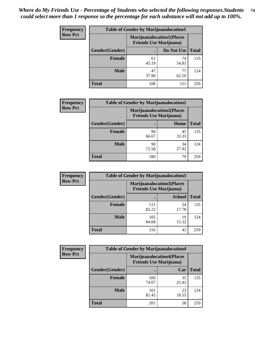| <b>Frequency</b> | <b>Table of Gender by Marijuanalocation1</b> |                                                                    |             |              |
|------------------|----------------------------------------------|--------------------------------------------------------------------|-------------|--------------|
| <b>Row Pct</b>   |                                              | <b>Marijuanalocation1(Places</b><br><b>Friends Use Marijuana</b> ) |             |              |
|                  | Gender(Gender)                               |                                                                    | Do Not Use  | <b>Total</b> |
|                  | <b>Female</b>                                | 61<br>45.19                                                        | 74<br>54.81 | 135          |
|                  | <b>Male</b>                                  | 47<br>37.90                                                        | 77<br>62.10 | 124          |
|                  | <b>Total</b>                                 | 108                                                                | 151         | 259          |

| <b>Frequency</b> | <b>Table of Gender by Marijuanalocation2</b> |                                                                    |             |              |
|------------------|----------------------------------------------|--------------------------------------------------------------------|-------------|--------------|
| <b>Row Pct</b>   |                                              | <b>Marijuanalocation2(Places</b><br><b>Friends Use Marijuana</b> ) |             |              |
|                  | Gender(Gender)                               |                                                                    | Home        | <b>Total</b> |
|                  | <b>Female</b>                                | 90<br>66.67                                                        | 45<br>33.33 | 135          |
|                  | <b>Male</b>                                  | 90<br>72.58                                                        | 34<br>27.42 | 124          |
|                  | <b>Total</b>                                 | 180                                                                | 79          | 259          |

| Frequency      | <b>Table of Gender by Marijuanalocation3</b> |                                                                    |               |              |
|----------------|----------------------------------------------|--------------------------------------------------------------------|---------------|--------------|
| <b>Row Pct</b> |                                              | <b>Marijuanalocation3(Places</b><br><b>Friends Use Marijuana</b> ) |               |              |
|                | Gender(Gender)                               |                                                                    | <b>School</b> | <b>Total</b> |
|                | Female                                       | 111<br>82.22                                                       | 24<br>17.78   | 135          |
|                | <b>Male</b>                                  | 105<br>84.68                                                       | 19<br>15.32   | 124          |
|                | <b>Total</b>                                 | 216                                                                | 43            | 259          |

| <b>Frequency</b> | <b>Table of Gender by Marijuanalocation4</b> |                                                                    |             |              |
|------------------|----------------------------------------------|--------------------------------------------------------------------|-------------|--------------|
| <b>Row Pct</b>   |                                              | <b>Marijuanalocation4(Places</b><br><b>Friends Use Marijuana</b> ) |             |              |
|                  | Gender(Gender)                               |                                                                    | Car         | <b>Total</b> |
|                  | Female                                       | 100<br>74.07                                                       | 35<br>25.93 | 135          |
|                  | <b>Male</b>                                  | 101<br>81.45                                                       | 23<br>18.55 | 124          |
|                  | <b>Total</b>                                 | 201                                                                | 58          | 259          |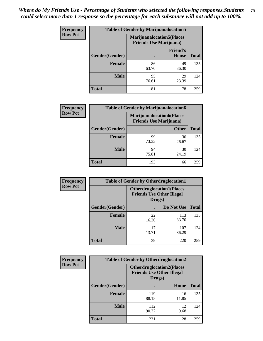| <b>Frequency</b> | <b>Table of Gender by Marijuanalocation5</b> |                                                                     |                          |              |
|------------------|----------------------------------------------|---------------------------------------------------------------------|--------------------------|--------------|
| <b>Row Pct</b>   |                                              | <b>Marijuanalocation5</b> (Places<br><b>Friends Use Marijuana</b> ) |                          |              |
|                  | Gender(Gender)                               |                                                                     | <b>Friend's</b><br>House | <b>Total</b> |
|                  | <b>Female</b>                                | 86<br>63.70                                                         | 49<br>36.30              | 135          |
|                  | <b>Male</b>                                  | 95<br>76.61                                                         | 29<br>23.39              | 124          |
|                  | <b>Total</b>                                 | 181                                                                 | 78                       | 259          |

| <b>Frequency</b> | <b>Table of Gender by Marijuanalocation6</b> |                                |                                  |              |
|------------------|----------------------------------------------|--------------------------------|----------------------------------|--------------|
| <b>Row Pct</b>   |                                              | <b>Friends Use Marijuana</b> ) | <b>Marijuanalocation6(Places</b> |              |
|                  | Gender(Gender)                               |                                | <b>Other</b>                     | <b>Total</b> |
|                  | <b>Female</b>                                | 99<br>73.33                    | 36<br>26.67                      | 135          |
|                  | <b>Male</b>                                  | 94<br>75.81                    | 30<br>24.19                      | 124          |
|                  | <b>Total</b>                                 | 193                            | 66                               | 259          |

| <b>Frequency</b> | <b>Table of Gender by Otherdruglocation1</b> |                                                                                |              |              |
|------------------|----------------------------------------------|--------------------------------------------------------------------------------|--------------|--------------|
| <b>Row Pct</b>   |                                              | <b>Otherdruglocation1(Places</b><br><b>Friends Use Other Illegal</b><br>Drugs) |              |              |
|                  | Gender(Gender)                               |                                                                                | Do Not Use   | <b>Total</b> |
|                  | <b>Female</b>                                | 22<br>16.30                                                                    | 113<br>83.70 | 135          |
|                  | <b>Male</b>                                  | 17<br>13.71                                                                    | 107<br>86.29 | 124          |
|                  | <b>Total</b>                                 | 39                                                                             | 220          | 259          |

| <b>Frequency</b> | <b>Table of Gender by Otherdruglocation2</b> |                                            |                                  |              |
|------------------|----------------------------------------------|--------------------------------------------|----------------------------------|--------------|
| <b>Row Pct</b>   |                                              | <b>Friends Use Other Illegal</b><br>Drugs) | <b>Otherdruglocation2(Places</b> |              |
|                  | Gender(Gender)                               |                                            | Home                             | <b>Total</b> |
|                  | Female                                       | 119<br>88.15                               | 16<br>11.85                      | 135          |
|                  | <b>Male</b>                                  | 112<br>90.32                               | 12<br>9.68                       | 124          |
|                  | <b>Total</b>                                 | 231                                        | 28                               | 259          |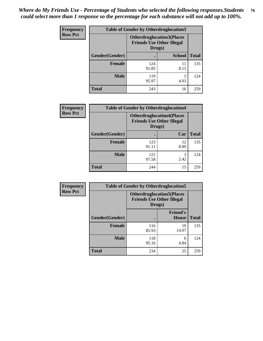| <b>Frequency</b> | <b>Table of Gender by Otherdruglocation3</b> |                                                                                |               |              |
|------------------|----------------------------------------------|--------------------------------------------------------------------------------|---------------|--------------|
| <b>Row Pct</b>   |                                              | <b>Otherdruglocation3(Places</b><br><b>Friends Use Other Illegal</b><br>Drugs) |               |              |
|                  | Gender(Gender)                               |                                                                                | <b>School</b> | <b>Total</b> |
|                  | <b>Female</b>                                | 124<br>91.85                                                                   | 11<br>8.15    | 135          |
|                  | <b>Male</b>                                  | 119<br>95.97                                                                   | 4.03          | 124          |
|                  | <b>Total</b>                                 | 243                                                                            | 16            | 259          |

| Frequency      | <b>Table of Gender by Otherdruglocation4</b> |                                                                                |            |              |
|----------------|----------------------------------------------|--------------------------------------------------------------------------------|------------|--------------|
| <b>Row Pct</b> |                                              | <b>Otherdruglocation4(Places</b><br><b>Friends Use Other Illegal</b><br>Drugs) |            |              |
|                | Gender(Gender)                               |                                                                                | Car        | <b>Total</b> |
|                | <b>Female</b>                                | 123<br>91.11                                                                   | 12<br>8.89 | 135          |
|                | <b>Male</b>                                  | 121<br>97.58                                                                   | 3<br>2.42  | 124          |
|                | <b>Total</b>                                 | 244                                                                            | 15         | 259          |

| Frequency      | <b>Table of Gender by Otherdruglocation5</b> |                                                                                |                                 |              |
|----------------|----------------------------------------------|--------------------------------------------------------------------------------|---------------------------------|--------------|
| <b>Row Pct</b> |                                              | <b>Otherdruglocation5(Places</b><br><b>Friends Use Other Illegal</b><br>Drugs) |                                 |              |
|                | Gender(Gender)                               |                                                                                | <b>Friend's</b><br><b>House</b> | <b>Total</b> |
|                | <b>Female</b>                                | 116<br>85.93                                                                   | 19<br>14.07                     | 135          |
|                | <b>Male</b>                                  | 118<br>95.16                                                                   | 6<br>4.84                       | 124          |
|                | <b>Total</b>                                 | 234                                                                            | 25                              | 259          |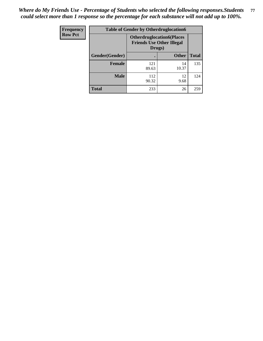| Frequency      | <b>Table of Gender by Otherdruglocation6</b> |                                                                                |              |              |
|----------------|----------------------------------------------|--------------------------------------------------------------------------------|--------------|--------------|
| <b>Row Pct</b> |                                              | <b>Otherdruglocation6(Places</b><br><b>Friends Use Other Illegal</b><br>Drugs) |              |              |
|                | Gender(Gender)                               |                                                                                | <b>Other</b> | <b>Total</b> |
|                | Female                                       | 121<br>89.63                                                                   | 14<br>10.37  | 135          |
|                | <b>Male</b>                                  | 112<br>90.32                                                                   | 12<br>9.68   | 124          |
|                | <b>Total</b>                                 | 233                                                                            | 26           | 259          |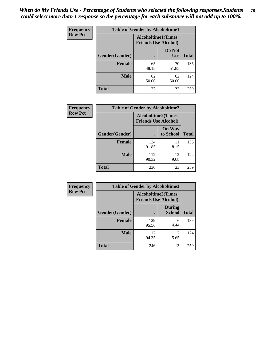| Frequency      | <b>Table of Gender by Alcoholtime1</b> |                                                          |                      |              |
|----------------|----------------------------------------|----------------------------------------------------------|----------------------|--------------|
| <b>Row Pct</b> |                                        | <b>Alcoholtime1(Times</b><br><b>Friends Use Alcohol)</b> |                      |              |
|                | Gender(Gender)                         | $\bullet$                                                | Do Not<br><b>Use</b> | <b>Total</b> |
|                | <b>Female</b>                          | 65<br>48.15                                              | 70<br>51.85          | 135          |
|                | <b>Male</b>                            | 62<br>50.00                                              | 62<br>50.00          | 124          |
|                | <b>Total</b>                           | 127                                                      | 132                  | 259          |

| Frequency      |                | <b>Table of Gender by Alcoholtime2</b>                   |                            |              |  |
|----------------|----------------|----------------------------------------------------------|----------------------------|--------------|--|
| <b>Row Pct</b> |                | <b>Alcoholtime2(Times</b><br><b>Friends Use Alcohol)</b> |                            |              |  |
|                | Gender(Gender) |                                                          | <b>On Way</b><br>to School | <b>Total</b> |  |
|                | <b>Female</b>  | 124<br>91.85                                             | 11<br>8.15                 | 135          |  |
|                | <b>Male</b>    | 112<br>90.32                                             | 12<br>9.68                 | 124          |  |
|                | <b>Total</b>   | 236                                                      | 23                         | 259          |  |

| Frequency      | <b>Table of Gender by Alcoholtime3</b> |                                                   |                                |              |
|----------------|----------------------------------------|---------------------------------------------------|--------------------------------|--------------|
| <b>Row Pct</b> |                                        | Alcoholtime3(Times<br><b>Friends Use Alcohol)</b> |                                |              |
|                | Gender(Gender)                         |                                                   | <b>During</b><br><b>School</b> | <b>Total</b> |
|                | Female                                 | 129<br>95.56                                      | 6<br>4.44                      | 135          |
|                | <b>Male</b>                            | 117<br>94.35                                      | 5.65                           | 124          |
|                | <b>Total</b>                           | 246                                               | 13                             | 259          |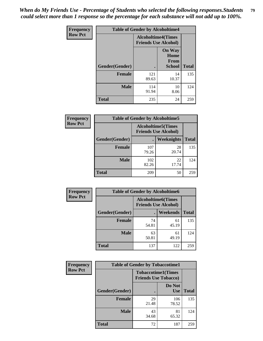*When do My Friends Use - Percentage of Students who selected the following responses.Students could select more than 1 response so the percentage for each substance will not add up to 100%.* **79**

| <b>Frequency</b> | <b>Table of Gender by Alcoholtime4</b> |                                                          |                                                       |              |
|------------------|----------------------------------------|----------------------------------------------------------|-------------------------------------------------------|--------------|
| <b>Row Pct</b>   |                                        | <b>Alcoholtime4(Times</b><br><b>Friends Use Alcohol)</b> |                                                       |              |
|                  | Gender(Gender)                         | $\bullet$                                                | <b>On Way</b><br>Home<br><b>From</b><br><b>School</b> | <b>Total</b> |
|                  | <b>Female</b>                          | 121<br>89.63                                             | 14<br>10.37                                           | 135          |
|                  | <b>Male</b>                            | 114<br>91.94                                             | 10<br>8.06                                            | 124          |
|                  | <b>Total</b>                           | 235                                                      | 24                                                    | 259          |

| <b>Frequency</b> | <b>Table of Gender by Alcoholtime5</b> |              |                                                           |              |
|------------------|----------------------------------------|--------------|-----------------------------------------------------------|--------------|
| <b>Row Pct</b>   |                                        |              | <b>Alcoholtime5</b> (Times<br><b>Friends Use Alcohol)</b> |              |
|                  | Gender(Gender)                         |              | Weeknights                                                | <b>Total</b> |
|                  | <b>Female</b>                          | 107<br>79.26 | 28<br>20.74                                               | 135          |
|                  | <b>Male</b>                            | 102<br>82.26 | 22<br>17.74                                               | 124          |
|                  | <b>Total</b>                           | 209          | 50                                                        | 259          |

| <b>Frequency</b> | <b>Table of Gender by Alcoholtime6</b> |             |                                                           |              |
|------------------|----------------------------------------|-------------|-----------------------------------------------------------|--------------|
| <b>Row Pct</b>   |                                        |             | <b>Alcoholtime6</b> (Times<br><b>Friends Use Alcohol)</b> |              |
|                  | Gender(Gender)                         |             | <b>Weekends</b>                                           | <b>Total</b> |
|                  | <b>Female</b>                          | 74<br>54.81 | 61<br>45.19                                               | 135          |
|                  | <b>Male</b>                            | 63<br>50.81 | 61<br>49.19                                               | 124          |
|                  | Total                                  | 137         | 122                                                       | 259          |

| <b>Frequency</b> | <b>Table of Gender by Tobaccotime1</b> |                                                          |                      |              |
|------------------|----------------------------------------|----------------------------------------------------------|----------------------|--------------|
| <b>Row Pct</b>   |                                        | <b>Tobaccotime1(Times</b><br><b>Friends Use Tobacco)</b> |                      |              |
|                  | Gender(Gender)                         |                                                          | Do Not<br><b>Use</b> | <b>Total</b> |
|                  | Female                                 | 29<br>21.48                                              | 106<br>78.52         | 135          |
|                  | <b>Male</b>                            | 43<br>34.68                                              | 81<br>65.32          | 124          |
|                  | <b>Total</b>                           | 72                                                       | 187                  | 259          |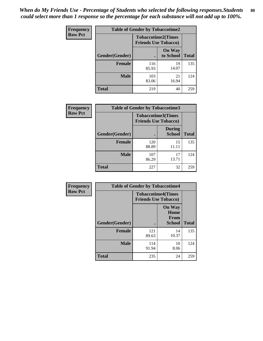| <b>Frequency</b> | <b>Table of Gender by Tobaccotime2</b> |                             |                            |              |
|------------------|----------------------------------------|-----------------------------|----------------------------|--------------|
| <b>Row Pct</b>   |                                        | <b>Friends Use Tobacco)</b> | <b>Tobaccotime2(Times</b>  |              |
|                  | Gender(Gender)                         |                             | <b>On Way</b><br>to School | <b>Total</b> |
|                  | <b>Female</b>                          | 116<br>85.93                | 19<br>14.07                | 135          |
|                  | <b>Male</b>                            | 103<br>83.06                | 21<br>16.94                | 124          |
|                  | <b>Total</b>                           | 219                         | 40                         | 259          |

| Frequency      | <b>Table of Gender by Tobaccotime3</b> |                                                          |                                |              |
|----------------|----------------------------------------|----------------------------------------------------------|--------------------------------|--------------|
| <b>Row Pct</b> |                                        | <b>Tobaccotime3(Times</b><br><b>Friends Use Tobacco)</b> |                                |              |
|                | Gender(Gender)                         |                                                          | <b>During</b><br><b>School</b> | <b>Total</b> |
|                | <b>Female</b>                          | 120<br>88.89                                             | 15<br>11.11                    | 135          |
|                | <b>Male</b>                            | 107<br>86.29                                             | 17<br>13.71                    | 124          |
|                | <b>Total</b>                           | 227                                                      | 32                             | 259          |

| Frequency      | <b>Table of Gender by Tobaccotime4</b> |                                                          |                                                |              |
|----------------|----------------------------------------|----------------------------------------------------------|------------------------------------------------|--------------|
| <b>Row Pct</b> |                                        | <b>Tobaccotime4(Times</b><br><b>Friends Use Tobacco)</b> |                                                |              |
|                | Gender(Gender)                         |                                                          | <b>On Way</b><br>Home<br>From<br><b>School</b> | <b>Total</b> |
|                | <b>Female</b>                          | 121<br>89.63                                             | 14<br>10.37                                    | 135          |
|                | <b>Male</b>                            | 114<br>91.94                                             | 10<br>8.06                                     | 124          |
|                | <b>Total</b>                           | 235                                                      | 24                                             | 259          |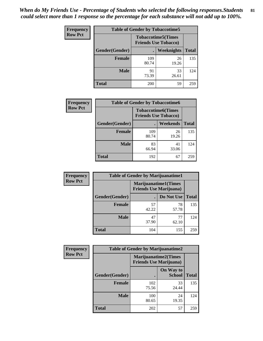| <b>Frequency</b> | <b>Table of Gender by Tobaccotime5</b> |                                                          |                   |              |  |
|------------------|----------------------------------------|----------------------------------------------------------|-------------------|--------------|--|
| <b>Row Pct</b>   |                                        | <b>Tobaccotime5(Times</b><br><b>Friends Use Tobacco)</b> |                   |              |  |
|                  | <b>Gender</b> (Gender)                 |                                                          | <b>Weeknights</b> | <b>Total</b> |  |
|                  | <b>Female</b>                          | 109<br>80.74                                             | 26<br>19.26       | 135          |  |
|                  | <b>Male</b>                            | 91<br>73.39                                              | 33<br>26.61       | 124          |  |
|                  | <b>Total</b>                           | 200                                                      | 59                | 259          |  |

| <b>Frequency</b> |                | <b>Table of Gender by Tobaccotime6</b>                   |             |              |
|------------------|----------------|----------------------------------------------------------|-------------|--------------|
| <b>Row Pct</b>   |                | <b>Tobaccotime6(Times</b><br><b>Friends Use Tobacco)</b> |             |              |
|                  | Gender(Gender) |                                                          | Weekends    | <b>Total</b> |
|                  | Female         | 109<br>80.74                                             | 26<br>19.26 | 135          |
|                  | <b>Male</b>    | 83<br>66.94                                              | 41<br>33.06 | 124          |
|                  | <b>Total</b>   | 192                                                      | 67          | 259          |

| <b>Frequency</b> | <b>Table of Gender by Marijuanatime1</b> |                                |                             |              |
|------------------|------------------------------------------|--------------------------------|-----------------------------|--------------|
| <b>Row Pct</b>   |                                          | <b>Friends Use Marijuana</b> ) | <b>Marijuanatime1(Times</b> |              |
|                  | Gender(Gender)                           |                                | Do Not Use                  | <b>Total</b> |
|                  | <b>Female</b>                            | 57<br>42.22                    | 78<br>57.78                 | 135          |
|                  | <b>Male</b>                              | 47<br>37.90                    | 77<br>62.10                 | 124          |
|                  | <b>Total</b>                             | 104                            | 155                         | 259          |

| <b>Frequency</b> | <b>Table of Gender by Marijuanatime2</b> |                                                        |                            |              |
|------------------|------------------------------------------|--------------------------------------------------------|----------------------------|--------------|
| <b>Row Pct</b>   |                                          | Marijuanatime2(Times<br><b>Friends Use Marijuana</b> ) |                            |              |
|                  | Gender(Gender)                           |                                                        | On Way to<br><b>School</b> | <b>Total</b> |
|                  | <b>Female</b>                            | 102<br>75.56                                           | 33<br>24.44                | 135          |
|                  | <b>Male</b>                              | 100<br>80.65                                           | 24<br>19.35                | 124          |
|                  | <b>Total</b>                             | 202                                                    | 57                         | 259          |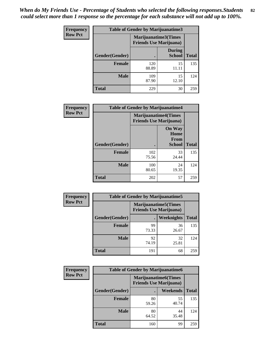*When do My Friends Use - Percentage of Students who selected the following responses.Students could select more than 1 response so the percentage for each substance will not add up to 100%.* **82**

| <b>Frequency</b> | Table of Gender by Marijuanatime3 |                                                        |                                |              |
|------------------|-----------------------------------|--------------------------------------------------------|--------------------------------|--------------|
| <b>Row Pct</b>   |                                   | Marijuanatime3(Times<br><b>Friends Use Marijuana</b> ) |                                |              |
|                  | Gender(Gender)                    |                                                        | <b>During</b><br><b>School</b> | <b>Total</b> |
|                  | <b>Female</b>                     | 120<br>88.89                                           | 15<br>11.11                    | 135          |
|                  | <b>Male</b>                       | 109<br>87.90                                           | 15<br>12.10                    | 124          |
|                  | <b>Total</b>                      | 229                                                    | 30                             | 259          |

| Frequency      | <b>Table of Gender by Marijuanatime4</b> |                                                                |                                                       |              |
|----------------|------------------------------------------|----------------------------------------------------------------|-------------------------------------------------------|--------------|
| <b>Row Pct</b> |                                          | <b>Marijuanatime4</b> (Times<br><b>Friends Use Marijuana</b> ) |                                                       |              |
|                | Gender(Gender)                           |                                                                | <b>On Way</b><br>Home<br><b>From</b><br><b>School</b> | <b>Total</b> |
|                | <b>Female</b>                            | 102<br>75.56                                                   | 33<br>24.44                                           | 135          |
|                | <b>Male</b>                              | 100<br>80.65                                                   | 24<br>19.35                                           | 124          |
|                | <b>Total</b>                             | 202                                                            | 57                                                    | 259          |

| Frequency      |                | <b>Table of Gender by Marijuanatime5</b> |                                                                |              |
|----------------|----------------|------------------------------------------|----------------------------------------------------------------|--------------|
| <b>Row Pct</b> |                |                                          | <b>Marijuanatime5</b> (Times<br><b>Friends Use Marijuana</b> ) |              |
|                | Gender(Gender) | ٠                                        | <b>Weeknights</b>                                              | <b>Total</b> |
|                | <b>Female</b>  | 99<br>73.33                              | 36<br>26.67                                                    | 135          |
|                | <b>Male</b>    | 92<br>74.19                              | 32<br>25.81                                                    | 124          |
|                | <b>Total</b>   | 191                                      | 68                                                             | 259          |

| <b>Frequency</b> | <b>Table of Gender by Marijuanatime6</b> |                                                               |             |              |  |
|------------------|------------------------------------------|---------------------------------------------------------------|-------------|--------------|--|
| <b>Row Pct</b>   |                                          | <b>Marijuanatime6(Times</b><br><b>Friends Use Marijuana</b> ) |             |              |  |
|                  | Gender(Gender)                           |                                                               | Weekends    | <b>Total</b> |  |
|                  | <b>Female</b>                            | 80<br>59.26                                                   | 55<br>40.74 | 135          |  |
|                  | <b>Male</b>                              | 80<br>64.52                                                   | 44<br>35.48 | 124          |  |
|                  | <b>Total</b>                             | 160                                                           | 99          | 259          |  |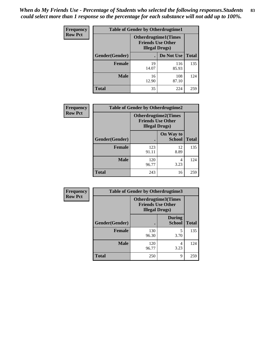*When do My Friends Use - Percentage of Students who selected the following responses.Students could select more than 1 response so the percentage for each substance will not add up to 100%.* **83**

| <b>Frequency</b> | <b>Table of Gender by Otherdrugtime1</b> |                                                                                    |              |              |
|------------------|------------------------------------------|------------------------------------------------------------------------------------|--------------|--------------|
| <b>Row Pct</b>   |                                          | <b>Otherdrugtime1</b> (Times<br><b>Friends Use Other</b><br><b>Illegal Drugs</b> ) |              |              |
|                  | Gender(Gender)                           |                                                                                    | Do Not Use   | <b>Total</b> |
|                  | <b>Female</b>                            | 19<br>14.07                                                                        | 116<br>85.93 | 135          |
|                  | <b>Male</b>                              | 16<br>12.90                                                                        | 108<br>87.10 | 124          |
|                  | <b>Total</b>                             | 35                                                                                 | 224          | 259          |

| Frequency      | <b>Table of Gender by Otherdrugtime2</b> |                                                                                   |                            |              |
|----------------|------------------------------------------|-----------------------------------------------------------------------------------|----------------------------|--------------|
| <b>Row Pct</b> |                                          | <b>Otherdrugtime2(Times</b><br><b>Friends Use Other</b><br><b>Illegal Drugs</b> ) |                            |              |
|                | Gender(Gender)                           |                                                                                   | On Way to<br><b>School</b> | <b>Total</b> |
|                | <b>Female</b>                            | 123<br>91.11                                                                      | 12<br>8.89                 | 135          |
|                | <b>Male</b>                              | 120<br>96.77                                                                      | 4<br>3.23                  | 124          |
|                | <b>Total</b>                             | 243                                                                               | 16                         | 259          |

| Frequency      |                | <b>Table of Gender by Otherdrugtime3</b>                                          |                                |              |  |
|----------------|----------------|-----------------------------------------------------------------------------------|--------------------------------|--------------|--|
| <b>Row Pct</b> |                | <b>Otherdrugtime3(Times</b><br><b>Friends Use Other</b><br><b>Illegal Drugs</b> ) |                                |              |  |
|                | Gender(Gender) |                                                                                   | <b>During</b><br><b>School</b> | <b>Total</b> |  |
|                | <b>Female</b>  | 130<br>96.30                                                                      | 5<br>3.70                      | 135          |  |
|                | <b>Male</b>    | 120<br>96.77                                                                      | 4<br>3.23                      | 124          |  |
|                | <b>Total</b>   | 250                                                                               | 9                              | 259          |  |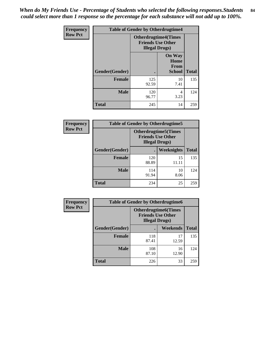*When do My Friends Use - Percentage of Students who selected the following responses.Students could select more than 1 response so the percentage for each substance will not add up to 100%.* **84**

| <b>Frequency</b> | <b>Table of Gender by Otherdrugtime4</b> |                        |                                                         |              |  |
|------------------|------------------------------------------|------------------------|---------------------------------------------------------|--------------|--|
| <b>Row Pct</b>   |                                          | <b>Illegal Drugs</b> ) | <b>Otherdrugtime4(Times</b><br><b>Friends Use Other</b> |              |  |
|                  | Gender(Gender)                           |                        | <b>On Way</b><br>Home<br><b>From</b><br><b>School</b>   | <b>Total</b> |  |
|                  | <b>Female</b>                            | 125<br>92.59           | 10<br>7.41                                              | 135          |  |
|                  | <b>Male</b>                              | 120<br>96.77           | 4<br>3.23                                               | 124          |  |
|                  | <b>Total</b>                             | 245                    | 14                                                      | 259          |  |

| <b>Frequency</b> |                | <b>Table of Gender by Otherdrugtime5</b>                                           |             |              |
|------------------|----------------|------------------------------------------------------------------------------------|-------------|--------------|
| <b>Row Pct</b>   |                | <b>Otherdrugtime5</b> (Times<br><b>Friends Use Other</b><br><b>Illegal Drugs</b> ) |             |              |
|                  | Gender(Gender) |                                                                                    | Weeknights  | <b>Total</b> |
|                  | <b>Female</b>  | 120<br>88.89                                                                       | 15<br>11.11 | 135          |
|                  | <b>Male</b>    | 114<br>91.94                                                                       | 10<br>8.06  | 124          |
|                  | <b>Total</b>   | 234                                                                                | 25          | 259          |

| <b>Frequency</b> | <b>Table of Gender by Otherdrugtime6</b> |                                                                                   |             |              |  |
|------------------|------------------------------------------|-----------------------------------------------------------------------------------|-------------|--------------|--|
| <b>Row Pct</b>   |                                          | <b>Otherdrugtime6(Times</b><br><b>Friends Use Other</b><br><b>Illegal Drugs</b> ) |             |              |  |
|                  | Gender(Gender)                           |                                                                                   | Weekends    | <b>Total</b> |  |
|                  | <b>Female</b>                            | 118<br>87.41                                                                      | 17<br>12.59 | 135          |  |
|                  | <b>Male</b>                              | 108<br>87.10                                                                      | 16<br>12.90 | 124          |  |
|                  | <b>Total</b>                             | 226                                                                               | 33          | 259          |  |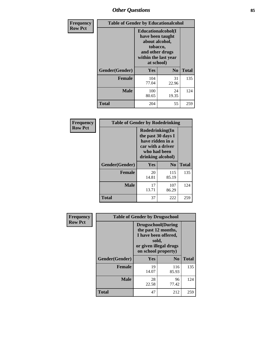# *Other Questions* **85**

| <b>Frequency</b> | <b>Table of Gender by Educationalcohol</b> |                                                                                                                               |                |              |
|------------------|--------------------------------------------|-------------------------------------------------------------------------------------------------------------------------------|----------------|--------------|
| <b>Row Pct</b>   |                                            | Educationalcohol(I<br>have been taught<br>about alcohol,<br>tobacco,<br>and other drugs<br>within the last year<br>at school) |                |              |
|                  | Gender(Gender)                             | <b>Yes</b>                                                                                                                    | N <sub>0</sub> | <b>Total</b> |
|                  | <b>Female</b>                              | 104<br>77.04                                                                                                                  | 31<br>22.96    | 135          |
|                  | <b>Male</b>                                | 100<br>80.65                                                                                                                  | 24<br>19.35    | 124          |
|                  | <b>Total</b>                               | 204                                                                                                                           | 55             | 259          |

| Frequency      | <b>Table of Gender by Rodedrinking</b> |                                                                                                                     |                |              |  |
|----------------|----------------------------------------|---------------------------------------------------------------------------------------------------------------------|----------------|--------------|--|
| <b>Row Pct</b> |                                        | Rodedrinking(In<br>the past 30 days I<br>have ridden in a<br>car with a driver<br>who had been<br>drinking alcohol) |                |              |  |
|                | Gender(Gender)                         | Yes                                                                                                                 | N <sub>0</sub> | <b>Total</b> |  |
|                | <b>Female</b>                          | 20<br>14.81                                                                                                         | 115<br>85.19   | 135          |  |
|                | <b>Male</b>                            | 17<br>13.71                                                                                                         | 107<br>86.29   | 124          |  |
|                | <b>Total</b>                           | 37                                                                                                                  | 222            | 259          |  |

| Frequency      | <b>Table of Gender by Drugsschool</b> |                                                                                                                                     |                |              |
|----------------|---------------------------------------|-------------------------------------------------------------------------------------------------------------------------------------|----------------|--------------|
| <b>Row Pct</b> |                                       | <b>Drugsschool</b> (During<br>the past 12 months,<br>I have been offered,<br>sold,<br>or given illegal drugs<br>on school property) |                |              |
|                | Gender(Gender)                        | Yes                                                                                                                                 | N <sub>0</sub> | <b>Total</b> |
|                | <b>Female</b>                         | 19<br>14.07                                                                                                                         | 116<br>85.93   | 135          |
|                | <b>Male</b>                           | 28<br>22.58                                                                                                                         | 96<br>77.42    | 124          |
|                | <b>Total</b>                          | 47                                                                                                                                  | 212            | 259          |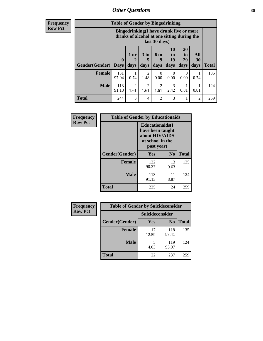# *Other Questions* **86**

**Frequency Row Pct**

| <b>Table of Gender by Bingedrinking</b> |                             |                                                                                                         |                        |                        |                        |                               |                   |              |
|-----------------------------------------|-----------------------------|---------------------------------------------------------------------------------------------------------|------------------------|------------------------|------------------------|-------------------------------|-------------------|--------------|
|                                         |                             | Bingedrinking(I have drunk five or more<br>drinks of alcohol at one sitting during the<br>last 30 days) |                        |                        |                        |                               |                   |              |
| Gender(Gender)                          | $\mathbf{0}$<br><b>Days</b> | 1 or<br>2<br>days                                                                                       | 3 to<br>5<br>days      | 6 to<br>q<br>days      | 10<br>to<br>19<br>days | <b>20</b><br>to<br>29<br>days | All<br>30<br>days | <b>Total</b> |
| <b>Female</b>                           | 131<br>97.04                | 0.74                                                                                                    | 2<br>1.48              | 0<br>0.00              | $\theta$<br>0.00       | 0<br>0.00                     | 0.74              | 135          |
| <b>Male</b>                             | 113<br>91.13                | 2<br>1.61                                                                                               | $\overline{2}$<br>1.61 | $\mathfrak{D}$<br>1.61 | 3<br>2.42              | 0.81                          | 0.81              | 124          |
| <b>Total</b>                            | 244                         | 3                                                                                                       | $\overline{4}$         | $\mathfrak{D}$         | 3                      |                               | $\overline{2}$    | 259          |

| Frequency      | <b>Table of Gender by Educationaids</b> |                                                                                                 |            |              |  |
|----------------|-----------------------------------------|-------------------------------------------------------------------------------------------------|------------|--------------|--|
| <b>Row Pct</b> |                                         | <b>Educationaids</b> (I<br>have been taught<br>about HIV/AIDS<br>at school in the<br>past year) |            |              |  |
|                | Gender(Gender)                          | Yes                                                                                             | $\bf N_0$  | <b>Total</b> |  |
|                | <b>Female</b>                           | 122<br>90.37                                                                                    | 13<br>9.63 | 135          |  |
|                | <b>Male</b>                             | 113<br>91.13                                                                                    | 11<br>8.87 | 124          |  |
|                | <b>Total</b>                            | 235                                                                                             | 24         | 259          |  |

| Frequency      | <b>Table of Gender by Suicideconsider</b> |                        |                |              |
|----------------|-------------------------------------------|------------------------|----------------|--------------|
| <b>Row Pct</b> |                                           | <b>Suicideconsider</b> |                |              |
|                | Gender(Gender)                            | Yes                    | N <sub>0</sub> | <b>Total</b> |
|                | <b>Female</b>                             | 17<br>12.59            | 118<br>87.41   | 135          |
|                | <b>Male</b>                               | 4.03                   | 119<br>95.97   | 124          |
|                | <b>Total</b>                              | 22                     | 237            | 259          |